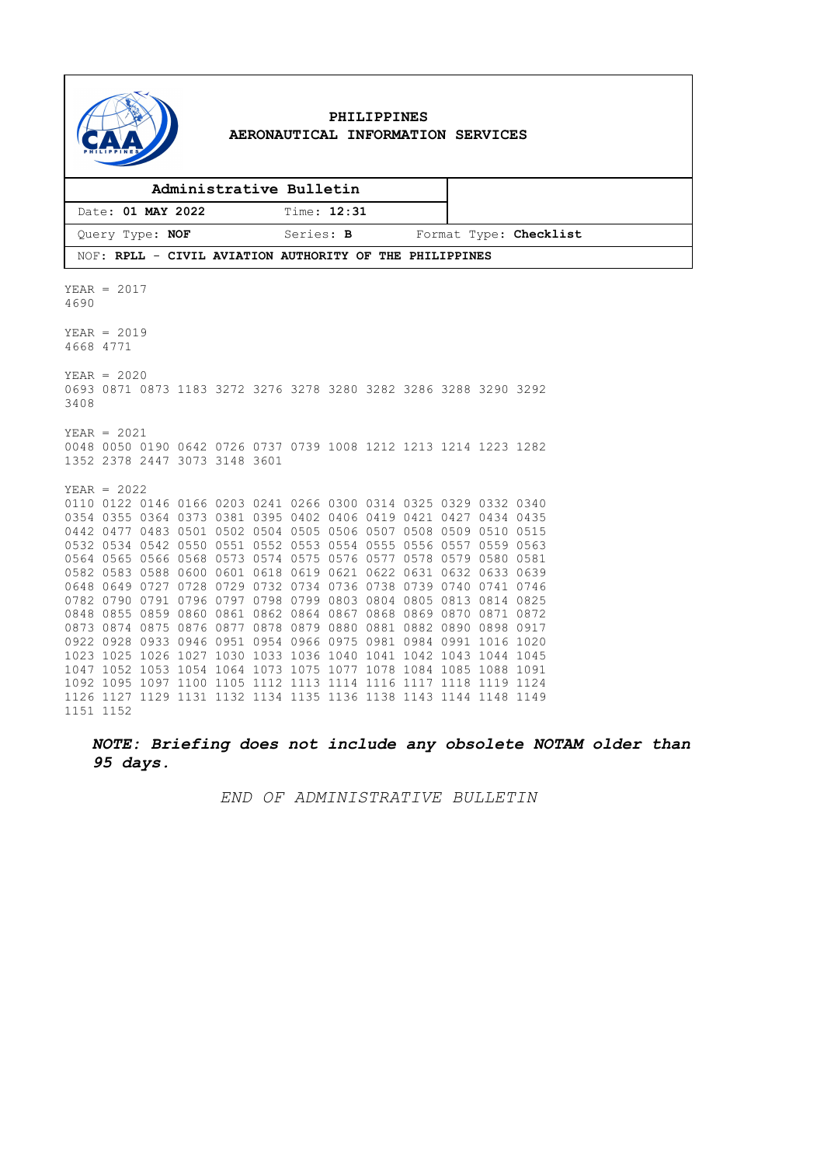

### **PHILIPPINES AERONAUTICAL INFORMATION SERVICES**

| Administrative Bulletin                                 |             |                        |
|---------------------------------------------------------|-------------|------------------------|
| Date: 01 MAY 2022                                       | Time: 12:31 |                        |
| Query Type: NOF                                         | Series: B   | Format Type: Checklist |
| NOF: RPLL - CIVIL AVIATION AUTHORITY OF THE PHILIPPINES |             |                        |

YEAR = 2017 4690  $YEAR = 2019$ 4668 4771 YEAR = 2020 0693 0871 0873 1183 3272 3276 3278 3280 3282 3286 3288 3290 3292 3408 YEAR = 2021 0048 0050 0190 0642 0726 0737 0739 1008 1212 1213 1214 1223 1282 1352 2378 2447 3073 3148 3601 YEAR = 2022 0110 0122 0146 0166 0203 0241 0266 0300 0314 0325 0329 0332 0340 0354 0355 0364 0373 0381 0395 0402 0406 0419 0421 0427 0434 0435 0442 0477 0483 0501 0502 0504 0505 0506 0507 0508 0509 0510 0515 0532 0534 0542 0550 0551 0552 0553 0554 0555 0556 0557 0559 0563 0564 0565 0566 0568 0573 0574 0575 0576 0577 0578 0579 0580 0581 0582 0583 0588 0600 0601 0618 0619 0621 0622 0631 0632 0633 0639 0648 0649 0727 0728 0729 0732 0734 0736 0738 0739 0740 0741 0746 0782 0790 0791 0796 0797 0798 0799 0803 0804 0805 0813 0814 0825 0848 0855 0859 0860 0861 0862 0864 0867 0868 0869 0870 0871 0872 0873 0874 0875 0876 0877 0878 0879 0880 0881 0882 0890 0898 0917 0922 0928 0933 0946 0951 0954 0966 0975 0981 0984 0991 1016 1020 1023 1025 1026 1027 1030 1033 1036 1040 1041 1042 1043 1044 1045 1047 1052 1053 1054 1064 1073 1075 1077 1078 1084 1085 1088 1091 1092 1095 1097 1100 1105 1112 1113 1114 1116 1117 1118 1119 1124 1126 1127 1129 1131 1132 1134 1135 1136 1138 1143 1144 1148 1149 1151 1152

*NOTE: Briefing does not include any obsolete NOTAM older than 95 days.*

*END OF ADMINISTRATIVE BULLETIN*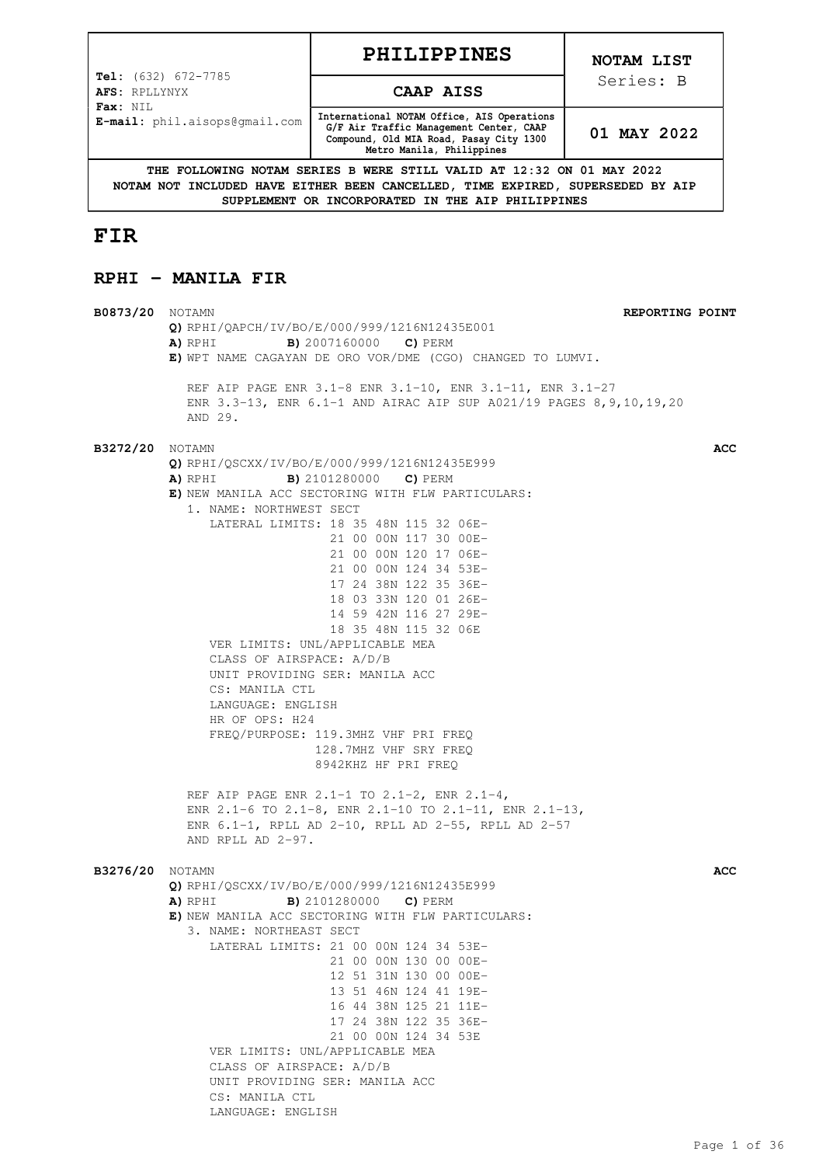# **PHILIPPINES**

**Tel:** (632) 672-7785 **AFS:** RPLLYNYX **Fax:** NIL **E-mail:** phil.aisops@gmail.com

#### **CAAP AISS**

**International NOTAM Office, AIS Operations G/F Air Traffic Management Center, CAAP Compound, Old MIA Road, Pasay City 1300 Metro Manila, Philippines**

**01 MAY 2022**

**THE FOLLOWING NOTAM SERIES B WERE STILL VALID AT 12:32 ON 01 MAY 2022 NOTAM NOT INCLUDED HAVE EITHER BEEN CANCELLED, TIME EXPIRED, SUPERSEDED BY AIP SUPPLEMENT OR INCORPORATED IN THE AIP PHILIPPINES**

**B0873/20** NOTAMN **REPORTING POINT**

# **FIR**

# **RPHI - MANILA FIR**

**Q)** RPHI/QAPCH/IV/BO/E/000/999/1216N12435E001 **A)** RPHI **B)** 2007160000 **C)** PERM **E)** WPT NAME CAGAYAN DE ORO VOR/DME (CGO) CHANGED TO LUMVI. REF AIP PAGE ENR 3.1-8 ENR 3.1-10, ENR 3.1-11, ENR 3.1-27 ENR 3.3-13, ENR 6.1-1 AND AIRAC AIP SUP A021/19 PAGES 8,9,10,19,20 AND 29. **B3272/20** NOTAMN **ACC Q)** RPHI/QSCXX/IV/BO/E/000/999/1216N12435E999 **A)** RPHI **B)** 2101280000 **C)** PERM **E)** NEW MANILA ACC SECTORING WITH FLW PARTICULARS: 1. NAME: NORTHWEST SECT LATERAL LIMITS: 18 35 48N 115 32 06E- 21 00 00N 117 30 00E- 21 00 00N 120 17 06E- 21 00 00N 124 34 53E- 17 24 38N 122 35 36E- 18 03 33N 120 01 26E- 14 59 42N 116 27 29E- 18 35 48N 115 32 06E VER LIMITS: UNL/APPLICABLE MEA CLASS OF AIRSPACE: A/D/B UNIT PROVIDING SER: MANILA ACC CS: MANILA CTL LANGUAGE: ENGLISH HR OF OPS: H24 FREQ/PURPOSE: 119.3MHZ VHF PRI FREQ 128.7MHZ VHF SRY FREQ 8942KHZ HF PRI FREQ REF AIP PAGE ENR 2.1-1 TO 2.1-2, ENR 2.1-4, ENR 2.1-6 TO 2.1-8, ENR 2.1-10 TO 2.1-11, ENR 2.1-13, ENR 6.1-1, RPLL AD 2-10, RPLL AD 2-55, RPLL AD 2-57 AND RPLL AD 2-97. **B3276/20** NOTAMN **ACC Q)** RPHI/QSCXX/IV/BO/E/000/999/1216N12435E999 **A)** RPHI **B)** 2101280000 **C)** PERM **E)** NEW MANILA ACC SECTORING WITH FLW PARTICULARS: 3. NAME: NORTHEAST SECT LATERAL LIMITS: 21 00 00N 124 34 53E- 21 00 00N 130 00 00E- 12 51 31N 130 00 00E- 13 51 46N 124 41 19E- 16 44 38N 125 21 11E- 17 24 38N 122 35 36E- 21 00 00N 124 34 53E VER LIMITS: UNL/APPLICABLE MEA CLASS OF AIRSPACE: A/D/B UNIT PROVIDING SER: MANILA ACC CS: MANILA CTL LANGUAGE: ENGLISH

**NOTAM LIST**

Series: B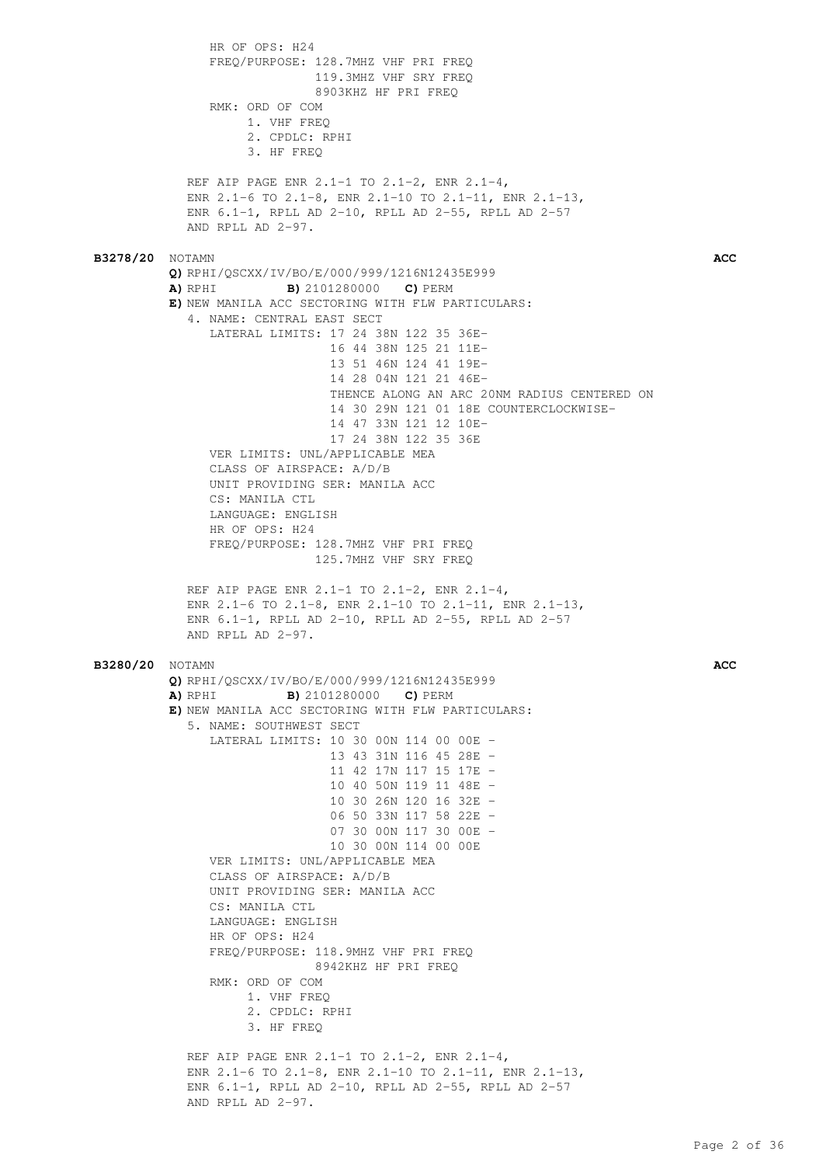HR OF OPS: H24 FREQ/PURPOSE: 128.7MHZ VHF PRI FREQ 119.3MHZ VHF SRY FREQ 8903KHZ HF PRI FREQ RMK: ORD OF COM 1. VHF FREQ 2. CPDLC: RPHI 3. HF FREQ REF AIP PAGE ENR 2.1-1 TO 2.1-2, ENR 2.1-4, ENR 2.1-6 TO 2.1-8, ENR 2.1-10 TO 2.1-11, ENR 2.1-13, ENR 6.1-1, RPLL AD 2-10, RPLL AD 2-55, RPLL AD 2-57 AND RPLL AD 2-97. **B3278/20** NOTAMN **ACC Q)** RPHI/QSCXX/IV/BO/E/000/999/1216N12435E999 **A)** RPHI **B)** 2101280000 **C)** PERM **E)** NEW MANILA ACC SECTORING WITH FLW PARTICULARS: 4. NAME: CENTRAL EAST SECT LATERAL LIMITS: 17 24 38N 122 35 36E- 16 44 38N 125 21 11E- 13 51 46N 124 41 19E- 14 28 04N 121 21 46E- THENCE ALONG AN ARC 20NM RADIUS CENTERED ON 14 30 29N 121 01 18E COUNTERCLOCKWISE- 14 47 33N 121 12 10E- 17 24 38N 122 35 36E VER LIMITS: UNL/APPLICABLE MEA CLASS OF AIRSPACE: A/D/B UNIT PROVIDING SER: MANILA ACC CS: MANILA CTL LANGUAGE: ENGLISH HR OF OPS: H24 FREQ/PURPOSE: 128.7MHZ VHF PRI FREQ 125.7MHZ VHF SRY FREQ REF AIP PAGE ENR 2.1-1 TO 2.1-2, ENR 2.1-4, ENR 2.1-6 TO 2.1-8, ENR 2.1-10 TO 2.1-11, ENR 2.1-13, ENR 6.1-1, RPLL AD 2-10, RPLL AD 2-55, RPLL AD 2-57 AND RPLL AD 2-97. **B3280/20** NOTAMN **ACC Q)** RPHI/QSCXX/IV/BO/E/000/999/1216N12435E999 **A)** RPHI **B)** 2101280000 **C)** PERM **E)** NEW MANILA ACC SECTORING WITH FLW PARTICULARS: 5. NAME: SOUTHWEST SECT LATERAL LIMITS: 10 30 00N 114 00 00E - 13 43 31N 116 45 28E - 11 42 17N 117 15 17E - 10 40 50N 119 11 48E - 10 30 26N 120 16 32E - 06 50 33N 117 58 22E - 07 30 00N 117 30 00E - 10 30 00N 114 00 00E VER LIMITS: UNL/APPLICABLE MEA CLASS OF AIRSPACE: A/D/B UNIT PROVIDING SER: MANILA ACC CS · MANILA CTL LANGUAGE: ENGLISH HR OF OPS: H24 FREQ/PURPOSE: 118.9MHZ VHF PRI FREQ 8942KHZ HF PRI FREQ RMK: ORD OF COM 1. VHF FREQ 2. CPDLC: RPHI 3. HF FREQ REF AIP PAGE ENR 2.1-1 TO 2.1-2, ENR 2.1-4, ENR 2.1-6 TO 2.1-8, ENR 2.1-10 TO 2.1-11, ENR 2.1-13, ENR 6.1-1, RPLL AD 2-10, RPLL AD 2-55, RPLL AD 2-57 AND RPLL AD 2-97.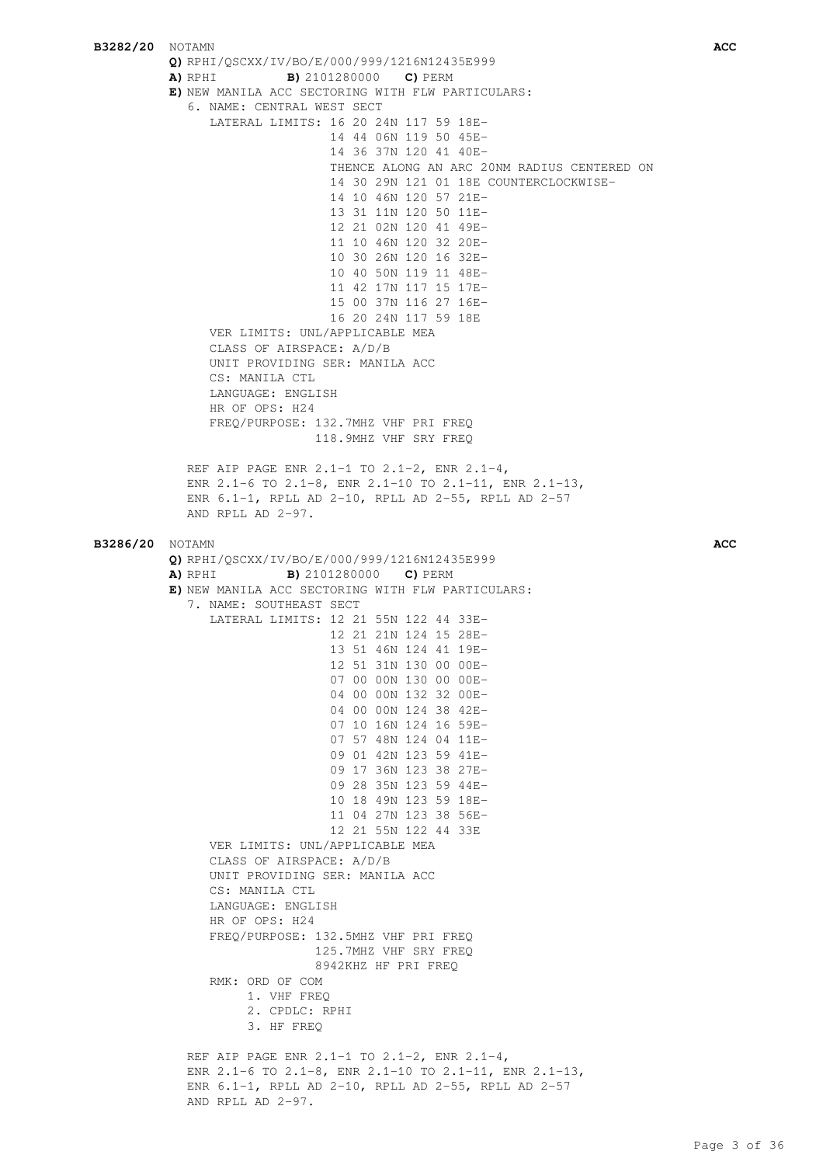**B3282/20** NOTAMN **ACC Q)** RPHI/QSCXX/IV/BO/E/000/999/1216N12435E999 **A)** RPHI **B)** 2101280000 **C)** PERM **E)** NEW MANILA ACC SECTORING WITH FLW PARTICULARS: 6. NAME: CENTRAL WEST SECT LATERAL LIMITS: 16 20 24N 117 59 18E- 14 44 06N 119 50 45E- 14 36 37N 120 41 40E- THENCE ALONG AN ARC 20NM RADIUS CENTERED ON 14 30 29N 121 01 18E COUNTERCLOCKWISE- 14 10 46N 120 57 21E- 13 31 11N 120 50 11E- 12 21 02N 120 41 49E- 11 10 46N 120 32 20E- 10 30 26N 120 16 32E- 10 40 50N 119 11 48E- 11 42 17N 117 15 17E- 15 00 37N 116 27 16E- 16 20 24N 117 59 18E VER LIMITS: UNL/APPLICABLE MEA CLASS OF AIRSPACE: A/D/B UNIT PROVIDING SER: MANILA ACC CS: MANILA CTL LANGUAGE: ENGLISH HR OF OPS: H24 FREQ/PURPOSE: 132.7MHZ VHF PRI FREQ 118.9MHZ VHF SRY FREQ REF AIP PAGE ENR 2.1-1 TO 2.1-2, ENR 2.1-4, ENR 2.1-6 TO 2.1-8, ENR 2.1-10 TO 2.1-11, ENR 2.1-13, ENR 6.1-1, RPLL AD 2-10, RPLL AD 2-55, RPLL AD 2-57 AND RPLL AD 2-97. **B3286/20** NOTAMN **ACC Q)** RPHI/QSCXX/IV/BO/E/000/999/1216N12435E999 **A)** RPHI **B)** 2101280000 **C)** PERM **E)** NEW MANILA ACC SECTORING WITH FLW PARTICULARS: 7. NAME: SOUTHEAST SECT LATERAL LIMITS: 12 21 55N 122 44 33E- 12 21 21N 124 15 28E- 13 51 46N 124 41 19E- 12 51 31N 130 00 00E- 07 00 00N 130 00 00E- 04 00 00N 132 32 00E- 04 00 00N 124 38 42E- 07 10 16N 124 16 59E- 07 57 48N 124 04 11E- 09 01 42N 123 59 41E- 09 17 36N 123 38 27E- 09 28 35N 123 59 44E- 10 18 49N 123 59 18E- 11 04 27N 123 38 56E- 12 21 55N 122 44 33E VER LIMITS: UNL/APPLICABLE MEA CLASS OF AIRSPACE: A/D/B UNIT PROVIDING SER: MANILA ACC CS · MANILA CTL LANGUAGE: ENGLISH HR OF OPS: H24 FREQ/PURPOSE: 132.5MHZ VHF PRI FREQ 125.7MHZ VHF SRY FREQ 8942KHZ HF PRI FREQ RMK: ORD OF COM 1. VHF FREQ 2. CPDLC: RPHI 3. HF FREQ REF AIP PAGE ENR 2.1-1 TO 2.1-2, ENR 2.1-4, ENR 2.1-6 TO 2.1-8, ENR 2.1-10 TO 2.1-11, ENR 2.1-13, ENR 6.1-1, RPLL AD 2-10, RPLL AD 2-55, RPLL AD 2-57 AND RPLL AD 2-97.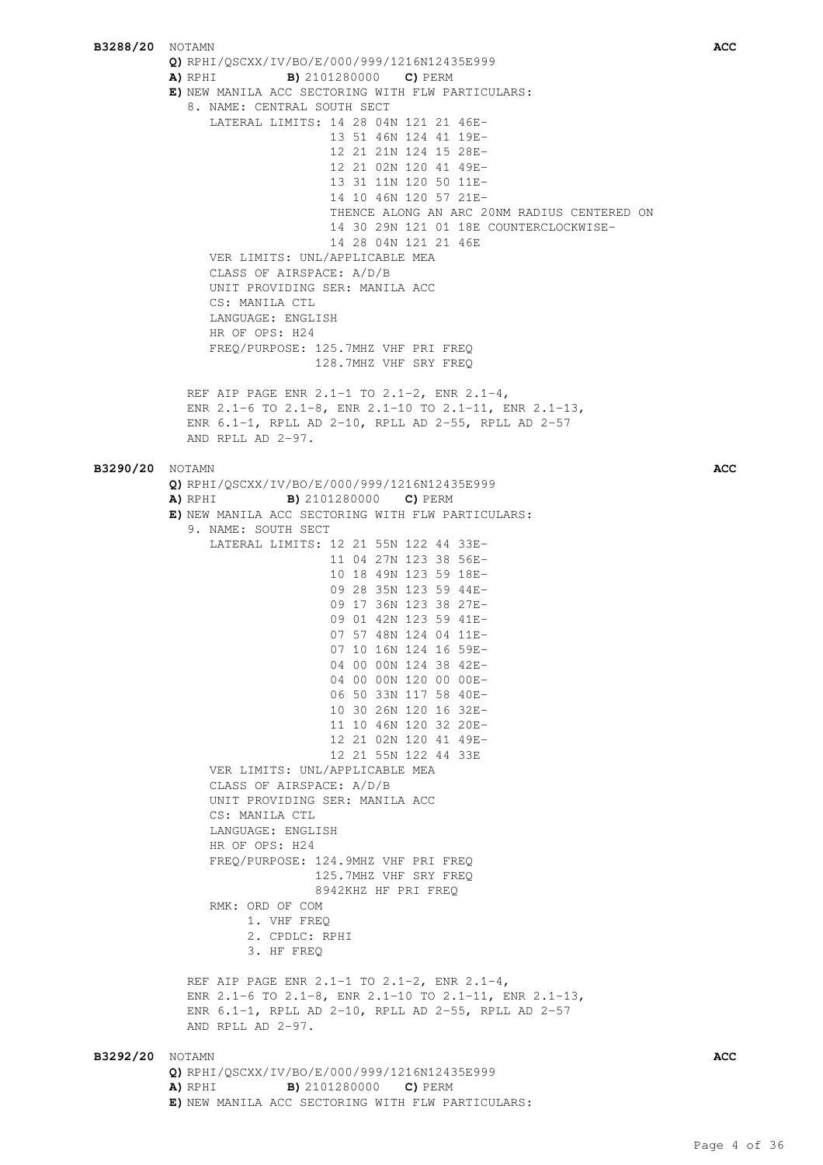**B3288/20** NOTAMN **ACC Q)** RPHI/QSCXX/IV/BO/E/000/999/1216N12435E999 **A)** RPHI **B)** 2101280000 **C)** PERM **E)** NEW MANILA ACC SECTORING WITH FLW PARTICULARS: 8. NAME: CENTRAL SOUTH SECT LATERAL LIMITS: 14 28 04N 121 21 46E- 13 51 46N 124 41 19E- 12 21 21N 124 15 28E- 12 21 02N 120 41 49E- 13 31 11N 120 50 11E- 14 10 46N 120 57 21E- THENCE ALONG AN ARC 20NM RADIUS CENTERED ON 14 30 29N 121 01 18E COUNTERCLOCKWISE- 14 28 04N 121 21 46E VER LIMITS: UNL/APPLICABLE MEA CLASS OF AIRSPACE: A/D/B UNIT PROVIDING SER: MANILA ACC CS: MANILA CTL LANGUAGE: ENGLISH HR OF OPS: H24 FREQ/PURPOSE: 125.7MHZ VHF PRI FREQ 128.7MHZ VHF SRY FREQ REF AIP PAGE ENR 2.1-1 TO 2.1-2, ENR 2.1-4, ENR 2.1-6 TO 2.1-8, ENR 2.1-10 TO 2.1-11, ENR 2.1-13, ENR 6.1-1, RPLL AD 2-10, RPLL AD 2-55, RPLL AD 2-57 AND RPLL AD 2-97. **B3290/20** NOTAMN **ACC Q)** RPHI/QSCXX/IV/BO/E/000/999/1216N12435E999 **A)** RPHI **B)** 2101280000 **C)** PERM **E)** NEW MANILA ACC SECTORING WITH FLW PARTICULARS: 9. NAME: SOUTH SECT LATERAL LIMITS: 12 21 55N 122 44 33E- 11 04 27N 123 38 56E- 10 18 49N 123 59 18E- 09 28 35N 123 59 44E- 09 17 36N 123 38 27E- 09 01 42N 123 59 41E- 07 57 48N 124 04 11E- 07 10 16N 124 16 59E- 04 00 00N 124 38 42E- 04 00 00N 120 00 00E- 06 50 33N 117 58 40E- 10 30 26N 120 16 32E- 11 10 46N 120 32 20E- 12 21 02N 120 41 49E- 12 21 55N 122 44 33E VER LIMITS: UNL/APPLICABLE MEA CLASS OF AIRSPACE: A/D/B UNIT PROVIDING SER: MANILA ACC CS: MANILA CTL LANGUAGE: ENGLISH HR OF OPS: H24 FREQ/PURPOSE: 124.9MHZ VHF PRI FREQ 125.7MHZ VHF SRY FREQ 8942KHZ HF PRI FREQ RMK: ORD OF COM 1. VHF FREQ 2. CPDLC: RPHI 3. HF FREQ REF AIP PAGE ENR 2.1-1 TO 2.1-2, ENR 2.1-4, ENR 2.1-6 TO 2.1-8, ENR 2.1-10 TO 2.1-11, ENR 2.1-13, ENR 6.1-1, RPLL AD 2-10, RPLL AD 2-55, RPLL AD 2-57 AND RPLL AD  $2-97$ . **B3292/20** NOTAMN **ACC Q)** RPHI/QSCXX/IV/BO/E/000/999/1216N12435E999 **A)** RPHI **B)** 2101280000 **C)** PERM **E)** NEW MANILA ACC SECTORING WITH FLW PARTICULARS: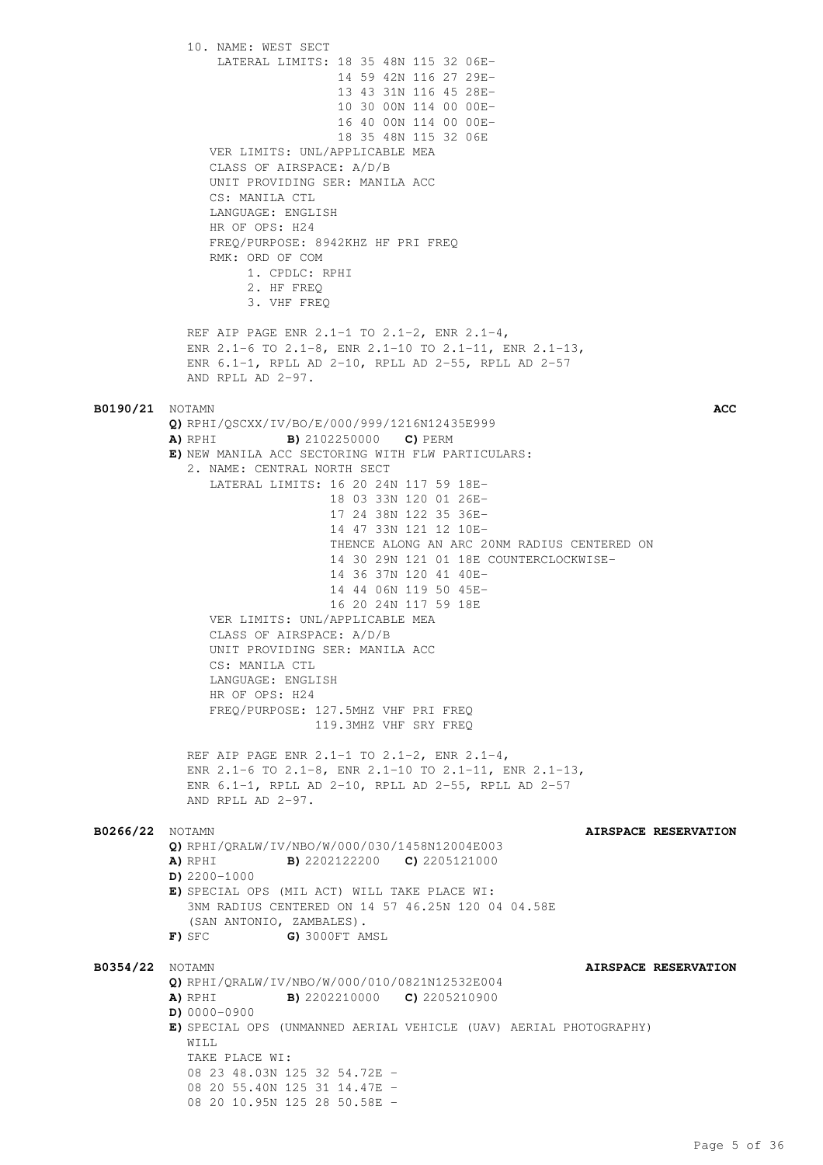10. NAME: WEST SECT LATERAL LIMITS: 18 35 48N 115 32 06E- 14 59 42N 116 27 29E- 13 43 31N 116 45 28E- 10 30 00N 114 00 00E- 16 40 00N 114 00 00E- 18 35 48N 115 32 06E VER LIMITS: UNL/APPLICABLE MEA CLASS OF AIRSPACE: A/D/B UNIT PROVIDING SER: MANILA ACC CS: MANILA CTL LANGUAGE: ENGLISH HR OF OPS: H24 FREQ/PURPOSE: 8942KHZ HF PRI FREQ RMK: ORD OF COM 1. CPDLC: RPHI 2. HF FREQ 3. VHF FREQ REF AIP PAGE ENR 2.1-1 TO 2.1-2, ENR 2.1-4, ENR 2.1-6 TO 2.1-8, ENR 2.1-10 TO 2.1-11, ENR 2.1-13, ENR 6.1-1, RPLL AD 2-10, RPLL AD 2-55, RPLL AD 2-57 AND RPLL AD  $2-97$ . **B0190/21** NOTAMN **ACC Q)** RPHI/QSCXX/IV/BO/E/000/999/1216N12435E999 **A)** RPHI **B)** 2102250000 **C)** PERM **E)** NEW MANILA ACC SECTORING WITH FLW PARTICULARS: 2. NAME: CENTRAL NORTH SECT LATERAL LIMITS: 16 20 24N 117 59 18E- 18 03 33N 120 01 26E- 17 24 38N 122 35 36E- 14 47 33N 121 12 10E- THENCE ALONG AN ARC 20NM RADIUS CENTERED ON 14 30 29N 121 01 18E COUNTERCLOCKWISE- 14 36 37N 120 41 40E- 14 44 06N 119 50 45E- 16 20 24N 117 59 18E VER LIMITS: UNL/APPLICABLE MEA CLASS OF AIRSPACE: A/D/B UNIT PROVIDING SER: MANILA ACC CS: MANILA CTL LANGUAGE: ENGLISH HR OF OPS: H24 FREQ/PURPOSE: 127.5MHZ VHF PRI FREQ 119.3MHZ VHF SRY FREQ REF AIP PAGE ENR 2.1-1 TO 2.1-2, ENR 2.1-4, ENR 2.1-6 TO 2.1-8, ENR 2.1-10 TO 2.1-11, ENR 2.1-13, ENR 6.1-1, RPLL AD 2-10, RPLL AD 2-55, RPLL AD 2-57 AND RPLL AD 2-97. **B0266/22** NOTAMN **AIRSPACE RESERVATION Q)** RPHI/QRALW/IV/NBO/W/000/030/1458N12004E003 **A)** RPHI **B)** 2202122200 **C)** 2205121000 **D)** 2200-1000 **E)** SPECIAL OPS (MIL ACT) WILL TAKE PLACE WI: 3NM RADIUS CENTERED ON 14 57 46.25N 120 04 04.58E (SAN ANTONIO, ZAMBALES). **F)** SFC **G)** 3000FT AMSL **B0354/22** NOTAMN **AIRSPACE RESERVATION Q)** RPHI/QRALW/IV/NBO/W/000/010/0821N12532E004 **A)** RPHI **B)** 2202210000 **C)** 2205210900 **D)** 0000-0900 **E)** SPECIAL OPS (UNMANNED AERIAL VEHICLE (UAV) AERIAL PHOTOGRAPHY) WILL. TAKE PLACE WI: 08 23 48.03N 125 32 54.72E - 08 20 55.40N 125 31 14.47E - 08 20 10.95N 125 28 50.58E -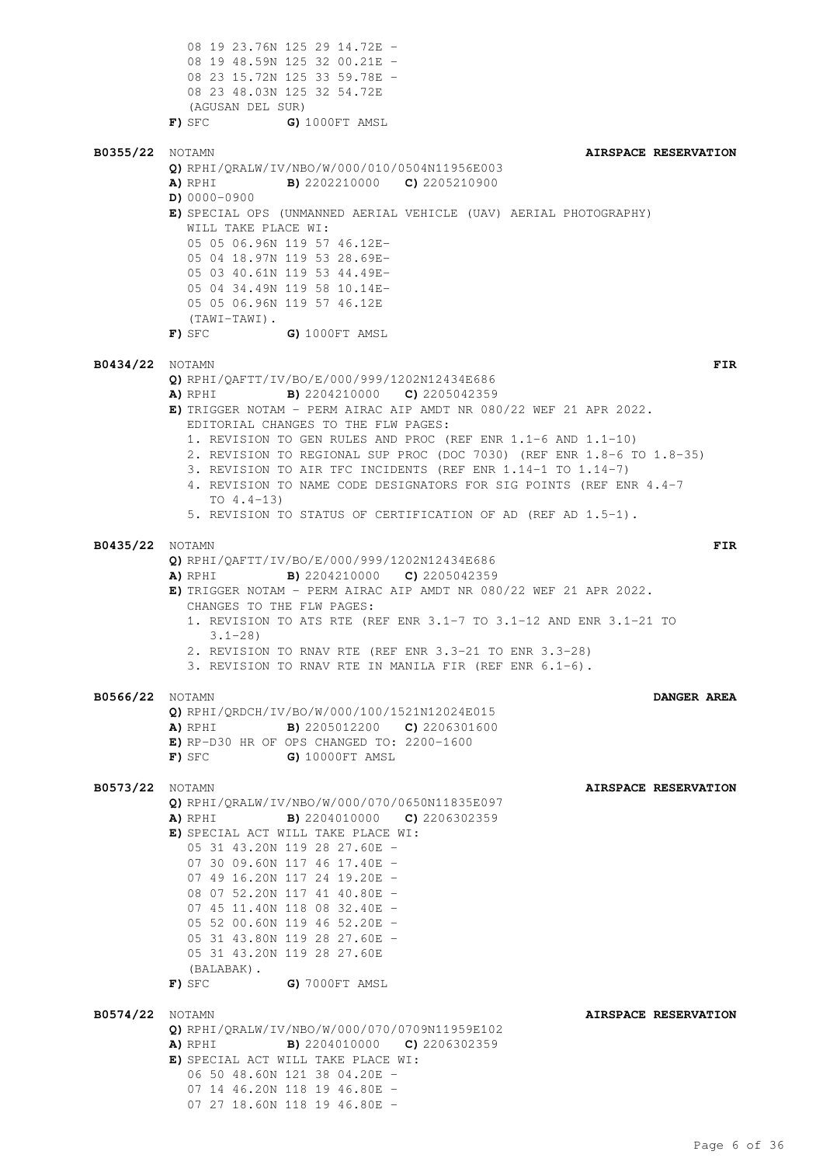08 19 23.76N 125 29 14.72E - 08 19 48.59N 125 32 00.21E - 08 23 15.72N 125 33 59.78E - 08 23 48.03N 125 32 54.72E (AGUSAN DEL SUR) **F)** SFC **G)** 1000FT AMSL **B0355/22** NOTAMN **AIRSPACE RESERVATION Q)** RPHI/QRALW/IV/NBO/W/000/010/0504N11956E003 **A)** RPHI **B)** 2202210000 **C)** 2205210900 **D)** 0000-0900 **E)** SPECIAL OPS (UNMANNED AERIAL VEHICLE (UAV) AERIAL PHOTOGRAPHY) WILL TAKE PLACE WI: 05 05 06.96N 119 57 46.12E-05 04 18.97N 119 53 28.69E-05 03 40.61N 119 53 44.49E-05 04 34.49N 119 58 10.14E-05 05 06.96N 119 57 46.12E (TAWI-TAWI). **F)** SFC **G)** 1000FT AMSL **B0434/22** NOTAMN **FIR Q)** RPHI/QAFTT/IV/BO/E/000/999/1202N12434E686 **A)** RPHI **B)** 2204210000 **C)** 2205042359 **E)** TRIGGER NOTAM - PERM AIRAC AIP AMDT NR 080/22 WEF 21 APR 2022. EDITORIAL CHANGES TO THE FLW PAGES: 1. REVISION TO GEN RULES AND PROC (REF ENR 1.1-6 AND 1.1-10) 2. REVISION TO REGIONAL SUP PROC (DOC 7030) (REF ENR 1.8-6 TO 1.8-35) 3. REVISION TO AIR TFC INCIDENTS (REF ENR 1.14-1 TO 1.14-7) 4. REVISION TO NAME CODE DESIGNATORS FOR SIG POINTS (REF ENR 4.4-7 TO  $4.4-13$ ) 5. REVISION TO STATUS OF CERTIFICATION OF AD (REF AD 1.5-1). **B0435/22** NOTAMN **FIR Q)** RPHI/QAFTT/IV/BO/E/000/999/1202N12434E686 **A)** RPHI **B)** 2204210000 **C)** 2205042359 **E)** TRIGGER NOTAM - PERM AIRAC AIP AMDT NR 080/22 WEF 21 APR 2022. CHANGES TO THE FLW PAGES: 1. REVISION TO ATS RTE (REF ENR 3.1-7 TO 3.1-12 AND ENR 3.1-21 TO  $3.1 - 28$ 2. REVISION TO RNAV RTE (REF ENR 3.3-21 TO ENR 3.3-28) 3. REVISION TO RNAV RTE IN MANILA FIR (REF ENR 6.1-6). **B0566/22** NOTAMN **DANGER AREA Q)** RPHI/QRDCH/IV/BO/W/000/100/1521N12024E015 **A)** RPHI **B)** 2205012200 **C)** 2206301600 **E)** RP-D30 HR OF OPS CHANGED TO: 2200-1600 **F)** SFC **G)** 10000FT AMSL **B0573/22** NOTAMN **AIRSPACE RESERVATION Q)** RPHI/QRALW/IV/NBO/W/000/070/0650N11835E097 **A)** RPHI **B)** 2204010000 **C)** 2206302359 **E)** SPECIAL ACT WILL TAKE PLACE WI: 05 31 43.20N 119 28 27.60E - 07 30 09.60N 117 46 17.40E - 07 49 16.20N 117 24 19.20E -08 07 52.20N 117 41 40.80E - 07 45 11.40N 118 08 32.40E -05 52 00.60N 119 46 52.20E - 05 31 43.80N 119 28 27.60E - 05 31 43.20N 119 28 27.60E (BALABAK). **F)** SFC **G)** 7000FT AMSL **B0574/22** NOTAMN **AIRSPACE RESERVATION Q)** RPHI/QRALW/IV/NBO/W/000/070/0709N11959E102 **A)** RPHI **B)** 2204010000 **C)** 2206302359 **E)** SPECIAL ACT WILL TAKE PLACE WI: 06 50 48.60N 121 38 04.20E - 07 14 46.20N 118 19 46.80E - 07 27 18.60N 118 19 46.80E -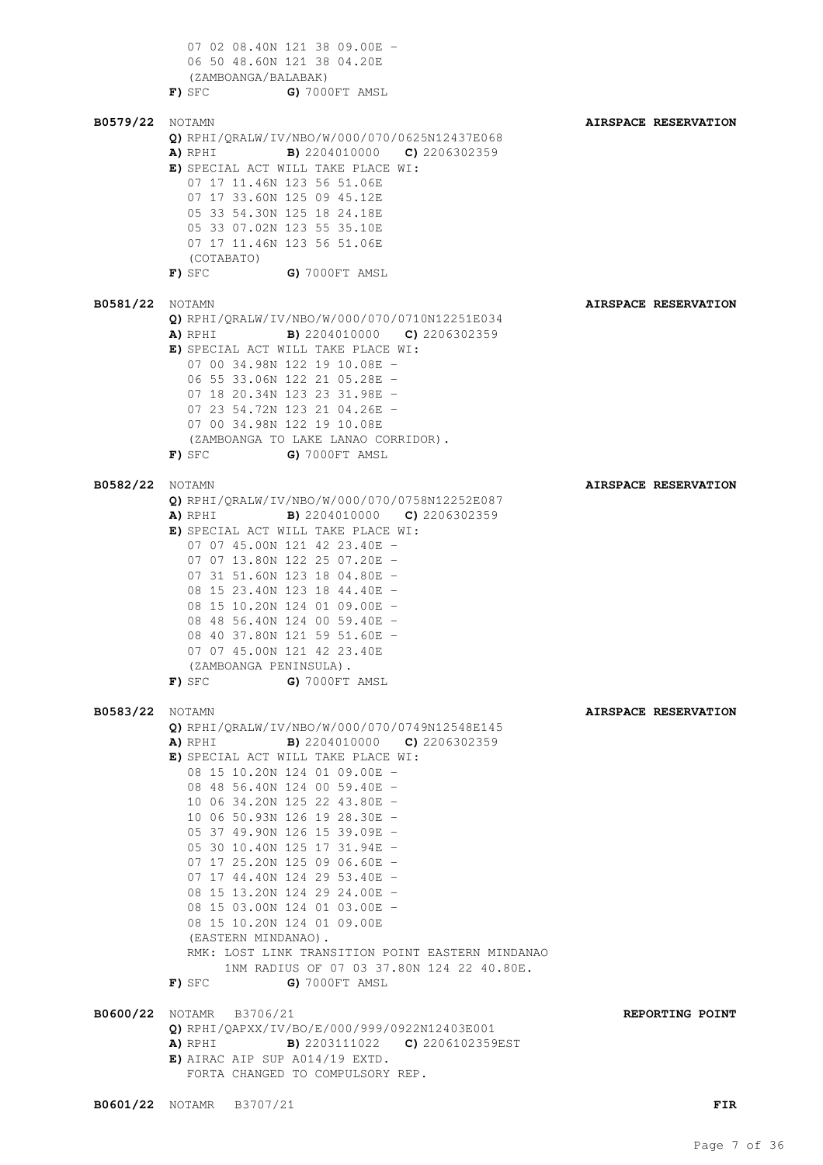07 02 08.40N 121 38 09.00E -06 50 48.60N 121 38 04.20E (ZAMBOANGA/BALABAK) **F)** SFC **G)** 7000FT AMSL **B0579/22** NOTAMN **AIRSPACE RESERVATION Q)** RPHI/QRALW/IV/NBO/W/000/070/0625N12437E068 **A)** RPHI **B)** 2204010000 **C)** 2206302359 **E)** SPECIAL ACT WILL TAKE PLACE WI: 07 17 11.46N 123 56 51.06E 07 17 33.60N 125 09 45.12E 05 33 54.30N 125 18 24.18E 05 33 07.02N 123 55 35.10E 07 17 11.46N 123 56 51.06E (COTABATO) **F)** SFC **G)** 7000FT AMSL **B0581/22** NOTAMN **AIRSPACE RESERVATION Q)** RPHI/QRALW/IV/NBO/W/000/070/0710N12251E034 **A)** RPHI **B)** 2204010000 **C)** 2206302359 **E)** SPECIAL ACT WILL TAKE PLACE WI: 07 00 34.98N 122 19 10.08E - 06 55 33.06N 122 21 05.28E - 07 18 20.34N 123 23 31.98E - 07 23 54.72N 123 21 04.26E - 07 00 34.98N 122 19 10.08E (ZAMBOANGA TO LAKE LANAO CORRIDOR). **F)** SFC **G)** 7000FT AMSL **B0582/22** NOTAMN **AIRSPACE RESERVATION Q)** RPHI/QRALW/IV/NBO/W/000/070/0758N12252E087 **A)** RPHI **B)** 2204010000 **C)** 2206302359 **E)** SPECIAL ACT WILL TAKE PLACE WI: 07 07 45.00N 121 42 23.40E - 07 07 13.80N 122 25 07.20E -07 31 51.60N 123 18 04.80E -08 15 23.40N 123 18 44.40E - 08 15 10.20N 124 01 09.00E - 08 48 56.40N 124 00 59.40E -08 40 37.80N 121 59 51.60E -07 07 45.00N 121 42 23.40E (ZAMBOANGA PENINSULA). **F)** SFC **G)** 7000FT AMSL **B0583/22** NOTAMN **AIRSPACE RESERVATION Q)** RPHI/QRALW/IV/NBO/W/000/070/0749N12548E145 **A)** RPHI **B)** 2204010000 **C)** 2206302359 **E)** SPECIAL ACT WILL TAKE PLACE WI: 08 15 10.20N 124 01 09.00E - 08 48 56.40N 124 00 59.40E - 10 06 34.20N 125 22 43.80E - 10 06 50.93N 126 19 28.30E - 05 37 49.90N 126 15 39.09E - 05 30 10.40N 125 17 31.94E - 07 17 25.20N 125 09 06.60E - 07 17 44.40N 124 29 53.40E -08 15 13.20N 124 29 24.00E - 08 15 03.00N 124 01 03.00E - 08 15 10.20N 124 01 09.00E (EASTERN MINDANAO). RMK: LOST LINK TRANSITION POINT EASTERN MINDANAO 1NM RADIUS OF 07 03 37.80N 124 22 40.80E. **F)** SFC **G)** 7000FT AMSL **B0600/22** NOTAMR B3706/21 **REPORTING POINT Q)** RPHI/QAPXX/IV/BO/E/000/999/0922N12403E001 **A)** RPHI **B)** 2203111022 **C)** 2206102359EST **E)** AIRAC AIP SUP A014/19 EXTD. FORTA CHANGED TO COMPULSORY REP.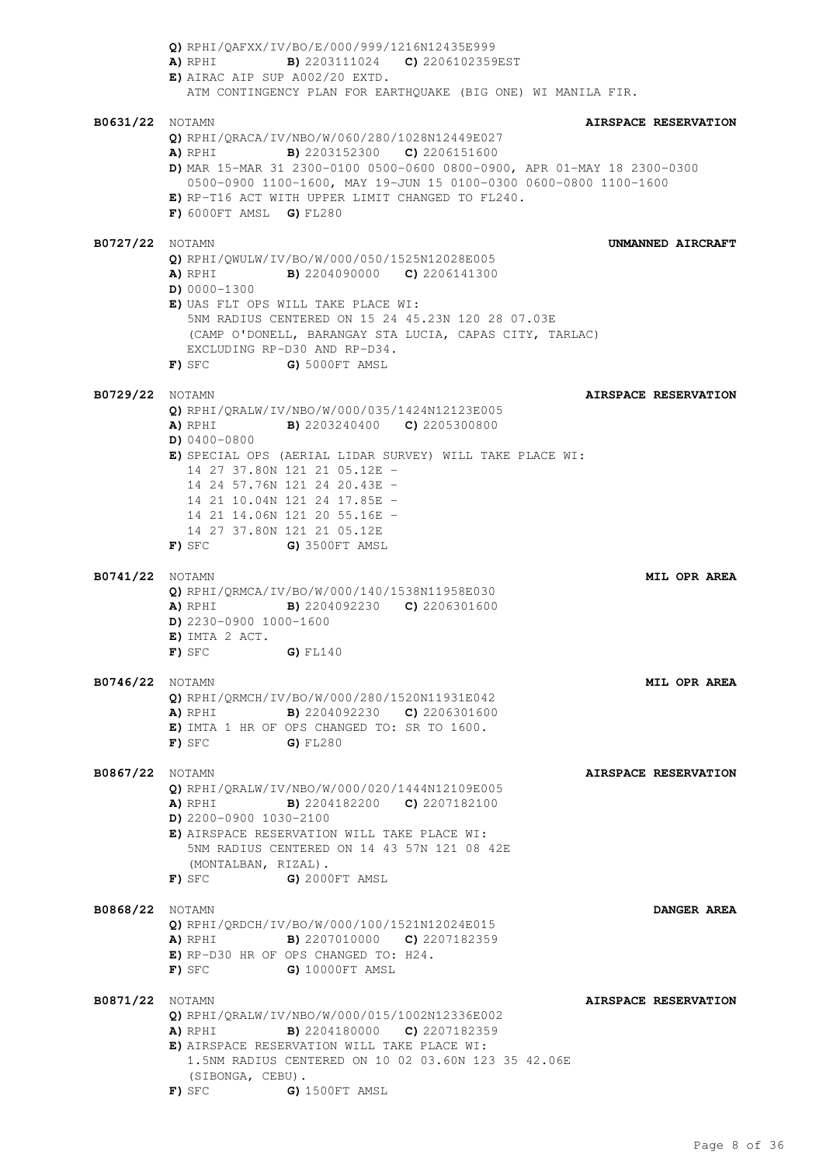**Q)** RPHI/QAFXX/IV/BO/E/000/999/1216N12435E999 **A)** RPHI **B)** 2203111024 **C)** 2206102359EST **E)** AIRAC AIP SUP A002/20 EXTD. ATM CONTINGENCY PLAN FOR EARTHQUAKE (BIG ONE) WI MANILA FIR. **B0631/22** NOTAMN **AIRSPACE RESERVATION Q)** RPHI/QRACA/IV/NBO/W/060/280/1028N12449E027 **A)** RPHI **B)** 2203152300 **C)** 2206151600 **D)** MAR 15-MAR 31 2300-0100 0500-0600 0800-0900, APR 01-MAY 18 2300-0300 0500-0900 1100-1600, MAY 19-JUN 15 0100-0300 0600-0800 1100-1600 **E)** RP-T16 ACT WITH UPPER LIMIT CHANGED TO FL240. **F)** 6000FT AMSL **G)** FL280 **B0727/22** NOTAMN **UNMANNED AIRCRAFT Q)** RPHI/QWULW/IV/BO/W/000/050/1525N12028E005 **A)** RPHI **B)** 2204090000 **C)** 2206141300 **D)** 0000-1300 **E)** UAS FLT OPS WILL TAKE PLACE WI: 5NM RADIUS CENTERED ON 15 24 45.23N 120 28 07.03E (CAMP O'DONELL, BARANGAY STA LUCIA, CAPAS CITY, TARLAC) EXCLUDING RP-D30 AND RP-D34. **F)** SFC **G)** 5000FT AMSL **B0729/22** NOTAMN **AIRSPACE RESERVATION Q)** RPHI/QRALW/IV/NBO/W/000/035/1424N12123E005 **A)** RPHI **B)** 2203240400 **C)** 2205300800 **D)** 0400-0800 **E)** SPECIAL OPS (AERIAL LIDAR SURVEY) WILL TAKE PLACE WI: 14 27 37.80N 121 21 05.12E - 14 24 57.76N 121 24 20.43E - 14 21 10.04N 121 24 17.85E - 14 21 14.06N 121 20 55.16E - 14 27 37.80N 121 21 05.12E **F)** SFC **G)** 3500FT AMSL **B0741/22** NOTAMN **MIL OPR AREA Q)** RPHI/QRMCA/IV/BO/W/000/140/1538N11958E030 **A)** RPHI **B)** 2204092230 **C)** 2206301600 **D)** 2230-0900 1000-1600 **E)** IMTA 2 ACT. **F)** SFC **G)** FL140 **B0746/22** NOTAMN **MIL OPR AREA Q)** RPHI/QRMCH/IV/BO/W/000/280/1520N11931E042 **A)** RPHI **B)** 2204092230 **C)** 2206301600 **E)** IMTA 1 HR OF OPS CHANGED TO: SR TO 1600. **F)** SFC **G)** FL280 **B0867/22** NOTAMN **AIRSPACE RESERVATION Q)** RPHI/QRALW/IV/NBO/W/000/020/1444N12109E005 **A)** RPHI **B)** 2204182200 **C)** 2207182100 **D)** 2200-0900 1030-2100 **E)** AIRSPACE RESERVATION WILL TAKE PLACE WI: 5NM RADIUS CENTERED ON 14 43 57N 121 08 42E (MONTALBAN, RIZAL). **F)** SFC **G)** 2000FT AMSL **B0868/22** NOTAMN **DANGER AREA Q)** RPHI/QRDCH/IV/BO/W/000/100/1521N12024E015 **A)** RPHI **B)** 2207010000 **C)** 2207182359 **E)** RP-D30 HR OF OPS CHANGED TO: H24. **F)** SFC **G)** 10000FT AMSL **B0871/22** NOTAMN **AIRSPACE RESERVATION Q)** RPHI/QRALW/IV/NBO/W/000/015/1002N12336E002 **A)** RPHI **B)** 2204180000 **C)** 2207182359 **E)** AIRSPACE RESERVATION WILL TAKE PLACE WI: 1.5NM RADIUS CENTERED ON 10 02 03.60N 123 35 42.06E (SIBONGA, CEBU). **F)** SFC **G)** 1500FT AMSL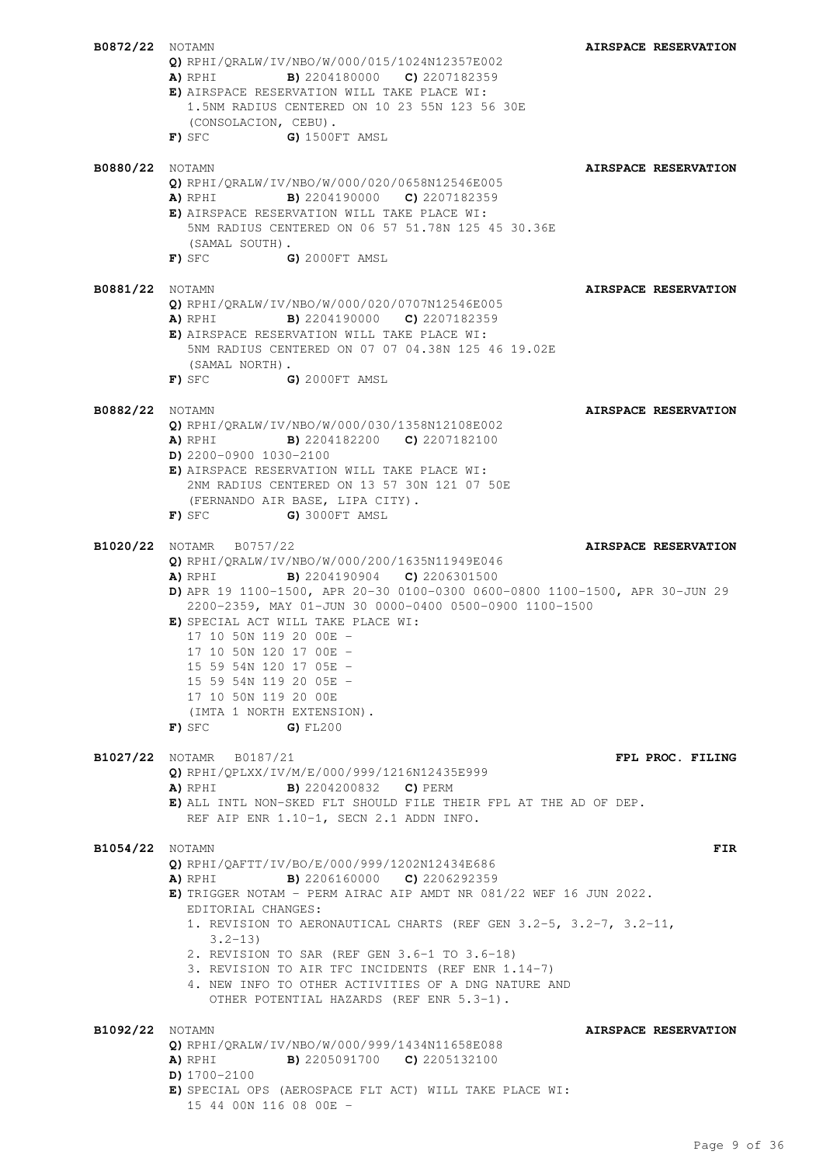| <b>B0872/22</b> NOTAMN |                                                                                                          | AIRSPACE RESERVATION |
|------------------------|----------------------------------------------------------------------------------------------------------|----------------------|
|                        | Q) RPHI/QRALW/IV/NBO/W/000/015/1024N12357E002                                                            |                      |
|                        | <b>A)</b> RPHI <b>B)</b> 2204180000 <b>C)</b> 2207182359<br>E) AIRSPACE RESERVATION WILL TAKE PLACE WI:  |                      |
|                        | 1.5NM RADIUS CENTERED ON 10 23 55N 123 56 30E                                                            |                      |
|                        | (CONSOLACION, CEBU).                                                                                     |                      |
|                        | G) 1500FT AMSL<br>$\mathbf F$ ) sfc                                                                      |                      |
|                        |                                                                                                          |                      |
| B0880/22               | NOTAMN<br>$Q)$ RPHI/QRALW/IV/NBO/W/000/020/0658N12546E005                                                | AIRSPACE RESERVATION |
|                        | <b>B)</b> 2204190000 <b>C)</b> 2207182359<br>A) RPHI                                                     |                      |
|                        | E) AIRSPACE RESERVATION WILL TAKE PLACE WI:                                                              |                      |
|                        | 5NM RADIUS CENTERED ON 06 57 51.78N 125 45 30.36E                                                        |                      |
|                        | (SAMAL SOUTH).<br>$F)$ SFC $G)$ 2000FT AMSL                                                              |                      |
|                        |                                                                                                          |                      |
| <b>B0881/22</b> NOTAMN |                                                                                                          | AIRSPACE RESERVATION |
|                        | Q) RPHI/QRALW/IV/NBO/W/000/020/0707N12546E005                                                            |                      |
|                        | <b>A)</b> RPHI <b>B)</b> 2204190000 <b>C)</b> 2207182359<br>E) AIRSPACE RESERVATION WILL TAKE PLACE WI:  |                      |
|                        | 5NM RADIUS CENTERED ON 07 07 04.38N 125 46 19.02E                                                        |                      |
|                        | (SAMAL NORTH).                                                                                           |                      |
|                        | $F)$ SFC $G)$ 2000FT AMSL                                                                                |                      |
| <b>B0882/22</b> NOTAMN |                                                                                                          | AIRSPACE RESERVATION |
|                        | Q) RPHI/QRALW/IV/NBO/W/000/030/1358N12108E002                                                            |                      |
|                        | <b>A)</b> RPHI <b>B)</b> 2204182200 <b>C)</b> 2207182100                                                 |                      |
|                        | $D)$ 2200-0900 1030-2100                                                                                 |                      |
|                        | E) AIRSPACE RESERVATION WILL TAKE PLACE WI:<br>2NM RADIUS CENTERED ON 13 57 30N 121 07 50E               |                      |
|                        | (FERNANDO AIR BASE, LIPA CITY).                                                                          |                      |
|                        | G) 3000FT AMSL<br>F) sfc                                                                                 |                      |
| B1020/22               | NOTAMR B0757/22                                                                                          | AIRSPACE RESERVATION |
|                        | Q) RPHI/QRALW/IV/NBO/W/000/200/1635N11949E046                                                            |                      |
|                        | <b>A)</b> RPHI <b>B)</b> 2204190904 <b>C)</b> 2206301500                                                 |                      |
|                        | D) APR 19 1100-1500, APR 20-30 0100-0300 0600-0800 1100-1500, APR 30-JUN 29                              |                      |
|                        | 2200-2359, MAY 01-JUN 30 0000-0400 0500-0900 1100-1500<br>E) SPECIAL ACT WILL TAKE PLACE WI:             |                      |
|                        | 17 10 50N 119 20 00E -                                                                                   |                      |
|                        | 17 10 50N 120 17 00E -                                                                                   |                      |
|                        | 15 59 54N 120 17 05E -                                                                                   |                      |
|                        | 15 59 54N 119 20 05E -<br>17 10 50N 119 20 00E                                                           |                      |
|                        | (IMTA 1 NORTH EXTENSION).                                                                                |                      |
|                        | $F)$ sfc<br>$G)$ FL200                                                                                   |                      |
|                        |                                                                                                          |                      |
|                        | <b>B1027/22</b> NOTAMR B0187/21<br>Q) RPHI/QPLXX/IV/M/E/000/999/1216N12435E999                           | FPL PROC. FILING     |
|                        | <b>B)</b> 2204200832 <b>C)</b> PERM<br>A) RPHI                                                           |                      |
|                        | E) ALL INTL NON-SKED FLT SHOULD FILE THEIR FPL AT THE AD OF DEP.                                         |                      |
|                        | REF AIP ENR 1.10-1, SECN 2.1 ADDN INFO.                                                                  |                      |
| <b>B1054/22</b> NOTAMN |                                                                                                          | FIR                  |
|                        | Q) RPHI/OAFTT/IV/BO/E/000/999/1202N12434E686                                                             |                      |
|                        | <b>A)</b> RPHI <b>B)</b> 2206160000 <b>C)</b> 2206292359                                                 |                      |
|                        | E) TRIGGER NOTAM - PERM AIRAC AIP AMDT NR 081/22 WEF 16 JUN 2022.<br>EDITORIAL CHANGES:                  |                      |
|                        | 1. REVISION TO AERONAUTICAL CHARTS (REF GEN 3.2-5, 3.2-7, 3.2-11,                                        |                      |
|                        | $3.2 - 13$                                                                                               |                      |
|                        | 2. REVISION TO SAR (REF GEN 3.6-1 TO 3.6-18)                                                             |                      |
|                        | 3. REVISION TO AIR TFC INCIDENTS (REF ENR 1.14-7)<br>4. NEW INFO TO OTHER ACTIVITIES OF A DNG NATURE AND |                      |
|                        | OTHER POTENTIAL HAZARDS (REF ENR 5.3-1).                                                                 |                      |
|                        |                                                                                                          |                      |
| <b>B1092/22</b> NOTAMN | Q) RPHI/QRALW/IV/NBO/W/000/999/1434N11658E088                                                            | AIRSPACE RESERVATION |
|                        | <b>A)</b> RPHI <b>B)</b> 2205091700 <b>C)</b> 2205132100                                                 |                      |
|                        | $D)$ 1700-2100                                                                                           |                      |
|                        | E) SPECIAL OPS (AEROSPACE FLT ACT) WILL TAKE PLACE WI:                                                   |                      |
|                        | 15 44 00N 116 08 00E -                                                                                   |                      |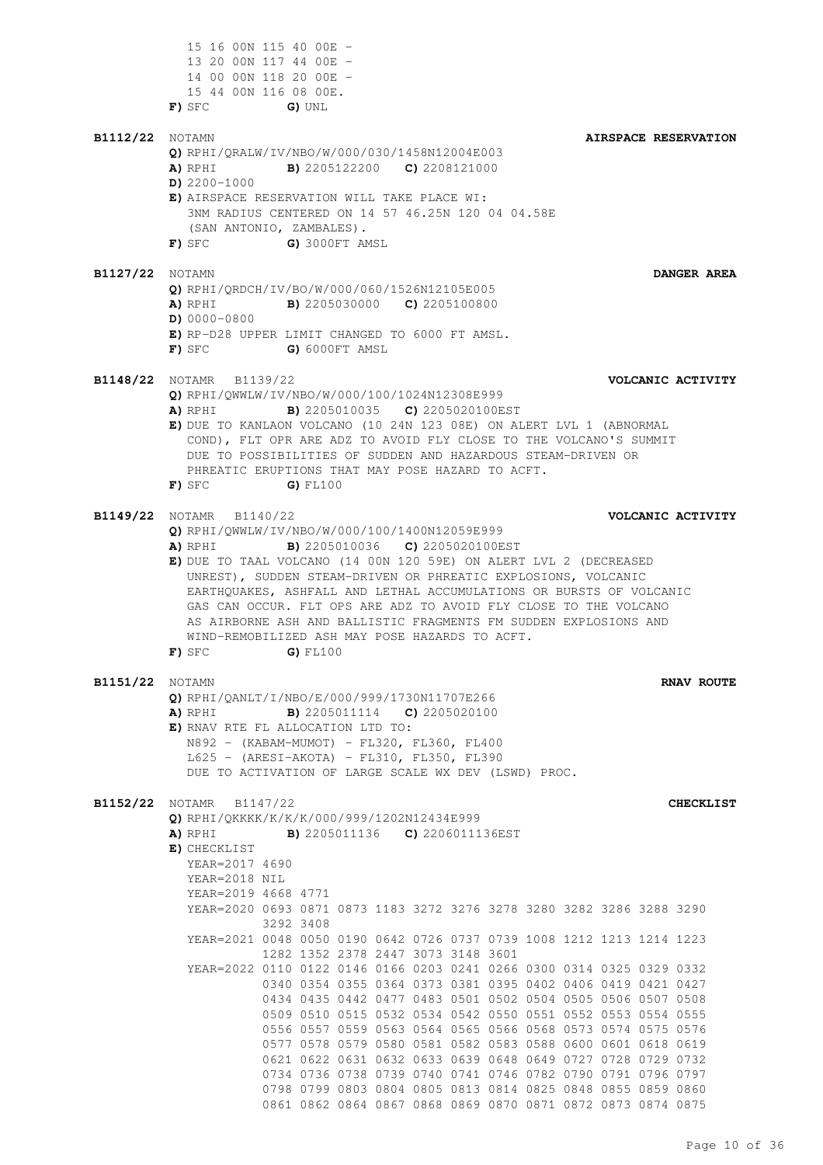15 16 00N 115 40 00E - 13 20 00N 117 44 00E - 14 00 00N 118 20 00E - 15 44 00N 116 08 00E. **F)** SFC **G)** UNL **B1112/22** NOTAMN **AIRSPACE RESERVATION Q)** RPHI/QRALW/IV/NBO/W/000/030/1458N12004E003 **A)** RPHI **B)** 2205122200 **C)** 2208121000 **D)** 2200-1000 **E)** AIRSPACE RESERVATION WILL TAKE PLACE WI: 3NM RADIUS CENTERED ON 14 57 46.25N 120 04 04.58E (SAN ANTONIO, ZAMBALES). **F)** SFC **G)** 3000FT AMSL **B1127/22** NOTAMN **DANGER AREA Q)** RPHI/QRDCH/IV/BO/W/000/060/1526N12105E005 **A)** RPHI **B)** 2205030000 **C)** 2205100800 **D)** 0000-0800 **E)** RP-D28 UPPER LIMIT CHANGED TO 6000 FT AMSL. **F)** SFC **G)** 6000FT AMSL **B1148/22** NOTAMR B1139/22 **VOLCANIC ACTIVITY Q)** RPHI/QWWLW/IV/NBO/W/000/100/1024N12308E999 **A)** RPHI **B)** 2205010035 **C)** 2205020100EST **E)** DUE TO KANLAON VOLCANO (10 24N 123 08E) ON ALERT LVL 1 (ABNORMAL COND), FLT OPR ARE ADZ TO AVOID FLY CLOSE TO THE VOLCANO'S SUMMIT DUE TO POSSIBILITIES OF SUDDEN AND HAZARDOUS STEAM-DRIVEN OR PHREATIC ERUPTIONS THAT MAY POSE HAZARD TO ACFT. **F)** SFC **G)** FL100 **B1149/22** NOTAMR B1140/22 **VOLCANIC ACTIVITY Q)** RPHI/QWWLW/IV/NBO/W/000/100/1400N12059E999 **A)** RPHI **B)** 2205010036 **C)** 2205020100EST **E)** DUE TO TAAL VOLCANO (14 00N 120 59E) ON ALERT LVL 2 (DECREASED UNREST), SUDDEN STEAM-DRIVEN OR PHREATIC EXPLOSIONS, VOLCANIC EARTHQUAKES, ASHFALL AND LETHAL ACCUMULATIONS OR BURSTS OF VOLCANIC GAS CAN OCCUR. FLT OPS ARE ADZ TO AVOID FLY CLOSE TO THE VOLCANO AS AIRBORNE ASH AND BALLISTIC FRAGMENTS FM SUDDEN EXPLOSIONS AND WIND-REMOBILIZED ASH MAY POSE HAZARDS TO ACFT. **F)** SFC **G)** FL100 **B1151/22** NOTAMN **RNAV ROUTE Q)** RPHI/QANLT/I/NBO/E/000/999/1730N11707E266 **A)** RPHI **B)** 2205011114 **C)** 2205020100 **E)** RNAV RTE FL ALLOCATION LTD TO: N892 - (KABAM-MUMOT) - FL320, FL360, FL400 L625 - (ARESI-AKOTA) - FL310, FL350, FL390 DUE TO ACTIVATION OF LARGE SCALE WX DEV (LSWD) PROC. **B1152/22** NOTAMR B1147/22 **CHECKLIST Q)** RPHI/QKKKK/K/K/K/000/999/1202N12434E999 **A)** RPHI **B)** 2205011136 **C)** 2206011136EST **E)** CHECKLIST YEAR=2017 4690 YEAR=2018 NIL YEAR=2019 4668 4771 YEAR=2020 0693 0871 0873 1183 3272 3276 3278 3280 3282 3286 3288 3290 3292 3408 YEAR=2021 0048 0050 0190 0642 0726 0737 0739 1008 1212 1213 1214 1223 1282 1352 2378 2447 3073 3148 3601 YEAR=2022 0110 0122 0146 0166 0203 0241 0266 0300 0314 0325 0329 0332 0340 0354 0355 0364 0373 0381 0395 0402 0406 0419 0421 0427 0434 0435 0442 0477 0483 0501 0502 0504 0505 0506 0507 0508 0509 0510 0515 0532 0534 0542 0550 0551 0552 0553 0554 0555 0556 0557 0559 0563 0564 0565 0566 0568 0573 0574 0575 0576 0577 0578 0579 0580 0581 0582 0583 0588 0600 0601 0618 0619 0621 0622 0631 0632 0633 0639 0648 0649 0727 0728 0729 0732 0734 0736 0738 0739 0740 0741 0746 0782 0790 0791 0796 0797 0798 0799 0803 0804 0805 0813 0814 0825 0848 0855 0859 0860 0861 0862 0864 0867 0868 0869 0870 0871 0872 0873 0874 0875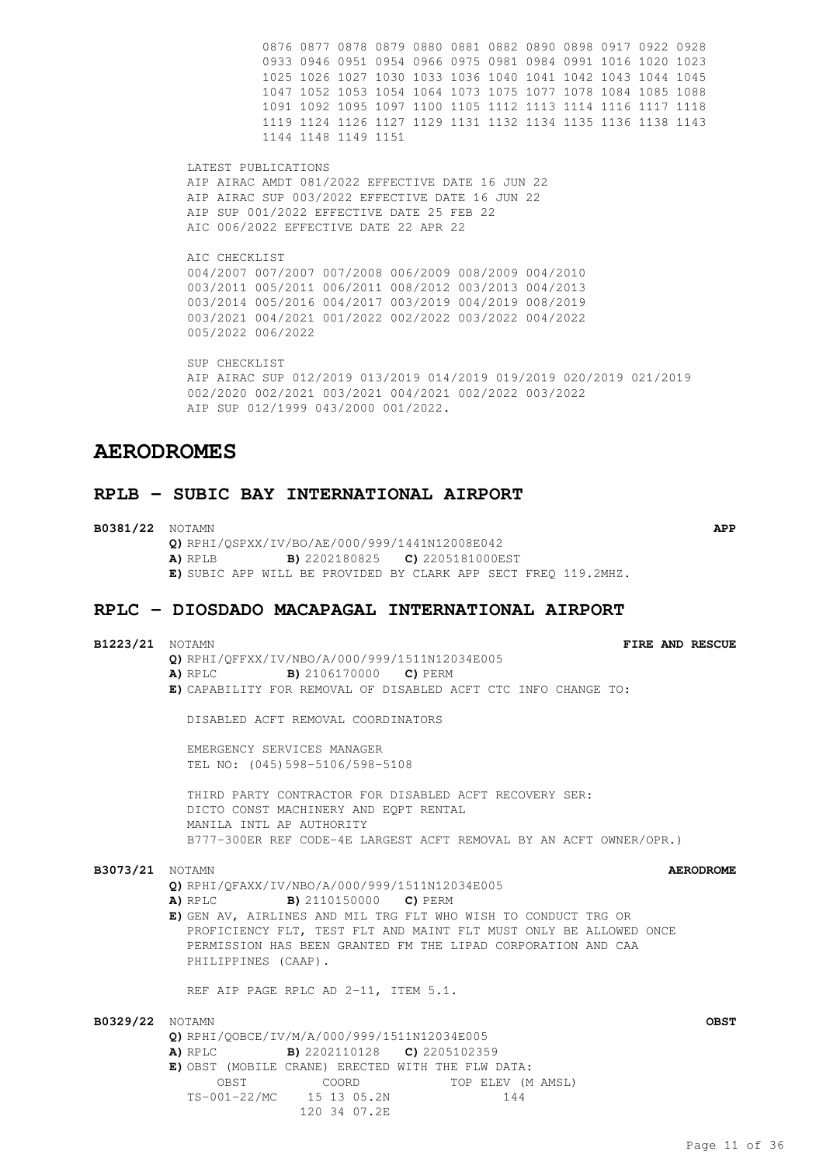0876 0877 0878 0879 0880 0881 0882 0890 0898 0917 0922 0928 0933 0946 0951 0954 0966 0975 0981 0984 0991 1016 1020 1023 1025 1026 1027 1030 1033 1036 1040 1041 1042 1043 1044 1045 1047 1052 1053 1054 1064 1073 1075 1077 1078 1084 1085 1088 1091 1092 1095 1097 1100 1105 1112 1113 1114 1116 1117 1118 1119 1124 1126 1127 1129 1131 1132 1134 1135 1136 1138 1143 1144 1148 1149 1151

LATEST PUBLICATIONS AIP AIRAC AMDT 081/2022 EFFECTIVE DATE 16 JUN 22 AIP AIRAC SUP 003/2022 EFFECTIVE DATE 16 JUN 22 AIP SUP 001/2022 EFFECTIVE DATE 25 FEB 22 AIC 006/2022 EFFECTIVE DATE 22 APR 22

AIC CHECKLIST 004/2007 007/2007 007/2008 006/2009 008/2009 004/2010 003/2011 005/2011 006/2011 008/2012 003/2013 004/2013 003/2014 005/2016 004/2017 003/2019 004/2019 008/2019 003/2021 004/2021 001/2022 002/2022 003/2022 004/2022 005/2022 006/2022

SUP CHECKLIST AIP AIRAC SUP 012/2019 013/2019 014/2019 019/2019 020/2019 021/2019 002/2020 002/2021 003/2021 004/2021 002/2022 003/2022 AIP SUP 012/1999 043/2000 001/2022.

# **AERODROMES**

## **RPLB - SUBIC BAY INTERNATIONAL AIRPORT**

**B0381/22** NOTAMN **APP Q)** RPHI/QSPXX/IV/BO/AE/000/999/1441N12008E042 **A)** RPLB **B)** 2202180825 **C)** 2205181000EST **E)** SUBIC APP WILL BE PROVIDED BY CLARK APP SECT FREQ 119.2MHZ.

### **RPLC - DIOSDADO MACAPAGAL INTERNATIONAL AIRPORT**

**B1223/21** NOTAMN **FIRE AND RESCUE Q)** RPHI/QFFXX/IV/NBO/A/000/999/1511N12034E005 **A)** RPLC **B)** 2106170000 **C)** PERM **E)** CAPABILITY FOR REMOVAL OF DISABLED ACFT CTC INFO CHANGE TO:

DISABLED ACFT REMOVAL COORDINATORS

EMERGENCY SERVICES MANAGER TEL NO: (045)598-5106/598-5108

THIRD PARTY CONTRACTOR FOR DISABLED ACFT RECOVERY SER: DICTO CONST MACHINERY AND EQPT RENTAL MANILA INTL AP AUTHORITY B777-300ER REF CODE-4E LARGEST ACFT REMOVAL BY AN ACFT OWNER/OPR.)

#### **B3073/21** NOTAMN **AERODROME**

**Q)** RPHI/QFAXX/IV/NBO/A/000/999/1511N12034E005

**A)** RPLC **B)** 2110150000 **C)** PERM

**E)** GEN AV, AIRLINES AND MIL TRG FLT WHO WISH TO CONDUCT TRG OR PROFICIENCY FLT, TEST FLT AND MAINT FLT MUST ONLY BE ALLOWED ONCE PERMISSION HAS BEEN GRANTED FM THE LIPAD CORPORATION AND CAA PHILIPPINES (CAAP).

REF AIP PAGE RPLC AD 2-11, ITEM 5.1.

| <b>B0329/22</b> NOTAMN |                                                          |                          |                                                   | OBST |
|------------------------|----------------------------------------------------------|--------------------------|---------------------------------------------------|------|
|                        | Q) RPHI/OOBCE/IV/M/A/000/999/1511N12034E005              |                          |                                                   |      |
|                        | <b>A)</b> RPLC <b>B)</b> 2202110128 <b>C)</b> 2205102359 |                          |                                                   |      |
|                        |                                                          |                          | E) OBST (MOBILE CRANE) ERECTED WITH THE FLW DATA: |      |
|                        | OBST                                                     | COORD                    | TOP ELEV (M AMSL)                                 |      |
|                        |                                                          | TS-001-22/MC 15 13 05.2N | 144                                               |      |
|                        |                                                          | 120 34 07.2E             |                                                   |      |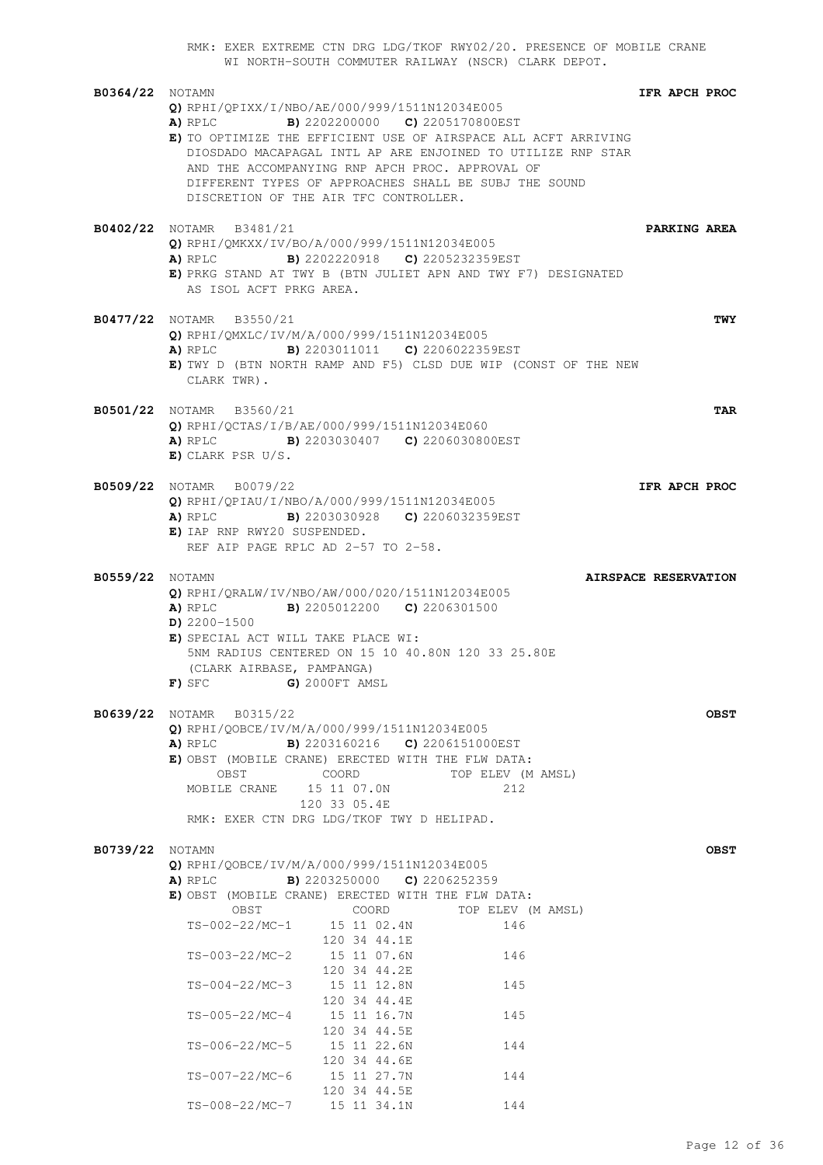RMK: EXER EXTREME CTN DRG LDG/TKOF RWY02/20. PRESENCE OF MOBILE CRANE WI NORTH-SOUTH COMMUTER RAILWAY (NSCR) CLARK DEPOT. **B0364/22** NOTAMN **IFR APCH PROC Q)** RPHI/QPIXX/I/NBO/AE/000/999/1511N12034E005 **A)** RPLC **B)** 2202200000 **C)** 2205170800EST **E)** TO OPTIMIZE THE EFFICIENT USE OF AIRSPACE ALL ACFT ARRIVING DIOSDADO MACAPAGAL INTL AP ARE ENJOINED TO UTILIZE RNP STAR AND THE ACCOMPANYING RNP APCH PROC. APPROVAL OF DIFFERENT TYPES OF APPROACHES SHALL BE SUBJ THE SOUND DISCRETION OF THE AIR TFC CONTROLLER. **B0402/22** NOTAMR B3481/21 **PARKING AREA Q)** RPHI/QMKXX/IV/BO/A/000/999/1511N12034E005 **A)** RPLC **B)** 2202220918 **C)** 2205232359EST **E)** PRKG STAND AT TWY B (BTN JULIET APN AND TWY F7) DESIGNATED AS ISOL ACFT PRKG AREA. **B0477/22** NOTAMR B3550/21 **TWY Q)** RPHI/QMXLC/IV/M/A/000/999/1511N12034E005 **A)** RPLC **B)** 2203011011 **C)** 2206022359EST **E)** TWY D (BTN NORTH RAMP AND F5) CLSD DUE WIP (CONST OF THE NEW CLARK TWR). **B0501/22** NOTAMR B3560/21 **TAR Q)** RPHI/QCTAS/I/B/AE/000/999/1511N12034E060 **A)** RPLC **B)** 2203030407 **C)** 2206030800EST **E)** CLARK PSR U/S. **B0509/22** NOTAMR B0079/22 **IFR APCH PROC Q)** RPHI/QPIAU/I/NBO/A/000/999/1511N12034E005 **A)** RPLC **B)** 2203030928 **C)** 2206032359EST **E)** IAP RNP RWY20 SUSPENDED. REF AIP PAGE RPLC AD 2-57 TO 2-58. **B0559/22** NOTAMN **AIRSPACE RESERVATION Q)** RPHI/QRALW/IV/NBO/AW/000/020/1511N12034E005 **A)** RPLC **B)** 2205012200 **C)** 2206301500 **D)** 2200-1500 **E)** SPECIAL ACT WILL TAKE PLACE WI: 5NM RADIUS CENTERED ON 15 10 40.80N 120 33 25.80E (CLARK AIRBASE, PAMPANGA) **F)** SFC **G)** 2000FT AMSL **B0639/22** NOTAMR B0315/22 **OBST Q)** RPHI/QOBCE/IV/M/A/000/999/1511N12034E005 **A)** RPLC **B)** 2203160216 **C)** 2206151000EST **E)** OBST (MOBILE CRANE) ERECTED WITH THE FLW DATA: OBST COORD TOP ELEV (M AMSL) MOBILE CRANE 15 11 07.0N 212 120 33 05.4E RMK: EXER CTN DRG LDG/TKOF TWY D HELIPAD. **B0739/22** NOTAMN **OBST Q)** RPHI/QOBCE/IV/M/A/000/999/1511N12034E005 **A)** RPLC **B)** 2203250000 **C)** 2206252359 **E)** OBST (MOBILE CRANE) ERECTED WITH THE FLW DATA: OBST COORD TOP ELEV (M AMSL) TS-002-22/MC-1 15 11 02.4N 146 120 34 44.1E TS-003-22/MC-2 15 11 07.6N 146 120 34 44.2E TS-004-22/MC-3 15 11 12.8N 145 120 34 44.4E TS-005-22/MC-4 15 11 16.7N 145 120 34 44.5E TS-006-22/MC-5 15 11 22.6N 144 120 34 44.6E TS-007-22/MC-6 15 11 27.7N 144 120 34 44.5E TS-008-22/MC-7 15 11 34.1N 144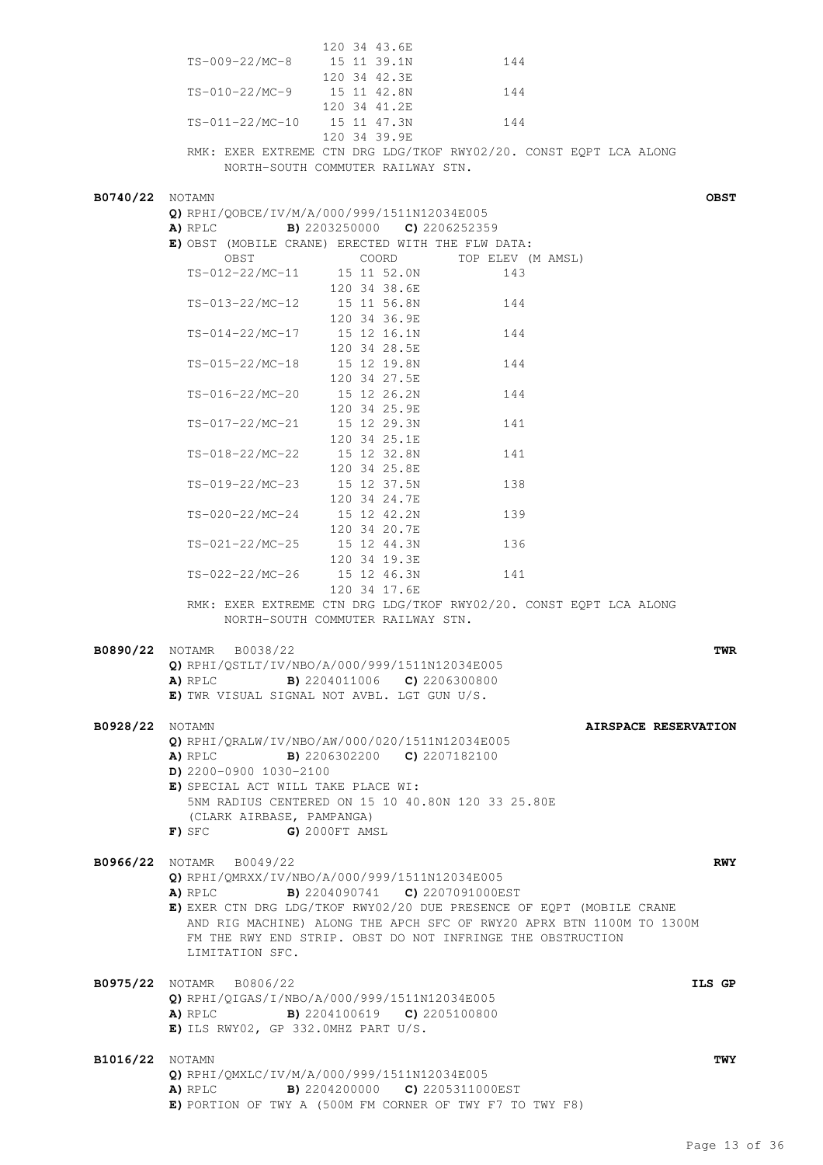|                        |                                                                                                          | 120 34 43.6E                                      |                                                                      |                      |
|------------------------|----------------------------------------------------------------------------------------------------------|---------------------------------------------------|----------------------------------------------------------------------|----------------------|
|                        | TS-009-22/MC-8 15 11 39.1N                                                                               |                                                   | 144                                                                  |                      |
|                        |                                                                                                          | 120 34 42.3E                                      |                                                                      |                      |
|                        | TS-010-22/MC-9                                                                                           | 15 11 42.8N                                       | 144                                                                  |                      |
|                        |                                                                                                          | 120 34 41.2E<br>TS-011-22/MC-10   15   11   47.3N | 144                                                                  |                      |
|                        |                                                                                                          | 120 34 39.9E                                      |                                                                      |                      |
|                        |                                                                                                          |                                                   | RMK: EXER EXTREME CTN DRG LDG/TKOF RWY02/20. CONST EQPT LCA ALONG    |                      |
|                        |                                                                                                          | NORTH-SOUTH COMMUTER RAILWAY STN.                 |                                                                      |                      |
|                        |                                                                                                          |                                                   |                                                                      |                      |
| <b>B0740/22</b> NOTAMN |                                                                                                          |                                                   |                                                                      | <b>OBST</b>          |
|                        | Q) RPHI/OOBCE/IV/M/A/000/999/1511N12034E005<br><b>A)</b> RPLC <b>B)</b> 2203250000 <b>C)</b> 2206252359  |                                                   |                                                                      |                      |
|                        | E) OBST (MOBILE CRANE) ERECTED WITH THE FLW DATA:                                                        |                                                   |                                                                      |                      |
|                        | OBST                                                                                                     |                                                   | COORD TOP ELEV (M AMSL)                                              |                      |
|                        |                                                                                                          | TS-012-22/MC-11 15 11 52.0N                       | 143                                                                  |                      |
|                        |                                                                                                          | 120 34 38.6E                                      |                                                                      |                      |
|                        | TS-013-22/MC-12 15 11 56.8N                                                                              |                                                   | 144                                                                  |                      |
|                        | TS-014-22/MC-17                                                                                          | 120 34 36.9E<br>15 12 16.1N                       | 144                                                                  |                      |
|                        |                                                                                                          | 120 34 28.5E                                      |                                                                      |                      |
|                        | TS-015-22/MC-18 15 12 19.8N                                                                              |                                                   | 144                                                                  |                      |
|                        |                                                                                                          | 120 34 27.5E                                      |                                                                      |                      |
|                        | TS-016-22/MC-20                                                                                          | 15 12 26.2N                                       | 144                                                                  |                      |
|                        |                                                                                                          | 120 34 25.9E                                      |                                                                      |                      |
|                        | TS-017-22/MC-21                                                                                          | 15 12 29.3N<br>120 34 25.1E                       | 141                                                                  |                      |
|                        | TS-018-22/MC-22 15 12 32.8N                                                                              |                                                   | 141                                                                  |                      |
|                        |                                                                                                          | 120 34 25.8E                                      |                                                                      |                      |
|                        | TS-019-22/MC-23 15 12 37.5N                                                                              |                                                   | 138                                                                  |                      |
|                        |                                                                                                          | 120 34 24.7E                                      |                                                                      |                      |
|                        | TS-020-22/MC-24 15 12 42.2N                                                                              |                                                   | 139                                                                  |                      |
|                        | TS-021-22/MC-25 15 12 44.3N                                                                              | 120 34 20.7E                                      | 136                                                                  |                      |
|                        |                                                                                                          | 120 34 19.3E                                      |                                                                      |                      |
|                        | TS-022-22/MC-26                                                                                          | 15 12 46.3N                                       | 141                                                                  |                      |
|                        |                                                                                                          | 120 34 17.6E                                      |                                                                      |                      |
|                        |                                                                                                          |                                                   | RMK: EXER EXTREME CTN DRG LDG/TKOF RWY02/20. CONST EQPT LCA ALONG    |                      |
|                        |                                                                                                          | NORTH-SOUTH COMMUTER RAILWAY STN.                 |                                                                      |                      |
|                        | <b>B0890/22</b> NOTAMR B0038/22                                                                          |                                                   |                                                                      | TWR                  |
|                        | Q) RPHI/QSTLT/IV/NBO/A/000/999/1511N12034E005                                                            |                                                   |                                                                      |                      |
|                        | <b>A)</b> RPLC <b>B)</b> 2204011006 <b>C)</b> 2206300800                                                 |                                                   |                                                                      |                      |
|                        | E) TWR VISUAL SIGNAL NOT AVBL. LGT GUN U/S.                                                              |                                                   |                                                                      |                      |
| B0928/22               | NOTAMN                                                                                                   |                                                   |                                                                      | AIRSPACE RESERVATION |
|                        | Q) RPHI/QRALW/IV/NBO/AW/000/020/1511N12034E005                                                           |                                                   |                                                                      |                      |
|                        | A) RPLC                                                                                                  | <b>B)</b> 2206302200 <b>C)</b> 2207182100         |                                                                      |                      |
|                        | $D)$ 2200-0900 1030-2100                                                                                 |                                                   |                                                                      |                      |
|                        | E) SPECIAL ACT WILL TAKE PLACE WI:                                                                       |                                                   |                                                                      |                      |
|                        | (CLARK AIRBASE, PAMPANGA)                                                                                | 5NM RADIUS CENTERED ON 15 10 40.80N 120 33 25.80E |                                                                      |                      |
|                        | $F)$ SFC                                                                                                 | G) 2000FT AMSL                                    |                                                                      |                      |
|                        |                                                                                                          |                                                   |                                                                      |                      |
|                        | B0966/22 NOTAMR B0049/22                                                                                 |                                                   |                                                                      | <b>RWY</b>           |
|                        | Q) RPHI/QMRXX/IV/NBO/A/000/999/1511N12034E005                                                            |                                                   |                                                                      |                      |
|                        | A) RPLC                                                                                                  | B) 2204090741 C) 2207091000EST                    | E) EXER CTN DRG LDG/TKOF RWY02/20 DUE PRESENCE OF EQPT (MOBILE CRANE |                      |
|                        |                                                                                                          |                                                   | AND RIG MACHINE) ALONG THE APCH SFC OF RWY20 APRX BTN 1100M TO 1300M |                      |
|                        |                                                                                                          |                                                   | FM THE RWY END STRIP. OBST DO NOT INFRINGE THE OBSTRUCTION           |                      |
|                        | LIMITATION SFC.                                                                                          |                                                   |                                                                      |                      |
|                        |                                                                                                          |                                                   |                                                                      |                      |
|                        | <b>B0975/22</b> NOTAMR B0806/22                                                                          |                                                   |                                                                      | ILS GP               |
|                        | Q) RPHI/QIGAS/I/NBO/A/000/999/1511N12034E005<br><b>A)</b> RPLC <b>B)</b> 2204100619 <b>C)</b> 2205100800 |                                                   |                                                                      |                      |
|                        | $E)$ ILS RWY02, GP 332.0MHZ PART U/S.                                                                    |                                                   |                                                                      |                      |
|                        |                                                                                                          |                                                   |                                                                      |                      |
| <b>B1016/22</b> NOTAMN |                                                                                                          |                                                   |                                                                      | TWY                  |
|                        | Q) RPHI/QMXLC/IV/M/A/000/999/1511N12034E005                                                              |                                                   |                                                                      |                      |
|                        | A) RPLC                                                                                                  | <b>B)</b> 2204200000 <b>C)</b> 2205311000EST      |                                                                      |                      |
|                        | E) PORTION OF TWY A (500M FM CORNER OF TWY F7 TO TWY F8)                                                 |                                                   |                                                                      |                      |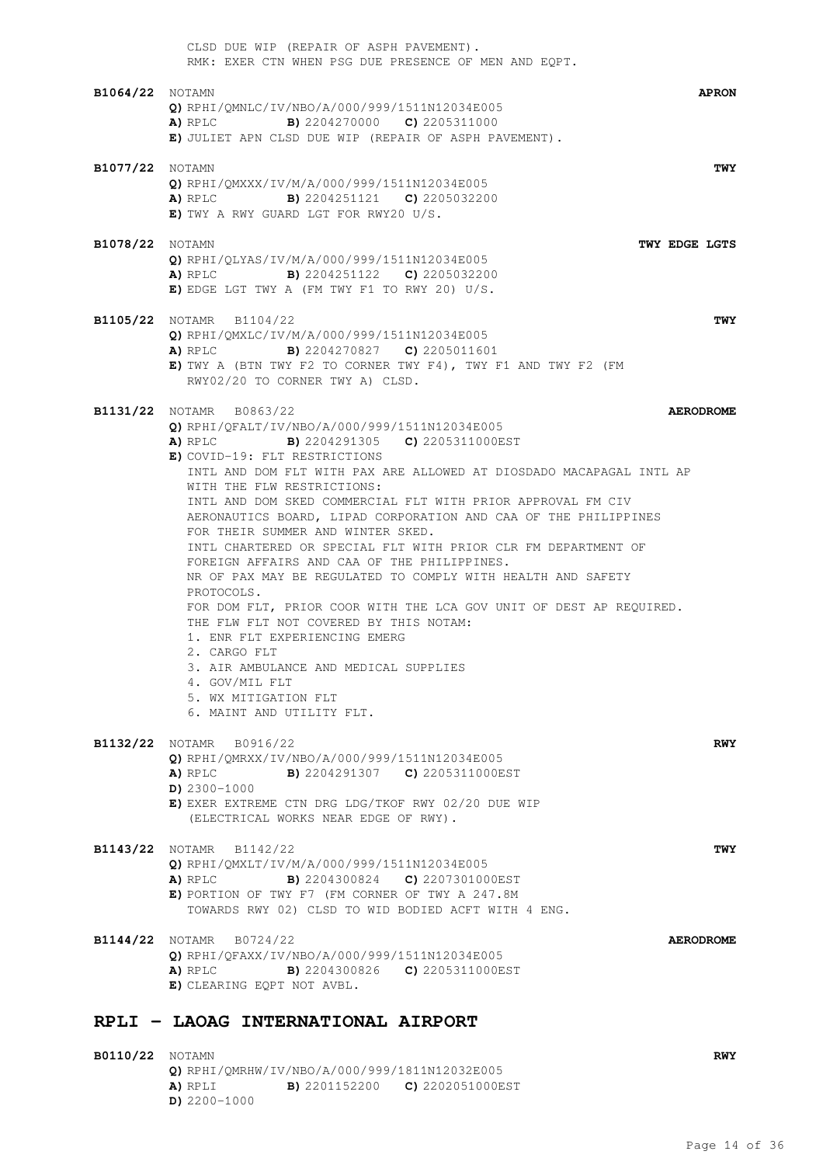|                        | CLSD DUE WIP (REPAIR OF ASPH PAVEMENT).<br>RMK: EXER CTN WHEN PSG DUE PRESENCE OF MEN AND EQPT.                                                                                                                                                                                                                                                                                                                                                                                                                                                                                                                                                                                                                                                                                                                                                                                                                                                         |
|------------------------|---------------------------------------------------------------------------------------------------------------------------------------------------------------------------------------------------------------------------------------------------------------------------------------------------------------------------------------------------------------------------------------------------------------------------------------------------------------------------------------------------------------------------------------------------------------------------------------------------------------------------------------------------------------------------------------------------------------------------------------------------------------------------------------------------------------------------------------------------------------------------------------------------------------------------------------------------------|
| <b>B1064/22</b> NOTAMN | <b>APRON</b><br>Q) RPHI/QMNLC/IV/NBO/A/000/999/1511N12034E005<br><b>A)</b> RPLC <b>B)</b> 2204270000 <b>C)</b> 2205311000<br>E) JULIET APN CLSD DUE WIP (REPAIR OF ASPH PAVEMENT).                                                                                                                                                                                                                                                                                                                                                                                                                                                                                                                                                                                                                                                                                                                                                                      |
| <b>B1077/22</b> NOTAMN | TWY<br>Q) RPHI/OMXXX/IV/M/A/000/999/1511N12034E005<br><b>A)</b> RPLC <b>B)</b> 2204251121 <b>C)</b> 2205032200<br>$E)$ TWY A RWY GUARD LGT FOR RWY20 U/S.                                                                                                                                                                                                                                                                                                                                                                                                                                                                                                                                                                                                                                                                                                                                                                                               |
| <b>B1078/22</b> NOTAMN | TWY EDGE LGTS<br>Q) RPHI/QLYAS/IV/M/A/000/999/1511N12034E005<br><b>A)</b> RPLC <b>B)</b> 2204251122 <b>C)</b> 2205032200<br>E) EDGE LGT TWY A (FM TWY F1 TO RWY 20) $U/S$ .                                                                                                                                                                                                                                                                                                                                                                                                                                                                                                                                                                                                                                                                                                                                                                             |
|                        | B1105/22 NOTAMR B1104/22<br>TWY<br>Q) RPHI/QMXLC/IV/M/A/000/999/1511N12034E005<br><b>A)</b> RPLC <b>B)</b> 2204270827 <b>C)</b> 2205011601<br>E) TWY A (BTN TWY F2 TO CORNER TWY F4), TWY F1 AND TWY F2 (FM<br>RWY02/20 TO CORNER TWY A) CLSD.                                                                                                                                                                                                                                                                                                                                                                                                                                                                                                                                                                                                                                                                                                          |
|                        | B1131/22 NOTAMR B0863/22<br><b>AERODROME</b><br>Q) RPHI/QFALT/IV/NBO/A/000/999/1511N12034E005<br><b>A)</b> RPLC <b>B)</b> 2204291305 <b>C)</b> 2205311000EST<br>E) COVID-19: FLT RESTRICTIONS<br>INTL AND DOM FLT WITH PAX ARE ALLOWED AT DIOSDADO MACAPAGAL INTL AP<br>WITH THE FLW RESTRICTIONS:<br>INTL AND DOM SKED COMMERCIAL FLT WITH PRIOR APPROVAL FM CIV<br>AERONAUTICS BOARD, LIPAD CORPORATION AND CAA OF THE PHILIPPINES<br>FOR THEIR SUMMER AND WINTER SKED.<br>INTL CHARTERED OR SPECIAL FLT WITH PRIOR CLR FM DEPARTMENT OF<br>FOREIGN AFFAIRS AND CAA OF THE PHILIPPINES.<br>NR OF PAX MAY BE REGULATED TO COMPLY WITH HEALTH AND SAFETY<br>PROTOCOLS.<br>FOR DOM FLT, PRIOR COOR WITH THE LCA GOV UNIT OF DEST AP REQUIRED.<br>THE FLW FLT NOT COVERED BY THIS NOTAM:<br>1. ENR FLT EXPERIENCING EMERG<br>2. CARGO FLT<br>3. AIR AMBULANCE AND MEDICAL SUPPLIES<br>4. GOV/MIL FLT<br>5. WX MITIGATION FLT<br>6. MAINT AND UTILITY FLT. |
|                        | B1132/22 NOTAMR B0916/22<br><b>RWY</b><br>Q) RPHI/QMRXX/IV/NBO/A/000/999/1511N12034E005<br>B) 2204291307 C) 2205311000EST<br>A) RPLC<br>$D)$ 2300-1000<br>E) EXER EXTREME CTN DRG LDG/TKOF RWY 02/20 DUE WIP<br>(ELECTRICAL WORKS NEAR EDGE OF RWY).                                                                                                                                                                                                                                                                                                                                                                                                                                                                                                                                                                                                                                                                                                    |
|                        | <b>B1143/22</b> NOTAMR B1142/22<br>TWY<br>Q) RPHI/QMXLT/IV/M/A/000/999/1511N12034E005<br>A) RPLC<br><b>B)</b> 2204300824 <b>C)</b> 2207301000EST<br>E) PORTION OF TWY F7 (FM CORNER OF TWY A 247.8M<br>TOWARDS RWY 02) CLSD TO WID BODIED ACFT WITH 4 ENG.                                                                                                                                                                                                                                                                                                                                                                                                                                                                                                                                                                                                                                                                                              |
|                        | <b>B1144/22</b> NOTAMR B0724/22<br><b>AERODROME</b><br>Q) RPHI/QFAXX/IV/NBO/A/000/999/1511N12034E005<br><b>B)</b> 2204300826 <b>C)</b> 2205311000EST<br>A) RPLC<br>E) CLEARING EQPT NOT AVBL.                                                                                                                                                                                                                                                                                                                                                                                                                                                                                                                                                                                                                                                                                                                                                           |
|                        | RPLI - LAOAG INTERNATIONAL AIRPORT                                                                                                                                                                                                                                                                                                                                                                                                                                                                                                                                                                                                                                                                                                                                                                                                                                                                                                                      |

**B0110/22** NOTAMN **RWY Q)** RPHI/QMRHW/IV/NBO/A/000/999/1811N12032E005 **A)** RPLI **B)** 2201152200 **C)** 2202051000EST **D)** 2200-1000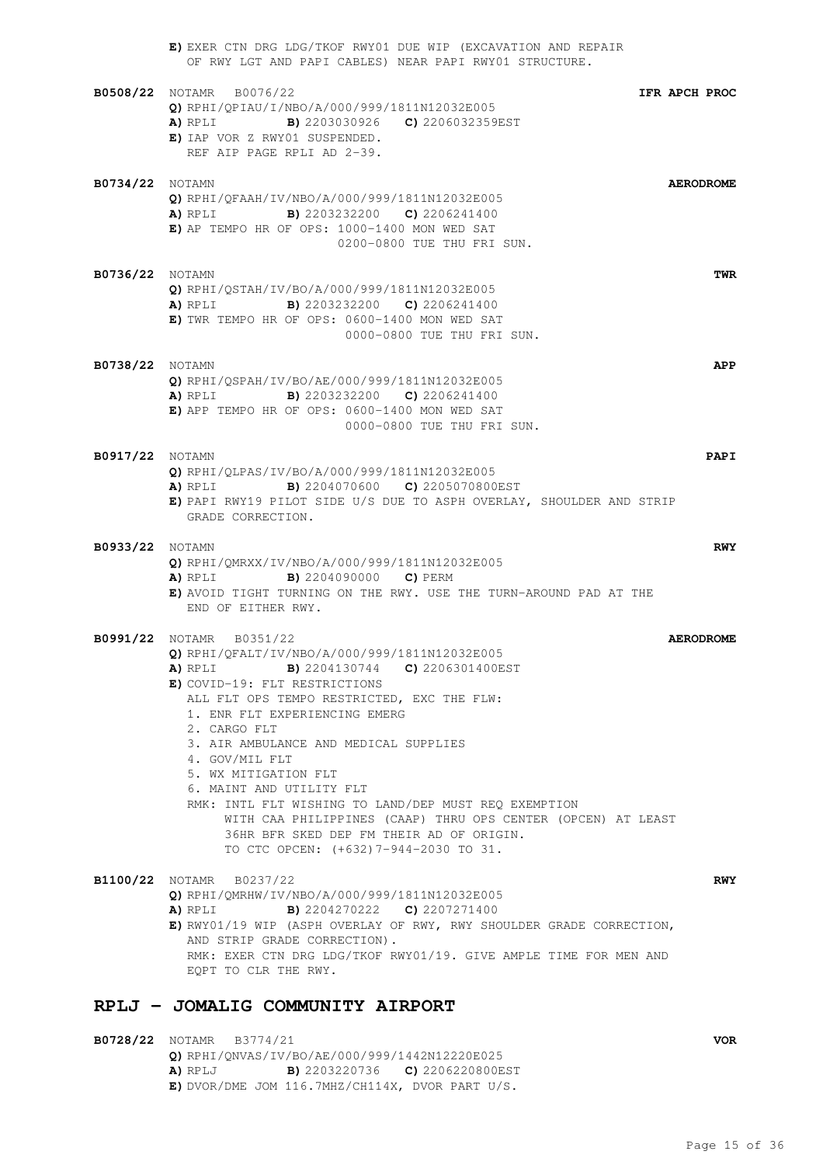|                        | E) EXER CTN DRG LDG/TKOF RWY01 DUE WIP (EXCAVATION AND REPAIR<br>OF RWY LGT AND PAPI CABLES) NEAR PAPI RWY01 STRUCTURE.                                                                                                                                                                                                                                                                                                                                                                                                                                                                                     |
|------------------------|-------------------------------------------------------------------------------------------------------------------------------------------------------------------------------------------------------------------------------------------------------------------------------------------------------------------------------------------------------------------------------------------------------------------------------------------------------------------------------------------------------------------------------------------------------------------------------------------------------------|
|                        | <b>B0508/22</b> NOTAMR B0076/22<br>IFR APCH PROC<br>$Q$ ) RPHI/QPIAU/I/NBO/A/000/999/1811N12032E005<br><b>A)</b> RPLI <b>B)</b> 2203030926 <b>C)</b> 2206032359EST<br>E) IAP VOR Z RWY01 SUSPENDED.<br>REF AIP PAGE RPLI AD 2-39.                                                                                                                                                                                                                                                                                                                                                                           |
| <b>B0734/22</b> NOTAMN | <b>AERODROME</b><br>Q) RPHI/QFAAH/IV/NBO/A/000/999/1811N12032E005<br><b>A)</b> RPLI <b>B)</b> 2203232200 <b>C)</b> 2206241400<br>E) AP TEMPO HR OF OPS: 1000-1400 MON WED SAT<br>0200-0800 TUE THU FRI SUN.                                                                                                                                                                                                                                                                                                                                                                                                 |
| <b>B0736/22</b> NOTAMN | TWR<br>Q) RPHI/QSTAH/IV/BO/A/000/999/1811N12032E005<br><b>A)</b> RPLI <b>B)</b> 2203232200 <b>C)</b> 2206241400<br>E) TWR TEMPO HR OF OPS: 0600-1400 MON WED SAT<br>0000-0800 TUE THU FRI SUN.                                                                                                                                                                                                                                                                                                                                                                                                              |
| <b>B0738/22</b> NOTAMN | APP<br>Q) RPHI/QSPAH/IV/BO/AE/000/999/1811N12032E005<br><b>A)</b> RPLI <b>B)</b> 2203232200 <b>C)</b> 2206241400<br>E) APP TEMPO HR OF OPS: 0600-1400 MON WED SAT<br>0000-0800 TUE THU FRI SUN.                                                                                                                                                                                                                                                                                                                                                                                                             |
| <b>B0917/22</b> NOTAMN | PAPI<br>Q) RPHI/QLPAS/IV/BO/A/000/999/1811N12032E005<br><b>A)</b> RPLI <b>B)</b> 2204070600 <b>C)</b> 2205070800EST<br>E) PAPI RWY19 PILOT SIDE U/S DUE TO ASPH OVERLAY, SHOULDER AND STRIP<br>GRADE CORRECTION.                                                                                                                                                                                                                                                                                                                                                                                            |
| <b>B0933/22</b> NOTAMN | <b>RWY</b><br>Q) RPHI/QMRXX/IV/NBO/A/000/999/1811N12032E005<br><b>B)</b> 2204090000 <b>C)</b> PERM<br>A) RPLI<br>E) AVOID TIGHT TURNING ON THE RWY. USE THE TURN-AROUND PAD AT THE<br>END OF EITHER RWY.                                                                                                                                                                                                                                                                                                                                                                                                    |
|                        | <b>B0991/22</b> NOTAMR B0351/22<br><b>AERODROME</b><br>Q) RPHI/QFALT/IV/NBO/A/000/999/1811N12032E005<br>A) RPLI B) 2204130744 C) 2206301400EST<br>E) COVID-19: FLT RESTRICTIONS<br>ALL FLT OPS TEMPO RESTRICTED, EXC THE FLW:<br>1. ENR FLT EXPERIENCING EMERG<br>2. CARGO FLT<br>3. AIR AMBULANCE AND MEDICAL SUPPLIES<br>4. GOV/MIL FLT<br>5. WX MITIGATION FLT<br>6. MAINT AND UTILITY FLT<br>RMK: INTL FLT WISHING TO LAND/DEP MUST REQ EXEMPTION<br>WITH CAA PHILIPPINES (CAAP) THRU OPS CENTER (OPCEN) AT LEAST<br>36HR BFR SKED DEP FM THEIR AD OF ORIGIN.<br>TO CTC OPCEN: (+632) 7-944-2030 TO 31. |
|                        | B1100/22 NOTAMR B0237/22<br><b>RWY</b><br>Q) RPHI/QMRHW/IV/NBO/A/000/999/1811N12032E005<br><b>B)</b> 2204270222 <b>C)</b> 2207271400<br>A) RPLI<br>E) RWY01/19 WIP (ASPH OVERLAY OF RWY, RWY SHOULDER GRADE CORRECTION,<br>AND STRIP GRADE CORRECTION).<br>RMK: EXER CTN DRG LDG/TKOF RWY01/19. GIVE AMPLE TIME FOR MEN AND<br>EQPT TO CLR THE RWY.                                                                                                                                                                                                                                                         |
|                        | RPLJ - JOMALIG COMMUNITY AIRPORT                                                                                                                                                                                                                                                                                                                                                                                                                                                                                                                                                                            |

**B0728/22** NOTAMR B3774/21 **VOR Q)** RPHI/QNVAS/IV/BO/AE/000/999/1442N12220E025 **A)** RPLJ **B)** 2203220736 **C)** 2206220800EST **E)** DVOR/DME JOM 116.7MHZ/CH114X, DVOR PART U/S.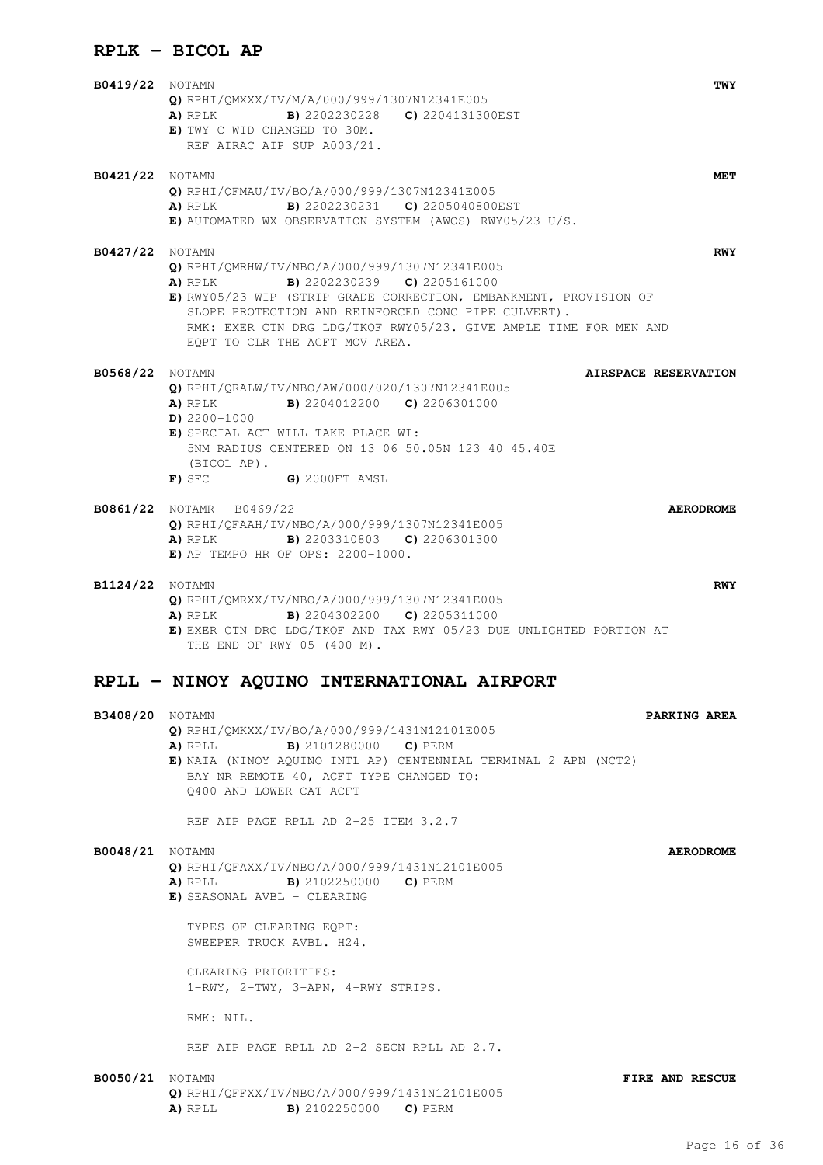## **RPLK - BICOL AP**

**B0419/22** NOTAMN **TWY Q)** RPHI/QMXXX/IV/M/A/000/999/1307N12341E005 **A)** RPLK **B)** 2202230228 **C)** 2204131300EST **E)** TWY C WID CHANGED TO 30M. REF AIRAC AIP SUP A003/21. **B0421/22** NOTAMN **MET Q)** RPHI/QFMAU/IV/BO/A/000/999/1307N12341E005 **A)** RPLK **B)** 2202230231 **C)** 2205040800EST **E)** AUTOMATED WX OBSERVATION SYSTEM (AWOS) RWY05/23 U/S. **B0427/22** NOTAMN **RWY Q)** RPHI/QMRHW/IV/NBO/A/000/999/1307N12341E005 **A)** RPLK **B)** 2202230239 **C)** 2205161000 **E)** RWY05/23 WIP (STRIP GRADE CORRECTION, EMBANKMENT, PROVISION OF SLOPE PROTECTION AND REINFORCED CONC PIPE CULVERT). RMK: EXER CTN DRG LDG/TKOF RWY05/23. GIVE AMPLE TIME FOR MEN AND EQPT TO CLR THE ACFT MOV AREA. **B0568/22** NOTAMN **AIRSPACE RESERVATION Q)** RPHI/QRALW/IV/NBO/AW/000/020/1307N12341E005 **A)** RPLK **B)** 2204012200 **C)** 2206301000 **D)** 2200-1000 **E)** SPECIAL ACT WILL TAKE PLACE WI: 5NM RADIUS CENTERED ON 13 06 50.05N 123 40 45.40E (BICOL AP). **F)** SFC **G)** 2000FT AMSL **B0861/22** NOTAMR B0469/22 **AERODROME Q)** RPHI/QFAAH/IV/NBO/A/000/999/1307N12341E005 **A)** RPLK **B)** 2203310803 **C)** 2206301300 **E)** AP TEMPO HR OF OPS: 2200-1000. **B1124/22** NOTAMN **RWY Q)** RPHI/QMRXX/IV/NBO/A/000/999/1307N12341E005 **A)** RPLK **B)** 2204302200 **C)** 2205311000 **E)** EXER CTN DRG LDG/TKOF AND TAX RWY 05/23 DUE UNLIGHTED PORTION AT THE END OF RWY 05 (400 M). **RPLL - NINOY AQUINO INTERNATIONAL AIRPORT B3408/20** NOTAMN **PARKING AREA Q)** RPHI/QMKXX/IV/BO/A/000/999/1431N12101E005 **A)** RPLL **B)** 2101280000 **C)** PERM **E)** NAIA (NINOY AQUINO INTL AP) CENTENNIAL TERMINAL 2 APN (NCT2) BAY NR REMOTE 40, ACFT TYPE CHANGED TO: Q400 AND LOWER CAT ACFT REF AIP PAGE RPLL AD 2-25 ITEM 3.2.7 **B0048/21** NOTAMN **AERODROME Q)** RPHI/QFAXX/IV/NBO/A/000/999/1431N12101E005 **A)** RPLL **B)** 2102250000 **C)** PERM **E)** SEASONAL AVBL - CLEARING TYPES OF CLEARING EQPT: SWEEPER TRUCK AVBL. H24. CLEARING PRIORITIES. 1-RWY, 2-TWY, 3-APN, 4-RWY STRIPS. RMK: NIL. REF AIP PAGE RPLL AD 2-2 SECN RPLL AD 2.7. **B0050/21** NOTAMN **FIRE AND RESCUE Q)** RPHI/QFFXX/IV/NBO/A/000/999/1431N12101E005 **A)** RPLL **B)** 2102250000 **C)** PERM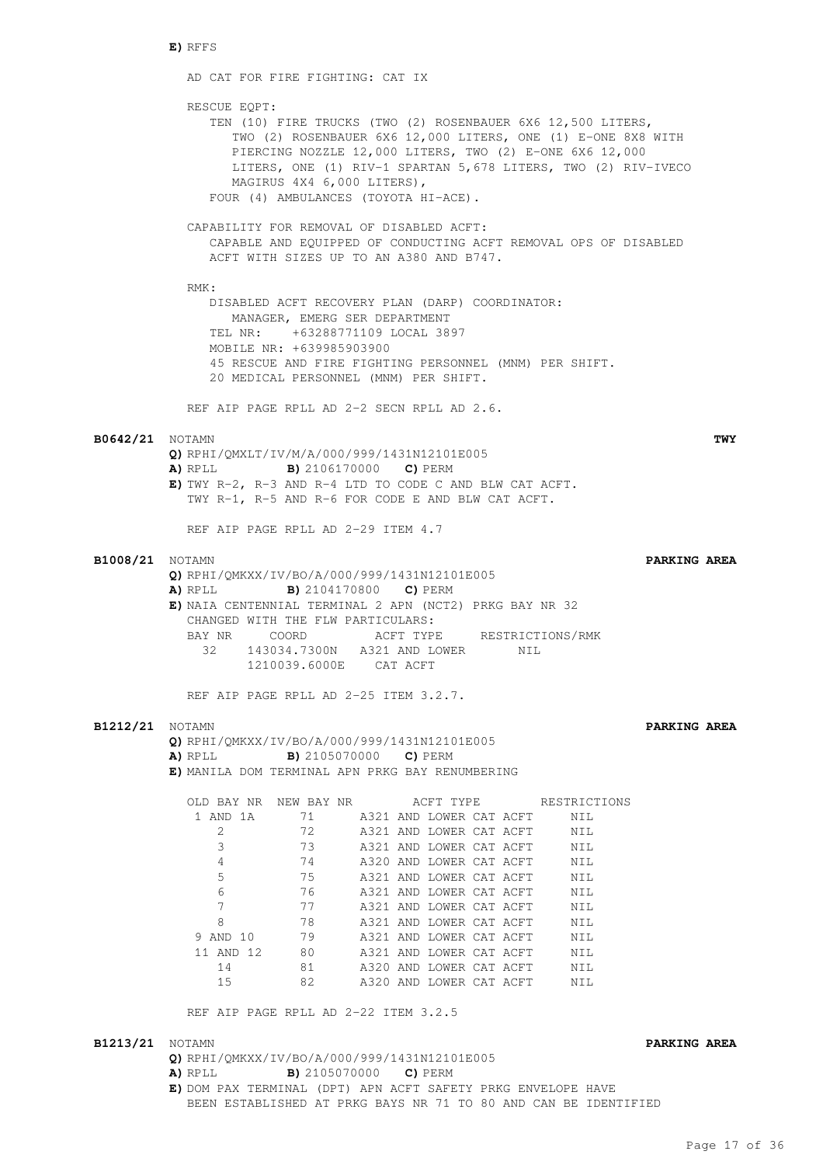#### **E)** RFFS

AD CAT FOR FIRE FIGHTING: CAT IX RESCUE EQPT: TEN (10) FIRE TRUCKS (TWO (2) ROSENBAUER 6X6 12,500 LITERS, TWO (2) ROSENBAUER 6X6 12,000 LITERS, ONE (1) E-ONE 8X8 WITH PIERCING NOZZLE 12,000 LITERS, TWO (2) E-ONE 6X6 12,000 LITERS, ONE (1) RIV-1 SPARTAN 5,678 LITERS, TWO (2) RIV-IVECO MAGIRUS 4X4 6,000 LITERS), FOUR (4) AMBULANCES (TOYOTA HI-ACE). CAPABILITY FOR REMOVAL OF DISABLED ACFT: CAPABLE AND EQUIPPED OF CONDUCTING ACFT REMOVAL OPS OF DISABLED ACFT WITH SIZES UP TO AN A380 AND B747. RMK: DISABLED ACFT RECOVERY PLAN (DARP) COORDINATOR: MANAGER, EMERG SER DEPARTMENT TEL NR: +63288771109 LOCAL 3897 MOBILE NR: +639985903900 45 RESCUE AND FIRE FIGHTING PERSONNEL (MNM) PER SHIFT. 20 MEDICAL PERSONNEL (MNM) PER SHIFT. REF AIP PAGE RPLL AD 2-2 SECN RPLL AD 2.6. **B0642/21** NOTAMN **TWY Q)** RPHI/QMXLT/IV/M/A/000/999/1431N12101E005 **A)** RPLL **B)** 2106170000 **C)** PERM **E)** TWY R-2, R-3 AND R-4 LTD TO CODE C AND BLW CAT ACFT. TWY R-1, R-5 AND R-6 FOR CODE E AND BLW CAT ACFT. REF AIP PAGE RPLL AD 2-29 ITEM 4.7 **B1008/21** NOTAMN **PARKING AREA Q)** RPHI/QMKXX/IV/BO/A/000/999/1431N12101E005 **A)** RPLL **B)** 2104170800 **C)** PERM **E)** NAIA CENTENNIAL TERMINAL 2 APN (NCT2) PRKG BAY NR 32 CHANGED WITH THE FLW PARTICULARS: BAY NR COORD ACFT TYPE RESTRICTIONS/RMK 32 143034.7300N A321 AND LOWER NIL 1210039.6000E CAT ACFT REF AIP PAGE RPLL AD 2-25 ITEM 3.2.7. **B1212/21** NOTAMN **PARKING AREA Q)** RPHI/QMKXX/IV/BO/A/000/999/1431N12101E005 **A)** RPLL **B)** 2105070000 **C)** PERM **E)** MANILA DOM TERMINAL APN PRKG BAY RENUMBERING OLD BAY NR NEW BAY NR ACFT TYPE RESTRICTIONS 1 AND 1A 71 A321 AND LOWER CAT ACFT NIL 2 72 A321 AND LOWER CAT ACFT NIL 3 73 A321 AND LOWER CAT ACFT NIL 4 74 A320 AND LOWER CAT ACFT NIL 5 75 A321 AND LOWER CAT ACFT NIL 15 A321 AND LOWER CAT ACFT NIL<br>
5 76 A321 AND LOWER CAT ACFT NIL<br>
7 77 A321 AND LOWER CAT ACFT NIL 17 77 A321 AND LOWER CAT ACFT NIL 17<br>7 77 A321 AND LOWER CAT ACFT NIL 8 8 78 A321 AND LOWER CAT ACFT NIL 9 AND 10 79 A321 AND LOWER CAT ACFT NIL 11 AND 12 80 A321 AND LOWER CAT ACFT NIL 14 81 A320 AND LOWER CAT ACFT NIL 15 82 A320 AND LOWER CAT ACFT NIL REF AIP PAGE RPLL AD 2-22 ITEM 3.2.5 **B1213/21** NOTAMN **PARKING AREA Q)** RPHI/QMKXX/IV/BO/A/000/999/1431N12101E005 **A)** RPLL **B)** 2105070000 **C)** PERM **E)** DOM PAX TERMINAL (DPT) APN ACFT SAFETY PRKG ENVELOPE HAVE BEEN ESTABLISHED AT PRKG BAYS NR 71 TO 80 AND CAN BE IDENTIFIED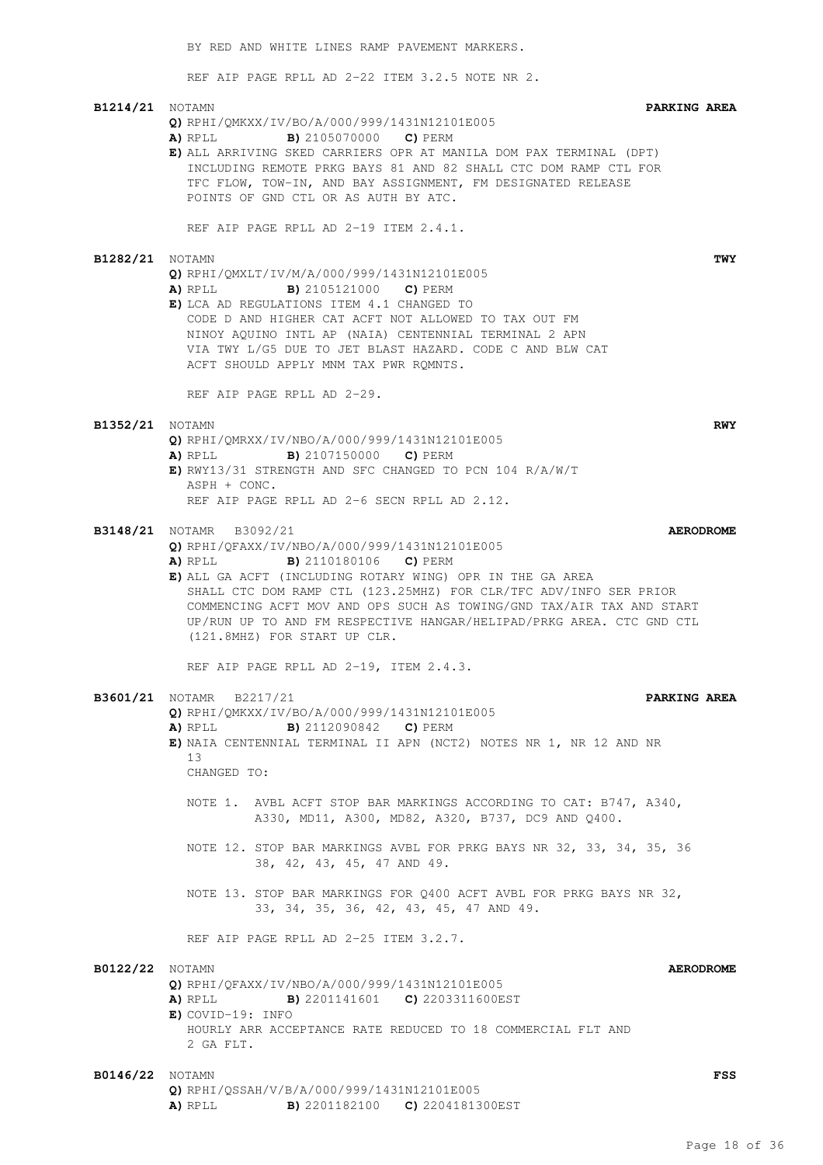REF AIP PAGE RPLL AD 2-22 ITEM 3.2.5 NOTE NR 2. **B1214/21** NOTAMN **PARKING AREA Q)** RPHI/QMKXX/IV/BO/A/000/999/1431N12101E005 **A)** RPLL **B)** 2105070000 **C)** PERM **E)** ALL ARRIVING SKED CARRIERS OPR AT MANILA DOM PAX TERMINAL (DPT) INCLUDING REMOTE PRKG BAYS 81 AND 82 SHALL CTC DOM RAMP CTL FOR TFC FLOW, TOW-IN, AND BAY ASSIGNMENT, FM DESIGNATED RELEASE POINTS OF GND CTL OR AS AUTH BY ATC. REF AIP PAGE RPLL AD 2-19 ITEM 2.4.1. **B1282/21** NOTAMN **TWY Q)** RPHI/QMXLT/IV/M/A/000/999/1431N12101E005 **A)** RPLL **B)** 2105121000 **C)** PERM **E)** LCA AD REGULATIONS ITEM 4.1 CHANGED TO CODE D AND HIGHER CAT ACFT NOT ALLOWED TO TAX OUT FM NINOY AQUINO INTL AP (NAIA) CENTENNIAL TERMINAL 2 APN VIA TWY L/G5 DUE TO JET BLAST HAZARD. CODE C AND BLW CAT ACFT SHOULD APPLY MNM TAX PWR RQMNTS. REF AIP PAGE RPLL AD 2-29. **B1352/21** NOTAMN **RWY Q)** RPHI/QMRXX/IV/NBO/A/000/999/1431N12101E005 **A)** RPLL **B)** 2107150000 **C)** PERM **E)** RWY13/31 STRENGTH AND SFC CHANGED TO PCN 104 R/A/W/T ASPH + CONC. REF AIP PAGE RPLL AD 2-6 SECN RPLL AD 2.12. **B3148/21** NOTAMR B3092/21 **AERODROME Q)** RPHI/QFAXX/IV/NBO/A/000/999/1431N12101E005 **A)** RPLL **B)** 2110180106 **C)** PERM **E)** ALL GA ACFT (INCLUDING ROTARY WING) OPR IN THE GA AREA SHALL CTC DOM RAMP CTL (123.25MHZ) FOR CLR/TFC ADV/INFO SER PRIOR COMMENCING ACFT MOV AND OPS SUCH AS TOWING/GND TAX/AIR TAX AND START UP/RUN UP TO AND FM RESPECTIVE HANGAR/HELIPAD/PRKG AREA. CTC GND CTL (121.8MHZ) FOR START UP CLR. REF AIP PAGE RPLL AD 2-19, ITEM 2.4.3. **B3601/21** NOTAMR B2217/21 **PARKING AREA Q)** RPHI/QMKXX/IV/BO/A/000/999/1431N12101E005 **A)** RPLL **B)** 2112090842 **C)** PERM **E)** NAIA CENTENNIAL TERMINAL II APN (NCT2) NOTES NR 1, NR 12 AND NR 13 CHANGED TO: NOTE 1. AVBL ACFT STOP BAR MARKINGS ACCORDING TO CAT: B747, A340, A330, MD11, A300, MD82, A320, B737, DC9 AND Q400. NOTE 12. STOP BAR MARKINGS AVBL FOR PRKG BAYS NR 32, 33, 34, 35, 36 38, 42, 43, 45, 47 AND 49. NOTE 13. STOP BAR MARKINGS FOR Q400 ACFT AVBL FOR PRKG BAYS NR 32, 33, 34, 35, 36, 42, 43, 45, 47 AND 49. REF AIP PAGE RPLL AD 2-25 ITEM 3.2.7. **B0122/22** NOTAMN **AERODROME Q)** RPHI/QFAXX/IV/NBO/A/000/999/1431N12101E005 **A)** RPLL **B)** 2201141601 **C)** 2203311600EST **E)** COVID-19: INFO HOURLY ARR ACCEPTANCE RATE REDUCED TO 18 COMMERCIAL FLT AND 2 GA FLT.

BY RED AND WHITE LINES RAMP PAVEMENT MARKERS.

**B0146/22** NOTAMN **FSS Q)** RPHI/QSSAH/V/B/A/000/999/1431N12101E005 **A)** RPLL **B)** 2201182100 **C)** 2204181300EST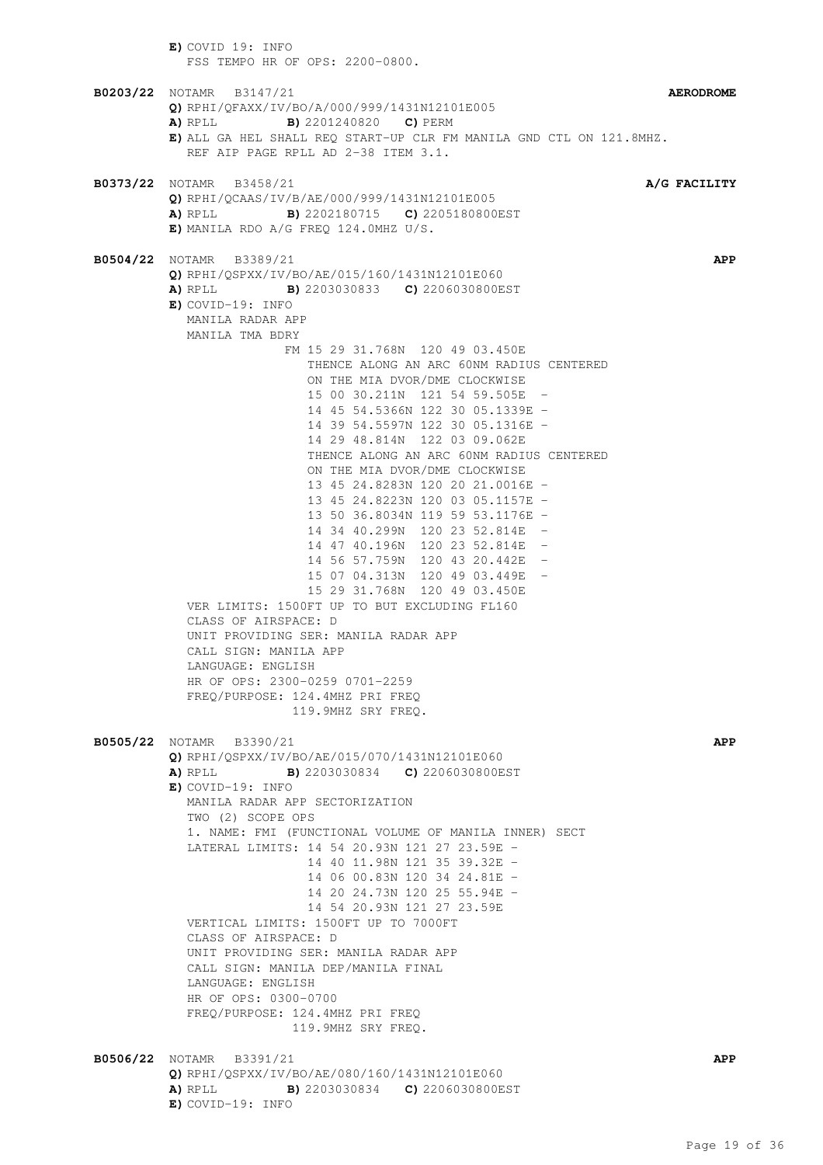**E)** COVID 19: INFO FSS TEMPO HR OF OPS: 2200-0800. **B0203/22** NOTAMR B3147/21 **AERODROME Q)** RPHI/QFAXX/IV/BO/A/000/999/1431N12101E005 **A)** RPLL **B)** 2201240820 **C)** PERM **E)** ALL GA HEL SHALL REQ START-UP CLR FM MANILA GND CTL ON 121.8MHZ. REF AIP PAGE RPLL AD 2-38 ITEM 3.1. **B0373/22** NOTAMR B3458/21 **A/G FACILITY Q)** RPHI/QCAAS/IV/B/AE/000/999/1431N12101E005 **A)** RPLL **B)** 2202180715 **C)** 2205180800EST **E)** MANILA RDO A/G FREQ 124.0MHZ U/S. **B0504/22** NOTAMR B3389/21 **APP Q)** RPHI/QSPXX/IV/BO/AE/015/160/1431N12101E060 **A)** RPLL **B)** 2203030833 **C)** 2206030800EST **E)** COVID-19: INFO MANILA RADAR APP MANILA TMA BDRY FM 15 29 31.768N 120 49 03.450E THENCE ALONG AN ARC 60NM RADIUS CENTERED ON THE MIA DVOR/DME CLOCKWISE 15 00 30.211N 121 54 59.505E - 14 45 54.5366N 122 30 05.1339E - 14 39 54.5597N 122 30 05.1316E - 14 29 48.814N 122 03 09.062E THENCE ALONG AN ARC 60NM RADIUS CENTERED ON THE MIA DVOR/DME CLOCKWISE 13 45 24.8283N 120 20 21.0016E - 13 45 24.8223N 120 03 05.1157E - 13 50 36.8034N 119 59 53.1176E - 14 34 40.299N 120 23 52.814E - 14 47 40.196N 120 23 52.814E - 14 56 57.759N 120 43 20.442E - 15 07 04.313N 120 49 03.449E - 15 29 31.768N 120 49 03.450E VER LIMITS: 1500FT UP TO BUT EXCLUDING FL160 CLASS OF AIRSPACE: D UNIT PROVIDING SER: MANILA RADAR APP CALL SIGN: MANILA APP LANGUAGE: ENGLISH HR OF OPS: 2300-0259 0701-2259 FREQ/PURPOSE: 124.4MHZ PRI FREQ 119.9MHZ SRY FREQ. **B0505/22** NOTAMR B3390/21 **APP Q)** RPHI/QSPXX/IV/BO/AE/015/070/1431N12101E060 **A)** RPLL **B)** 2203030834 **C)** 2206030800EST **E)** COVID-19: INFO MANILA RADAR APP SECTORIZATION TWO (2) SCOPE OPS 1. NAME: FMI (FUNCTIONAL VOLUME OF MANILA INNER) SECT LATERAL LIMITS: 14 54 20.93N 121 27 23.59E - 14 40 11.98N 121 35 39.32E - 14 06 00.83N 120 34 24.81E - 14 20 24.73N 120 25 55.94E - 14 54 20.93N 121 27 23.59E VERTICAL LIMITS: 1500FT UP TO 7000FT CLASS OF AIRSPACE: D UNIT PROVIDING SER: MANILA RADAR APP CALL SIGN: MANILA DEP/MANILA FINAL LANGUAGE: ENGLISH HR OF OPS: 0300-0700 FREQ/PURPOSE: 124.4MHZ PRI FREQ 119.9MHZ SRY FREQ. **B0506/22** NOTAMR B3391/21 **APP Q)** RPHI/QSPXX/IV/BO/AE/080/160/1431N12101E060 **A)** RPLL **B)** 2203030834 **C)** 2206030800EST **E)** COVID-19: INFO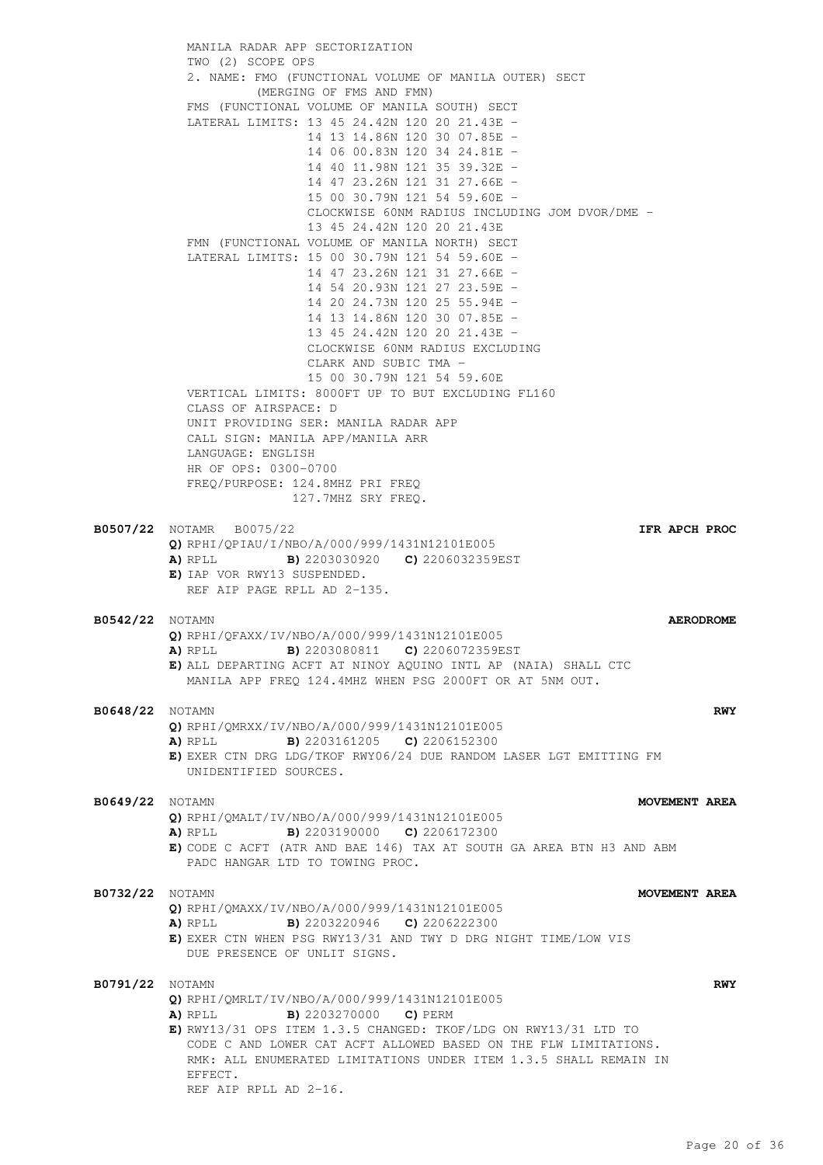MANILA RADAR APP SECTORIZATION TWO (2) SCOPE OPS 2. NAME: FMO (FUNCTIONAL VOLUME OF MANILA OUTER) SECT (MERGING OF FMS AND FMN) FMS (FUNCTIONAL VOLUME OF MANILA SOUTH) SECT LATERAL LIMITS: 13 45 24.42N 120 20 21.43E - 14 13 14.86N 120 30 07.85E - 14 06 00.83N 120 34 24.81E - 14 40 11.98N 121 35 39.32E - 14 47 23.26N 121 31 27.66E - 15 00 30.79N 121 54 59.60E - CLOCKWISE 60NM RADIUS INCLUDING JOM DVOR/DME - 13 45 24.42N 120 20 21.43E FMN (FUNCTIONAL VOLUME OF MANILA NORTH) SECT LATERAL LIMITS: 15 00 30.79N 121 54 59.60E - 14 47 23.26N 121 31 27.66E - 14 54 20.93N 121 27 23.59E - 14 20 24.73N 120 25 55.94E - 14 13 14.86N 120 30 07.85E - 13 45 24.42N 120 20 21.43E - CLOCKWISE 60NM RADIUS EXCLUDING CLARK AND SUBIC TMA - 15 00 30.79N 121 54 59.60E VERTICAL LIMITS: 8000FT UP TO BUT EXCLUDING FL160 CLASS OF AIRSPACE: D UNIT PROVIDING SER: MANILA RADAR APP CALL SIGN: MANILA APP/MANILA ARR LANGUAGE: ENGLISH HR OF OPS: 0300-0700 FREQ/PURPOSE: 124.8MHZ PRI FREQ 127.7MHZ SRY FREQ. **B0507/22** NOTAMR B0075/22 **IFR APCH PROC Q)** RPHI/QPIAU/I/NBO/A/000/999/1431N12101E005 **A)** RPLL **B)** 2203030920 **C)** 2206032359EST **E)** IAP VOR RWY13 SUSPENDED. REF AIP PAGE RPLL AD 2-135. **B0542/22** NOTAMN **AERODROME Q)** RPHI/QFAXX/IV/NBO/A/000/999/1431N12101E005 **A)** RPLL **B)** 2203080811 **C)** 2206072359EST **E)** ALL DEPARTING ACFT AT NINOY AQUINO INTL AP (NAIA) SHALL CTC MANILA APP FREQ 124.4MHZ WHEN PSG 2000FT OR AT 5NM OUT. **B0648/22** NOTAMN **RWY Q)** RPHI/QMRXX/IV/NBO/A/000/999/1431N12101E005 **A)** RPLL **B)** 2203161205 **C)** 2206152300 **E)** EXER CTN DRG LDG/TKOF RWY06/24 DUE RANDOM LASER LGT EMITTING FM UNIDENTIFIED SOURCES. **B0649/22** NOTAMN **MOVEMENT AREA Q)** RPHI/QMALT/IV/NBO/A/000/999/1431N12101E005 **A)** RPLL **B)** 2203190000 **C)** 2206172300 **E)** CODE C ACFT (ATR AND BAE 146) TAX AT SOUTH GA AREA BTN H3 AND ABM PADC HANGAR LTD TO TOWING PROC. **B0732/22** NOTAMN **MOVEMENT AREA Q)** RPHI/QMAXX/IV/NBO/A/000/999/1431N12101E005 **A)** RPLL **B)** 2203220946 **C)** 2206222300 **E)** EXER CTN WHEN PSG RWY13/31 AND TWY D DRG NIGHT TIME/LOW VIS DUE PRESENCE OF UNLIT SIGNS. **B0791/22** NOTAMN **RWY Q)** RPHI/QMRLT/IV/NBO/A/000/999/1431N12101E005 **A)** RPLL **B)** 2203270000 **C)** PERM **E)** RWY13/31 OPS ITEM 1.3.5 CHANGED: TKOF/LDG ON RWY13/31 LTD TO CODE C AND LOWER CAT ACFT ALLOWED BASED ON THE FLW LIMITATIONS. RMK: ALL ENUMERATED LIMITATIONS UNDER ITEM 1.3.5 SHALL REMAIN IN EFFECT. REF AIP RPLL AD 2-16.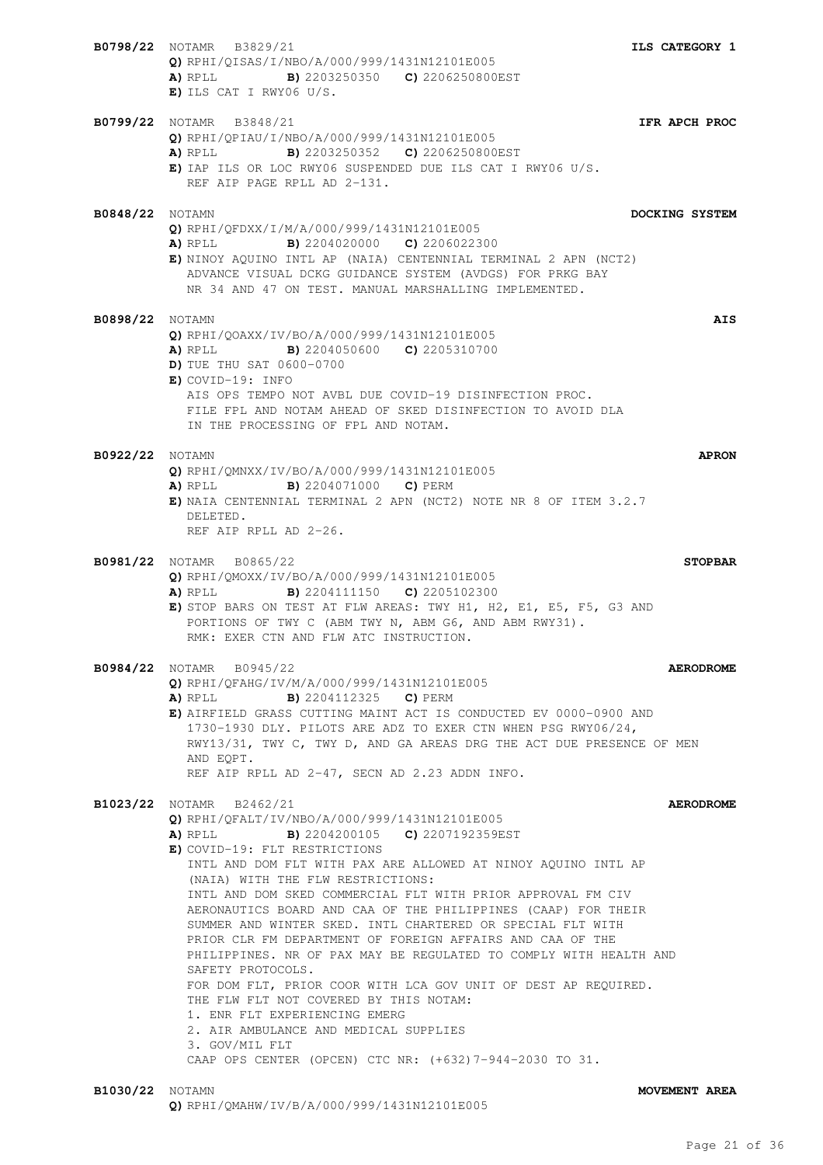**B0798/22** NOTAMR B3829/21 **ILS CATEGORY 1 Q)** RPHI/QISAS/I/NBO/A/000/999/1431N12101E005 **A)** RPLL **B)** 2203250350 **C)** 2206250800EST **E)** ILS CAT I RWY06 U/S. **B0799/22** NOTAMR B3848/21 **IFR APCH PROC Q)** RPHI/QPIAU/I/NBO/A/000/999/1431N12101E005 **A)** RPLL **B)** 2203250352 **C)** 2206250800EST **E)** IAP ILS OR LOC RWY06 SUSPENDED DUE ILS CAT I RWY06 U/S. REF AIP PAGE RPLL AD 2-131. **B0848/22** NOTAMN **DOCKING SYSTEM Q)** RPHI/QFDXX/I/M/A/000/999/1431N12101E005 **A)** RPLL **B)** 2204020000 **C)** 2206022300 **E)** NINOY AQUINO INTL AP (NAIA) CENTENNIAL TERMINAL 2 APN (NCT2) ADVANCE VISUAL DCKG GUIDANCE SYSTEM (AVDGS) FOR PRKG BAY NR 34 AND 47 ON TEST. MANUAL MARSHALLING IMPLEMENTED. **B0898/22** NOTAMN **AIS Q)** RPHI/QOAXX/IV/BO/A/000/999/1431N12101E005 **A)** RPLL **B)** 2204050600 **C)** 2205310700 **D)** TUE THU SAT 0600-0700 **E)** COVID-19: INFO AIS OPS TEMPO NOT AVBL DUE COVID-19 DISINFECTION PROC. FILE FPL AND NOTAM AHEAD OF SKED DISINFECTION TO AVOID DLA IN THE PROCESSING OF FPL AND NOTAM. **B0922/22** NOTAMN **APRON Q)** RPHI/QMNXX/IV/BO/A/000/999/1431N12101E005 **A)** RPLL **B)** 2204071000 **C)** PERM **E)** NAIA CENTENNIAL TERMINAL 2 APN (NCT2) NOTE NR 8 OF ITEM 3.2.7 DELETED. REF AIP RPLL AD 2-26. **B0981/22** NOTAMR B0865/22 **STOPBAR Q)** RPHI/QMOXX/IV/BO/A/000/999/1431N12101E005 **A)** RPLL **B)** 2204111150 **C)** 2205102300 **E)** STOP BARS ON TEST AT FLW AREAS: TWY H1, H2, E1, E5, F5, G3 AND PORTIONS OF TWY C (ABM TWY N, ABM G6, AND ABM RWY31). RMK: EXER CTN AND FLW ATC INSTRUCTION. **B0984/22** NOTAMR B0945/22 **AERODROME Q)** RPHI/QFAHG/IV/M/A/000/999/1431N12101E005 **A)** RPLL **B)** 2204112325 **C)** PERM **E)** AIRFIELD GRASS CUTTING MAINT ACT IS CONDUCTED EV 0000-0900 AND 1730-1930 DLY. PILOTS ARE ADZ TO EXER CTN WHEN PSG RWY06/24, RWY13/31, TWY C, TWY D, AND GA AREAS DRG THE ACT DUE PRESENCE OF MEN AND EQPT. REF AIP RPLL AD 2-47, SECN AD 2.23 ADDN INFO. **B1023/22** NOTAMR B2462/21 **AERODROME Q)** RPHI/QFALT/IV/NBO/A/000/999/1431N12101E005 **A)** RPLL **B)** 2204200105 **C)** 2207192359EST **E)** COVID-19: FLT RESTRICTIONS INTL AND DOM FLT WITH PAX ARE ALLOWED AT NINOY AQUINO INTL AP (NAIA) WITH THE FLW RESTRICTIONS: INTL AND DOM SKED COMMERCIAL FLT WITH PRIOR APPROVAL FM CIV AERONAUTICS BOARD AND CAA OF THE PHILIPPINES (CAAP) FOR THEIR SUMMER AND WINTER SKED. INTL CHARTERED OR SPECIAL FLT WITH PRIOR CLR FM DEPARTMENT OF FOREIGN AFFAIRS AND CAA OF THE PHILIPPINES. NR OF PAX MAY BE REGULATED TO COMPLY WITH HEALTH AND SAFETY PROTOCOLS. FOR DOM FLT, PRIOR COOR WITH LCA GOV UNIT OF DEST AP REQUIRED. THE FLW FLT NOT COVERED BY THIS NOTAM: 1. ENR FLT EXPERIENCING EMERG 2. AIR AMBULANCE AND MEDICAL SUPPLIES 3. GOV/MIL FLT CAAP OPS CENTER (OPCEN) CTC NR: (+632)7-944-2030 TO 31. **B1030/22** NOTAMN **MOVEMENT AREA**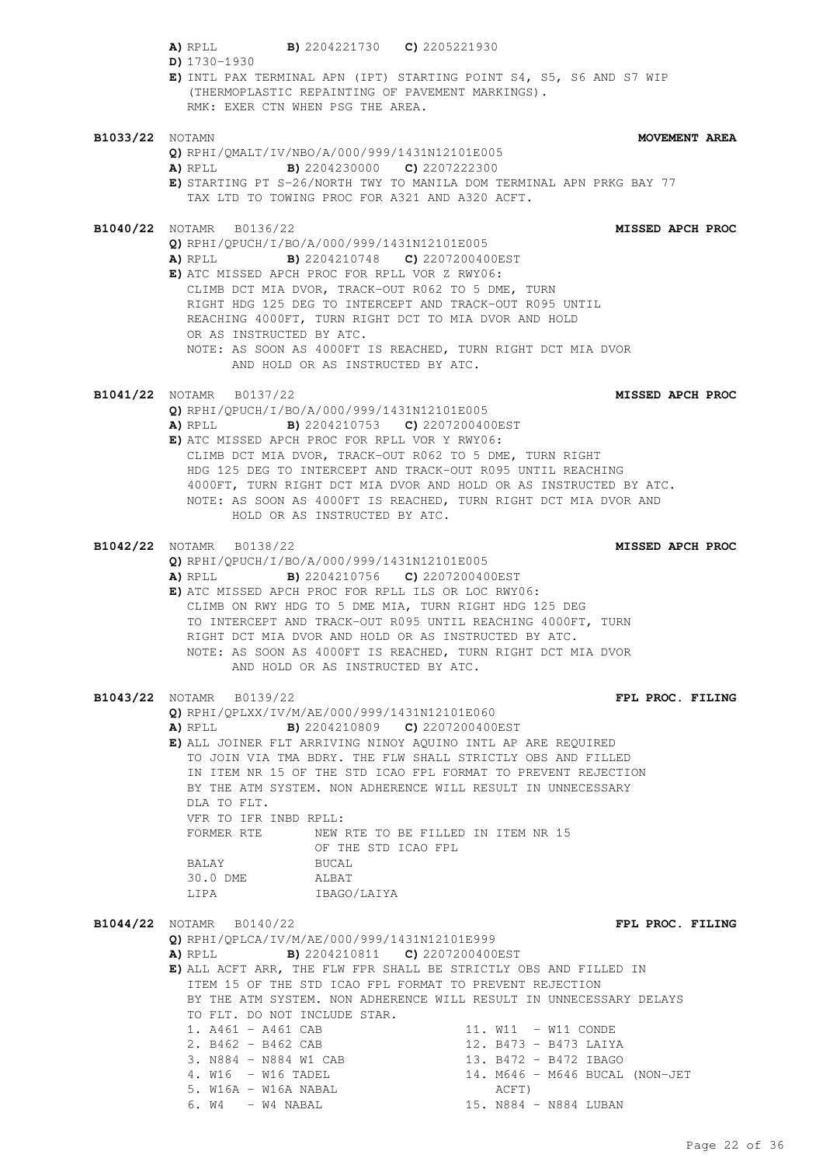|                        | A) RPLL B) 2204221730 C) 2205221930<br>D) $1730 - 1930$                                                                                                                                                                                                                                                                                                                                                                                 |                                                                                                                                                                                                                                             |
|------------------------|-----------------------------------------------------------------------------------------------------------------------------------------------------------------------------------------------------------------------------------------------------------------------------------------------------------------------------------------------------------------------------------------------------------------------------------------|---------------------------------------------------------------------------------------------------------------------------------------------------------------------------------------------------------------------------------------------|
|                        | (THERMOPLASTIC REPAINTING OF PAVEMENT MARKINGS).<br>RMK: EXER CTN WHEN PSG THE AREA.                                                                                                                                                                                                                                                                                                                                                    | E) INTL PAX TERMINAL APN (IPT) STARTING POINT S4, S5, S6 AND S7 WIP                                                                                                                                                                         |
| <b>B1033/22</b> NOTAMN |                                                                                                                                                                                                                                                                                                                                                                                                                                         | MOVEMENT AREA                                                                                                                                                                                                                               |
|                        | Q) RPHI/QMALT/IV/NBO/A/000/999/1431N12101E005<br>A) RPLL B) 2204230000 C) 2207222300<br>TAX LTD TO TOWING PROC FOR A321 AND A320 ACFT.                                                                                                                                                                                                                                                                                                  | E) STARTING PT S-26/NORTH TWY TO MANILA DOM TERMINAL APN PRKG BAY 77                                                                                                                                                                        |
|                        | <b>B1040/22</b> NOTAMR B0136/22<br>Q) RPHI/QPUCH/I/BO/A/000/999/1431N12101E005<br><b>A)</b> RPLL <b>B)</b> 2204210748 <b>C)</b> 2207200400EST<br>E) ATC MISSED APCH PROC FOR RPLL VOR Z RWY06:<br>CLIMB DCT MIA DVOR, TRACK-OUT R062 TO 5 DME, TURN<br>RIGHT HDG 125 DEG TO INTERCEPT AND TRACK-OUT R095 UNTIL<br>REACHING 4000FT, TURN RIGHT DCT TO MIA DVOR AND HOLD<br>OR AS INSTRUCTED BY ATC.<br>AND HOLD OR AS INSTRUCTED BY ATC. | MISSED APCH PROC<br>NOTE: AS SOON AS 4000FT IS REACHED, TURN RIGHT DCT MIA DVOR                                                                                                                                                             |
|                        | <b>B1041/22</b> NOTAMR B0137/22                                                                                                                                                                                                                                                                                                                                                                                                         | <b>MISSED APCH PROC</b>                                                                                                                                                                                                                     |
|                        | Q) RPHI/OPUCH/I/BO/A/000/999/1431N12101E005<br>A) RPLL B) 2204210753 C) 2207200400EST<br>E) ATC MISSED APCH PROC FOR RPLL VOR Y RWY06:<br>CLIMB DCT MIA DVOR, TRACK-OUT R062 TO 5 DME, TURN RIGHT<br>HOLD OR AS INSTRUCTED BY ATC.                                                                                                                                                                                                      | HDG 125 DEG TO INTERCEPT AND TRACK-OUT R095 UNTIL REACHING<br>4000FT, TURN RIGHT DCT MIA DVOR AND HOLD OR AS INSTRUCTED BY ATC.<br>NOTE: AS SOON AS 4000FT IS REACHED, TURN RIGHT DCT MIA DVOR AND                                          |
|                        | <b>B1042/22</b> NOTAMR B0138/22<br>Q) RPHI/QPUCH/I/BO/A/000/999/1431N12101E005<br>A) RPLL B) 2204210756 C) 2207200400EST<br>E) ATC MISSED APCH PROC FOR RPLL ILS OR LOC RWY06:<br>CLIMB ON RWY HDG TO 5 DME MIA, TURN RIGHT HDG 125 DEG<br>RIGHT DCT MIA DVOR AND HOLD OR AS INSTRUCTED BY ATC.<br>AND HOLD OR AS INSTRUCTED BY ATC.                                                                                                    | MISSED APCH PROC<br>TO INTERCEPT AND TRACK-OUT R095 UNTIL REACHING 4000FT, TURN<br>NOTE: AS SOON AS 4000FT IS REACHED, TURN RIGHT DCT MIA DVOR                                                                                              |
|                        | B1043/22 NOTAMR B0139/22                                                                                                                                                                                                                                                                                                                                                                                                                | FPL PROC. FILING                                                                                                                                                                                                                            |
|                        | Q) RPHI/QPLXX/IV/M/AE/000/999/1431N12101E060<br>A) RPLL<br>E) ALL JOINER FLT ARRIVING NINOY AQUINO INTL AP ARE REQUIRED<br>DLA TO FLT.<br>VFR TO IFR INBD RPLL:<br>FORMER RTE NEW RTE TO BE FILLED IN ITEM NR 15<br>OF THE STD ICAO FPL<br>BUCAL<br><b>BALAY</b><br>30.0 DME ALBAT<br>LIPA IBAGO/LAIYA                                                                                                                                  | <b>B)</b> 2204210809 <b>C)</b> 2207200400EST<br>TO JOIN VIA TMA BDRY. THE FLW SHALL STRICTLY OBS AND FILLED<br>IN ITEM NR 15 OF THE STD ICAO FPL FORMAT TO PREVENT REJECTION<br>BY THE ATM SYSTEM. NON ADHERENCE WILL RESULT IN UNNECESSARY |
|                        | <b>B1044/22</b> NOTAMR B0140/22<br>Q) RPHI/QPLCA/IV/M/AE/000/999/1431N12101E999<br>A) RPLL B) 2204210811 C) 2207200400EST<br>ITEM 15 OF THE STD ICAO FPL FORMAT TO PREVENT REJECTION                                                                                                                                                                                                                                                    | FPL PROC. FILING<br>E) ALL ACFT ARR, THE FLW FPR SHALL BE STRICTLY OBS AND FILLED IN<br>BY THE ATM SYSTEM. NON ADHERENCE WILL RESULT IN UNNECESSARY DELAYS                                                                                  |
|                        | TO FLT. DO NOT INCLUDE STAR.<br>1. $A461 - A461$ CAB<br>2. B462 - B462 CAB<br>3. N884 - N884 W1 CAB<br>4. W16 - W16 TADEL<br>5. W16A - W16A NABAL<br>$6. W4 - W4 NABAL$                                                                                                                                                                                                                                                                 | 11. W11 - W11 CONDE<br>12. B473 - B473 LAIYA<br>13. B472 - B472 IBAGO<br>14. M646 - M646 BUCAL (NON-JET<br>ACFT)<br>15. N884 - N884 LUBAN                                                                                                   |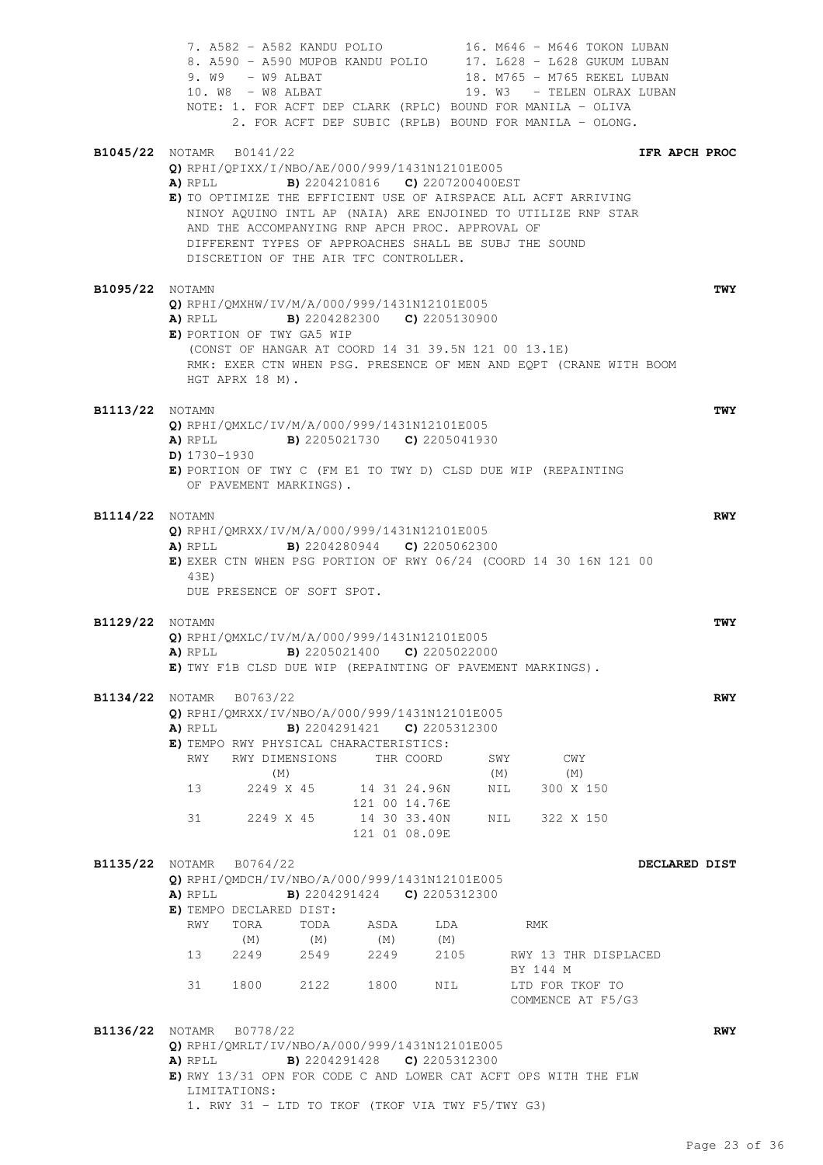|                        | 7. A582 - A582 KANDU POLIO 16. M646 - M646 TOKON LUBAN<br>8. A590 - A590 MUPOB KANDU POLIO 17. L628 - L628 GUKUM LUBAN<br>$9. W9 - W9 ALBAT$<br>10. W8 - W8 ALBAT<br>NOTE: 1. FOR ACFT DEP CLARK (RPLC) BOUND FOR MANILA - OLIVA<br>2. FOR ACFT DEP SUBIC (RPLB) BOUND FOR MANILA - OLONG.                                                                                                                                                                                                                     | 18. M765 - M765 REKEL LUBAN<br>19. W3 - TELEN OLRAX LUBAN                            |                                       |
|------------------------|----------------------------------------------------------------------------------------------------------------------------------------------------------------------------------------------------------------------------------------------------------------------------------------------------------------------------------------------------------------------------------------------------------------------------------------------------------------------------------------------------------------|--------------------------------------------------------------------------------------|---------------------------------------|
|                        | <b>B1045/22</b> NOTAMR B0141/22<br>Q) RPHI/QPIXX/I/NBO/AE/000/999/1431N12101E005<br><b>B)</b> 2204210816 <b>C)</b> 2207200400EST<br>A) RPLL<br>E) TO OPTIMIZE THE EFFICIENT USE OF AIRSPACE ALL ACFT ARRIVING<br>NINOY AQUINO INTL AP (NAIA) ARE ENJOINED TO UTILIZE RNP STAR<br>AND THE ACCOMPANYING RNP APCH PROC. APPROVAL OF<br>DIFFERENT TYPES OF APPROACHES SHALL BE SUBJ THE SOUND<br>DISCRETION OF THE AIR TFC CONTROLLER.                                                                             |                                                                                      | IFR APCH PROC                         |
| <b>B1095/22</b> NOTAMN | Q) RPHI/QMXHW/IV/M/A/000/999/1431N12101E005<br><b>A)</b> RPLL <b>B)</b> 2204282300 <b>C)</b> 2205130900<br>E) PORTION OF TWY GA5 WIP<br>(CONST OF HANGAR AT COORD 14 31 39.5N 121 00 13.1E)<br>RMK: EXER CTN WHEN PSG. PRESENCE OF MEN AND EQPT (CRANE WITH BOOM<br>HGT APRX 18 M).                                                                                                                                                                                                                            |                                                                                      | TWY                                   |
| <b>B1113/22</b> NOTAMN | Q) RPHI/QMXLC/IV/M/A/000/999/1431N12101E005<br>A) RPLL B) 2205021730 C) 2205041930<br>$D)$ 1730-1930<br>E) PORTION OF TWY C (FM E1 TO TWY D) CLSD DUE WIP (REPAINTING<br>OF PAVEMENT MARKINGS).                                                                                                                                                                                                                                                                                                                |                                                                                      | TWY                                   |
| <b>B1114/22</b> NOTAMN | Q) RPHI/QMRXX/IV/M/A/000/999/1431N12101E005<br><b>B</b> ) 2204280944 <b>C</b> ) 2205062300<br>A) RPLL<br>E) EXER CTN WHEN PSG PORTION OF RWY 06/24 (COORD 14 30 16N 121 00<br>43E)<br>DUE PRESENCE OF SOFT SPOT.                                                                                                                                                                                                                                                                                               |                                                                                      | RWY                                   |
| <b>B1129/22</b> NOTAMN | Q) RPHI/QMXLC/IV/M/A/000/999/1431N12101E005<br><b>A)</b> RPLL <b>B)</b> 2205021400 <b>C)</b> 2205022000<br>E) TWY F1B CLSD DUE WIP (REPAINTING OF PAVEMENT MARKINGS).                                                                                                                                                                                                                                                                                                                                          |                                                                                      | TWY                                   |
|                        | <b>B1134/22</b> NOTAMR B0763/22<br>Q) RPHI/QMRXX/IV/NBO/A/000/999/1431N12101E005<br>A) RPLL<br><b>B)</b> 2204291421 <b>C)</b> 2205312300<br>E) TEMPO RWY PHYSICAL CHARACTERISTICS:<br>RWY DIMENSIONS<br>RWY<br>THR COORD<br>(M)<br>13<br>2249 X 45<br>14 31 24.96N<br>121 00 14.76E<br>31<br>14 30 33.40N<br>2249 X 45<br>121 01 08.09E                                                                                                                                                                        | CWY<br>SWY<br>(M)<br>(M)<br>300 X 150<br>NIL<br>322 X 150<br>NIL                     | <b>RWY</b>                            |
|                        | <b>B1135/22</b> NOTAMR B0764/22<br>Q) RPHI/QMDCH/IV/NBO/A/000/999/1431N12101E005<br><b>B)</b> 2204291424 <b>C)</b> 2205312300<br>A) RPLL<br>E) TEMPO DECLARED DIST:<br>RWY<br>TORA<br>TODA<br>ASDA<br>(M)<br>(M)<br>(M)<br>13<br>2249<br>2549<br>2249<br>2122<br>31<br>1800 - 1800 - 1800 - 1810 - 1810 - 1810 - 1820 - 1820 - 1820 - 1820 - 1820 - 1820 - 1820 - 1820 - 1820 - 1820 - 1820 - 1820 - 1820 - 1820 - 1820 - 1820 - 1820 - 1820 - 1820 - 1820 - 1820 - 1820 - 1820 - 1820 - 1820 - 1820 -<br>1800 | LDA<br>RMK<br>(M)<br>2105<br>BY 144 M<br>LTD FOR TKOF TO<br>NIL<br>COMMENCE AT F5/G3 | DECLARED DIST<br>RWY 13 THR DISPLACED |
|                        | B1136/22 NOTAMR B0778/22<br>Q) RPHI/QMRLT/IV/NBO/A/000/999/1431N12101E005<br><b>B)</b> 2204291428 <b>C)</b> 2205312300<br>A) RPLL<br>E) RWY 13/31 OPN FOR CODE C AND LOWER CAT ACFT OPS WITH THE FLW<br>LIMITATIONS:<br>1. RWY 31 - LTD TO TKOF (TKOF VIA TWY F5/TWY G3)                                                                                                                                                                                                                                       |                                                                                      | <b>RWY</b>                            |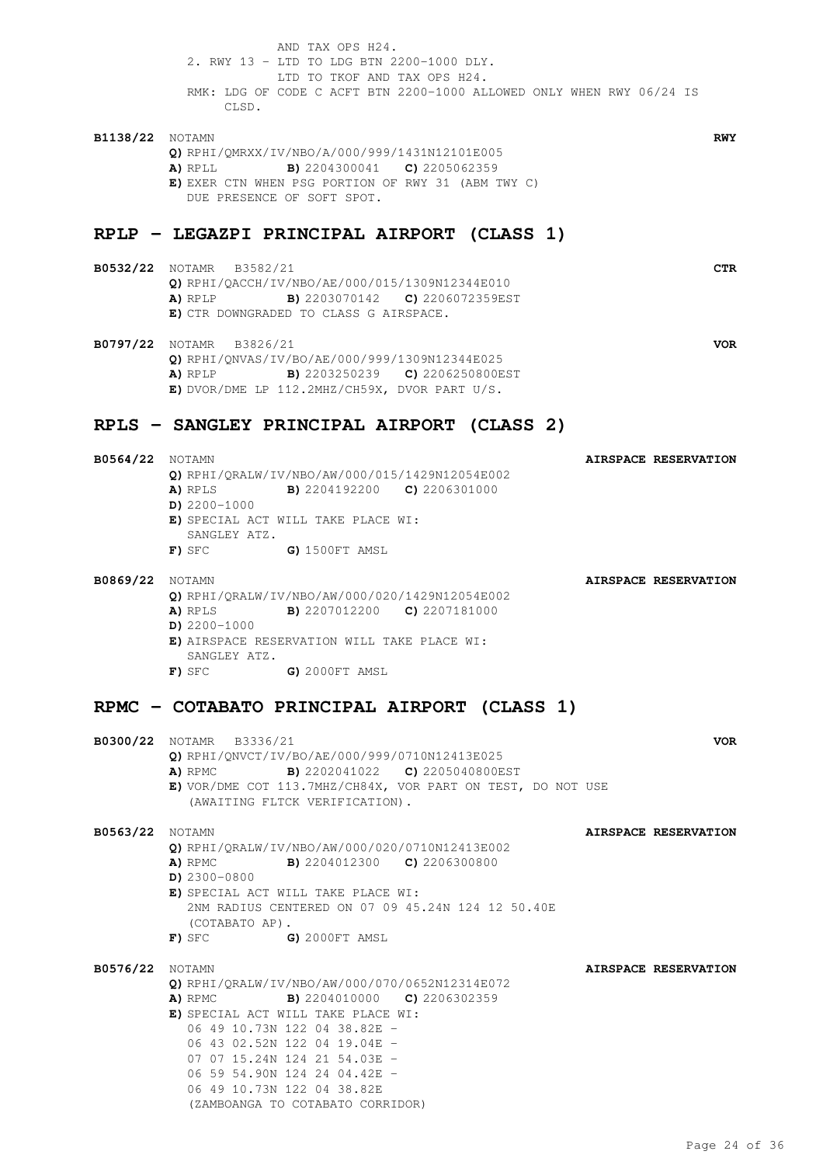AND TAX OPS H24. 2. RWY 13 - LTD TO LDG BTN 2200-1000 DLY. LTD TO TKOF AND TAX OPS H24. RMK: LDG OF CODE C ACFT BTN 2200-1000 ALLOWED ONLY WHEN RWY 06/24 IS CLSD.

**B1138/22** NOTAMN **RWY Q)** RPHI/QMRXX/IV/NBO/A/000/999/1431N12101E005 **A)** RPLL **B)** 2204300041 **C)** 2205062359 **E)** EXER CTN WHEN PSG PORTION OF RWY 31 (ABM TWY C) DUE PRESENCE OF SOFT SPOT.

## **RPLP - LEGAZPI PRINCIPAL AIRPORT (CLASS 1)**

- **B0532/22** NOTAMR B3582/21 **CTR Q)** RPHI/QACCH/IV/NBO/AE/000/015/1309N12344E010 **A)** RPLP **B)** 2203070142 **C)** 2206072359EST **E)** CTR DOWNGRADED TO CLASS G AIRSPACE.
- **B0797/22** NOTAMR B3826/21 **VOR Q)** RPHI/QNVAS/IV/BO/AE/000/999/1309N12344E025 **A)** RPLP **B)** 2203250239 **C)** 2206250800EST **E)** DVOR/DME LP 112.2MHZ/CH59X, DVOR PART U/S.

# **RPLS - SANGLEY PRINCIPAL AIRPORT (CLASS 2)**

**B0564/22** NOTAMN **AIRSPACE RESERVATION Q)** RPHI/QRALW/IV/NBO/AW/000/015/1429N12054E002 **A)** RPLS **B)** 2204192200 **C)** 2206301000 **D)** 2200-1000 **E)** SPECIAL ACT WILL TAKE PLACE WI: SANGLEY ATZ. **F)** SFC **G)** 1500FT AMSL **B0869/22** NOTAMN **AIRSPACE RESERVATION**

**Q)** RPHI/QRALW/IV/NBO/AW/000/020/1429N12054E002 **A)** RPLS **B)** 2207012200 **C)** 2207181000 **D)** 2200-1000 **E)** AIRSPACE RESERVATION WILL TAKE PLACE WI: SANGLEY ATZ. **F)** SFC **G)** 2000FT AMSL

### **RPMC - COTABATO PRINCIPAL AIRPORT (CLASS 1)**

**B0300/22** NOTAMR B3336/21 **VOR Q)** RPHI/QNVCT/IV/BO/AE/000/999/0710N12413E025 **A)** RPMC **B)** 2202041022 **C)** 2205040800EST **E)** VOR/DME COT 113.7MHZ/CH84X, VOR PART ON TEST, DO NOT USE (AWAITING FLTCK VERIFICATION). **B0563/22** NOTAMN **AIRSPACE RESERVATION Q)** RPHI/QRALW/IV/NBO/AW/000/020/0710N12413E002 **A)** RPMC **B)** 2204012300 **C)** 2206300800 **D)** 2300-0800 **E)** SPECIAL ACT WILL TAKE PLACE WI: 2NM RADIUS CENTERED ON 07 09 45.24N 124 12 50.40E (COTABATO AP). **F)** SFC **G)** 2000FT AMSL **B0576/22** NOTAMN **AIRSPACE RESERVATION Q)** RPHI/QRALW/IV/NBO/AW/000/070/0652N12314E072 **A)** RPMC **B)** 2204010000 **C)** 2206302359 **E)** SPECIAL ACT WILL TAKE PLACE WI: 06 49 10.73N 122 04 38.82E - 06 43 02.52N 122 04 19.04E - 07 07 15.24N 124 21 54.03E - 06 59 54.90N 124 24 04.42E - 06 49 10.73N 122 04 38.82E (ZAMBOANGA TO COTABATO CORRIDOR)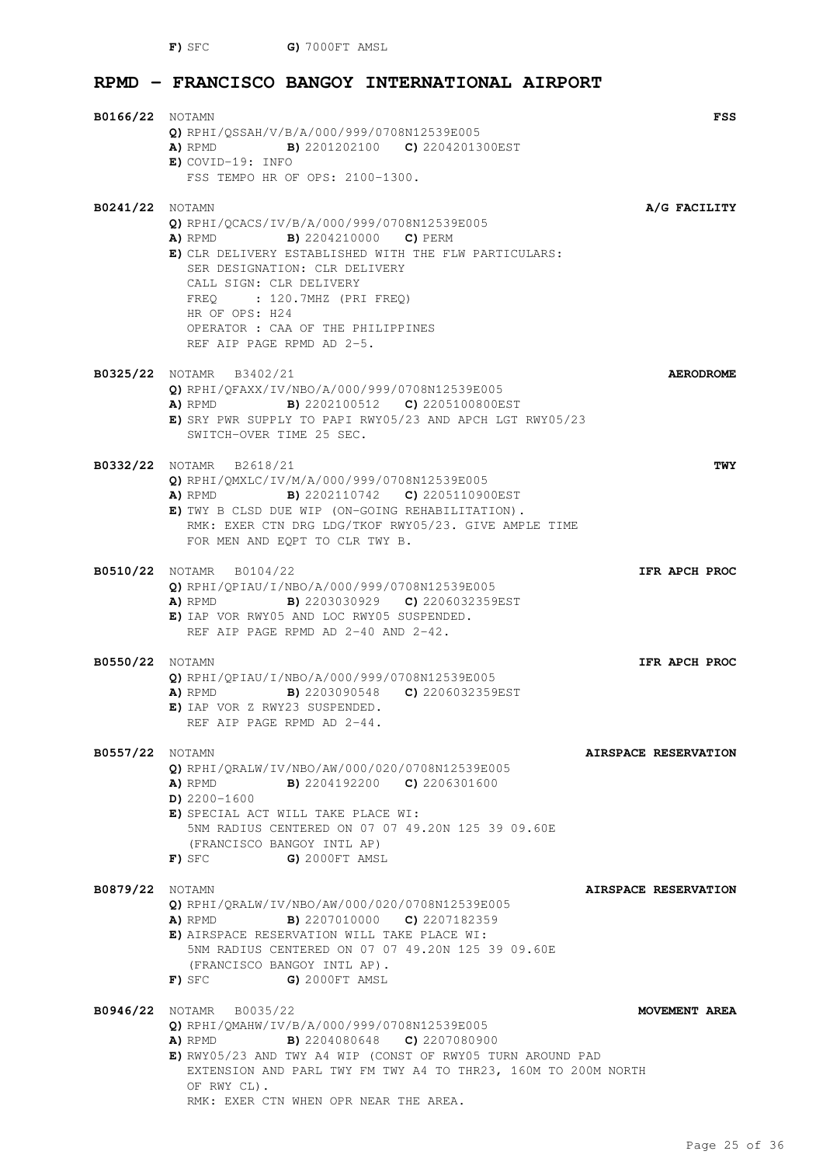**F)** SFC **G)** 7000FT AMSL

# **RPMD - FRANCISCO BANGOY INTERNATIONAL AIRPORT**

| <b>B0166/22</b> NOTAMN | Q) RPHI/QSSAH/V/B/A/000/999/0708N12539E005<br>A) RPMD B) 2201202100 C) 2204201300EST                                                                                                                                                                                                                                                     | FSS                  |
|------------------------|------------------------------------------------------------------------------------------------------------------------------------------------------------------------------------------------------------------------------------------------------------------------------------------------------------------------------------------|----------------------|
|                        | $E)$ COVID-19: INFO<br>FSS TEMPO HR OF OPS: 2100-1300.                                                                                                                                                                                                                                                                                   |                      |
| <b>B0241/22</b> NOTAMN | Q) RPHI/QCACS/IV/B/A/000/999/0708N12539E005<br><b>A)</b> RPMD <b>B)</b> 2204210000 <b>C)</b> PERM<br>E) CLR DELIVERY ESTABLISHED WITH THE FLW PARTICULARS:<br>SER DESIGNATION: CLR DELIVERY<br>CALL SIGN: CLR DELIVERY<br>FREO : 120.7MHZ (PRI FREO)<br>HR OF OPS: H24<br>OPERATOR : CAA OF THE PHILIPPINES<br>REF AIP PAGE RPMD AD 2-5. | A/G FACILITY         |
|                        | B0325/22 NOTAMR B3402/21<br>O) RPHI/OFAXX/IV/NBO/A/000/999/0708N12539E005<br><b>A)</b> RPMD <b>B)</b> 2202100512 <b>C)</b> 2205100800EST<br>E) SRY PWR SUPPLY TO PAPI RWY05/23 AND APCH LGT RWY05/23<br>SWITCH-OVER TIME 25 SEC.                                                                                                         | <b>AERODROME</b>     |
|                        | <b>B0332/22</b> NOTAMR B2618/21<br>Q) RPHI/QMXLC/IV/M/A/000/999/0708N12539E005<br><b>A)</b> RPMD <b>B)</b> 2202110742 <b>C)</b> 2205110900EST<br>E) TWY B CLSD DUE WIP (ON-GOING REHABILITATION).<br>RMK: EXER CTN DRG LDG/TKOF RWY05/23. GIVE AMPLE TIME<br>FOR MEN AND EQPT TO CLR TWY B.                                              | TWY                  |
|                        | B0510/22 NOTAMR B0104/22<br>$Q$ ) RPHI/QPIAU/I/NBO/A/000/999/0708N12539E005<br>A) RPMD B) 2203030929 C) 2206032359EST<br>E) IAP VOR RWY05 AND LOC RWY05 SUSPENDED.<br>REF AIP PAGE RPMD AD 2-40 AND 2-42.                                                                                                                                | IFR APCH PROC        |
| <b>B0550/22</b> NOTAMN | $Q$ ) RPHI/QPIAU/I/NBO/A/000/999/0708N12539E005<br>B) 2203090548 C) 2206032359EST<br>A) RPMD<br>E) IAP VOR Z RWY23 SUSPENDED.<br>REF AIP PAGE RPMD AD 2-44.                                                                                                                                                                              | IFR APCH PROC        |
| <b>B0557/22</b> NOTAMN | Q) RPHI/QRALW/IV/NBO/AW/000/020/0708N12539E005<br><b>A)</b> RPMD <b>B)</b> 2204192200 <b>C)</b> 2206301600<br>$D)$ 2200-1600<br>E) SPECIAL ACT WILL TAKE PLACE WI:<br>5NM RADIUS CENTERED ON 07 07 49.20N 125 39 09.60E<br>(FRANCISCO BANGOY INTL AP)<br>G) 2000FT AMSL<br>F) SFC                                                        | AIRSPACE RESERVATION |
| <b>B0879/22</b> NOTAMN | O) RPHI/ORALW/IV/NBO/AW/000/020/0708N12539E005<br><b>B)</b> 2207010000 <b>C)</b> 2207182359<br>A) RPMD<br>E) AIRSPACE RESERVATION WILL TAKE PLACE WI:<br>5NM RADIUS CENTERED ON 07 07 49.20N 125 39 09.60E<br>(FRANCISCO BANGOY INTL AP).<br>G) 2000FT AMSL<br>F) SFC                                                                    | AIRSPACE RESERVATION |
|                        | <b>B0946/22</b> NOTAMR B0035/22<br>Q) RPHI/QMAHW/IV/B/A/000/999/0708N12539E005<br>A) RPMD<br><b>B)</b> 2204080648 <b>C)</b> 2207080900<br>E) RWY05/23 AND TWY A4 WIP (CONST OF RWY05 TURN AROUND PAD<br>EXTENSION AND PARL TWY FM TWY A4 TO THR23, 160M TO 200M NORTH<br>OF RWY CL).<br>RMK: EXER CTN WHEN OPR NEAR THE AREA.            | <b>MOVEMENT AREA</b> |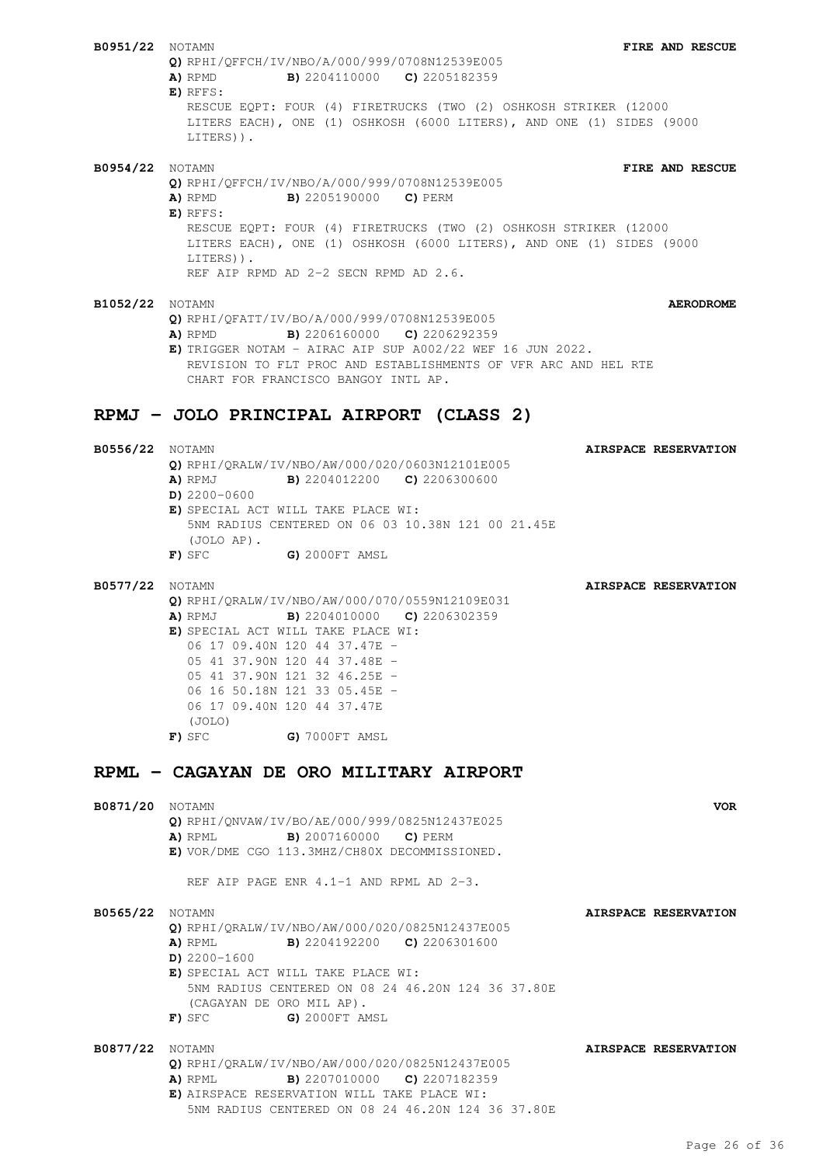**B0951/22** NOTAMN **FIRE AND RESCUE Q)** RPHI/QFFCH/IV/NBO/A/000/999/0708N12539E005 **A)** RPMD **B)** 2204110000 **C)** 2205182359 **E)** RFFS: RESCUE EQPT: FOUR (4) FIRETRUCKS (TWO (2) OSHKOSH STRIKER (12000 LITERS EACH), ONE (1) OSHKOSH (6000 LITERS), AND ONE (1) SIDES (9000 LITERS)). **B0954/22** NOTAMN **FIRE AND RESCUE Q)** RPHI/QFFCH/IV/NBO/A/000/999/0708N12539E005 **A)** RPMD **B)** 2205190000 **C)** PERM **E)** RFFS: RESCUE EQPT: FOUR (4) FIRETRUCKS (TWO (2) OSHKOSH STRIKER (12000 LITERS EACH), ONE (1) OSHKOSH (6000 LITERS), AND ONE (1) SIDES (9000 LITERS)). REF AIP RPMD AD 2-2 SECN RPMD AD 2.6. **B1052/22** NOTAMN **AERODROME Q)** RPHI/QFATT/IV/BO/A/000/999/0708N12539E005 **A)** RPMD **B)** 2206160000 **C)** 2206292359 **E)** TRIGGER NOTAM - AIRAC AIP SUP A002/22 WEF 16 JUN 2022. REVISION TO FLT PROC AND ESTABLISHMENTS OF VFR ARC AND HEL RTE CHART FOR FRANCISCO BANGOY INTL AP. **RPMJ - JOLO PRINCIPAL AIRPORT (CLASS 2) B0556/22** NOTAMN **AIRSPACE RESERVATION Q)** RPHI/QRALW/IV/NBO/AW/000/020/0603N12101E005 **A)** RPMJ **B)** 2204012200 **C)** 2206300600 **D)** 2200-0600 **E)** SPECIAL ACT WILL TAKE PLACE WI: 5NM RADIUS CENTERED ON 06 03 10.38N 121 00 21.45E (JOLO AP). **F)** SFC **G)** 2000FT AMSL **B0577/22** NOTAMN **AIRSPACE RESERVATION Q)** RPHI/QRALW/IV/NBO/AW/000/070/0559N12109E031 **A)** RPMJ **B)** 2204010000 **C)** 2206302359 **E)** SPECIAL ACT WILL TAKE PLACE WI: 06 17 09.40N 120 44 37.47E - 05 41 37.90N 120 44 37.48E - 05 41 37.90N 121 32 46.25E -06 16 50.18N 121 33 05.45E - 06 17 09.40N 120 44 37.47E (JOLO) **F)** SFC **G)** 7000FT AMSL **RPML - CAGAYAN DE ORO MILITARY AIRPORT B0871/20** NOTAMN **VOR Q)** RPHI/QNVAW/IV/BO/AE/000/999/0825N12437E025 **A)** RPML **B)** 2007160000 **C)** PERM **E)** VOR/DME CGO 113.3MHZ/CH80X DECOMMISSIONED. REF AIP PAGE ENR 4.1-1 AND RPML AD 2-3. **B0565/22** NOTAMN **AIRSPACE RESERVATION Q)** RPHI/QRALW/IV/NBO/AW/000/020/0825N12437E005 **A)** RPML **B)** 2204192200 **C)** 2206301600 **D)** 2200-1600 **E)** SPECIAL ACT WILL TAKE PLACE WI: 5NM RADIUS CENTERED ON 08 24 46.20N 124 36 37.80E (CAGAYAN DE ORO MIL AP). **F)** SFC **G)** 2000FT AMSL **B0877/22** NOTAMN **AIRSPACE RESERVATION Q)** RPHI/QRALW/IV/NBO/AW/000/020/0825N12437E005 **A)** RPML **B)** 2207010000 **C)** 2207182359 **E)** AIRSPACE RESERVATION WILL TAKE PLACE WI: 5NM RADIUS CENTERED ON 08 24 46.20N 124 36 37.80E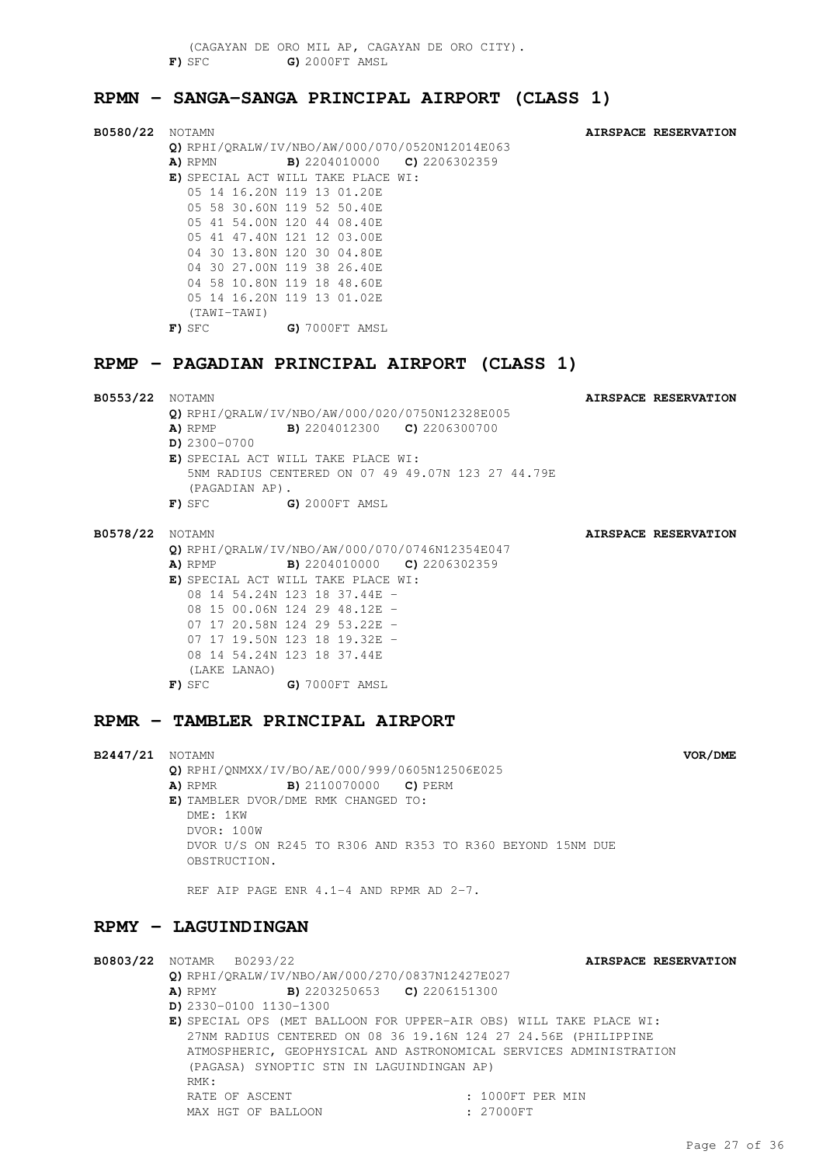(CAGAYAN DE ORO MIL AP, CAGAYAN DE ORO CITY). **F)** SFC **G)** 2000FT AMSL

### **RPMN - SANGA-SANGA PRINCIPAL AIRPORT (CLASS 1)**

| B0580/22 Notamn | Q) RPHI/QRALW/IV/NBO/AW/000/070/0520N12014E063<br>A) RPMN<br>E) SPECIAL ACT WILL TAKE PLACE WI:<br>(TAWI-TAWI)<br>$F)$ SFC                                       | <b>B)</b> 2204010000 <b>C)</b> 2206302359<br>05 14 16.20N 119 13 01.20E<br>05 58 30.60N 119 52 50.40E<br>05 41 54.00N 120 44 08.40E<br>05 41 47.40N 121 12 03.00E<br>04 30 13.80N 120 30 04.80E<br>04 30 27.00N 119 38 26.40E<br>04 58 10.80N 119 18 48.60E<br>05 14 16.20N 119 13 01.02E<br>G) 7000FT AMSL |  | AIRSPACE RESERVATION |
|-----------------|------------------------------------------------------------------------------------------------------------------------------------------------------------------|-------------------------------------------------------------------------------------------------------------------------------------------------------------------------------------------------------------------------------------------------------------------------------------------------------------|--|----------------------|
|                 | RPMP - PAGADIAN PRINCIPAL AIRPORT (CLASS 1)                                                                                                                      |                                                                                                                                                                                                                                                                                                             |  |                      |
|                 | Q) RPHI/QRALW/IV/NBO/AW/000/020/0750N12328E005<br>A) RPMP<br>$D)$ 2300-0700<br>E) SPECIAL ACT WILL TAKE PLACE WI:<br>(PAGADIAN AP).<br>$F)$ SFC $G)$ 2000FT AMSL | <b>B)</b> 2204012300 <b>C)</b> 2206300700<br>5NM RADIUS CENTERED ON 07 49 49.07N 123 27 44.79E                                                                                                                                                                                                              |  | AIRSPACE RESERVATION |
|                 | Q) RPHI/QRALW/IV/NBO/AW/000/070/0746N12354E047<br>A) RPMP<br>E) SPECIAL ACT WILL TAKE PLACE WI:<br>(LAKE LANAO)<br>$\mathbf{F}$ ) sfc $\blacksquare$             | <b>B)</b> 2204010000 <b>C)</b> 2206302359<br>08 14 54.24N 123 18 37.44E -<br>08 15 00.06N 124 29 48.12E -<br>07 17 20.58N 124 29 53.22E -<br>07 17 19.50N 123 18 19.32E -<br>08 14 54.24N 123 18 37.44E<br>G) 7000FT AMSL                                                                                   |  | AIRSPACE RESERVATION |
|                 | RPMR - TAMBLER PRINCIPAL AIRPORT                                                                                                                                 |                                                                                                                                                                                                                                                                                                             |  |                      |

**B2447/21** NOTAMN **VOR/DME Q)** RPHI/QNMXX/IV/BO/AE/000/999/0605N12506E025 **A)** RPMR **B)** 2110070000 **C)** PERM **E)** TAMBLER DVOR/DME RMK CHANGED TO: DME: 1KW DVOR: 100W DVOR U/S ON R245 TO R306 AND R353 TO R360 BEYOND 15NM DUE **OBSTRUCTION** 

REF AIP PAGE ENR 4.1-4 AND RPMR AD 2-7.

### **RPMY - LAGUINDINGAN**

**B0803/22** NOTAMR B0293/22 **AIRSPACE RESERVATION Q)** RPHI/QRALW/IV/NBO/AW/000/270/0837N12427E027 **A)** RPMY **B)** 2203250653 **C)** 2206151300 **D)** 2330-0100 1130-1300 **E)** SPECIAL OPS (MET BALLOON FOR UPPER-AIR OBS) WILL TAKE PLACE WI: 27NM RADIUS CENTERED ON 08 36 19.16N 124 27 24.56E (PHILIPPINE ATMOSPHERIC, GEOPHYSICAL AND ASTRONOMICAL SERVICES ADMINISTRATION (PAGASA) SYNOPTIC STN IN LAGUINDINGAN AP) RMK:

MAX HGT OF BALLOON : 27000FT

RATE OF ASCENT : 1000FT PER MIN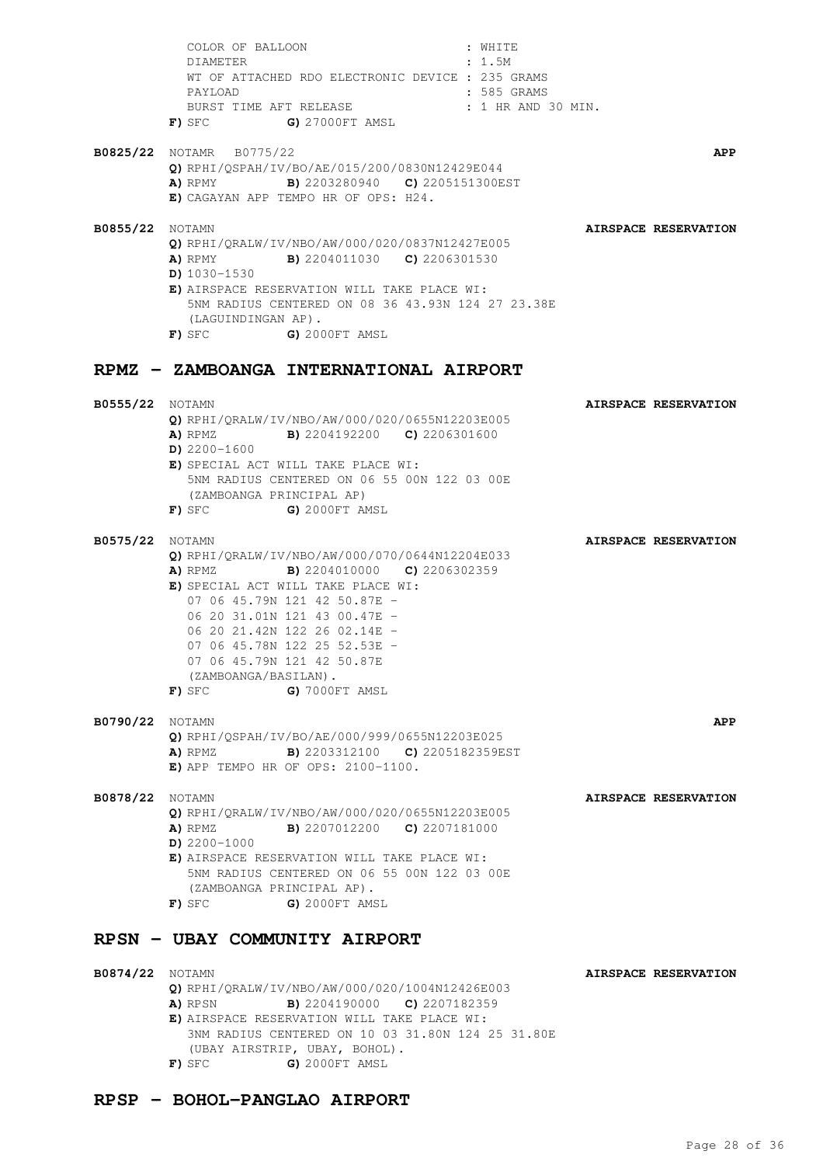COLOR OF BALLOON : WHITE DIAMETER : 1.5M WT OF ATTACHED RDO ELECTRONIC DEVICE : 235 GRAMS PAYLOAD **:** 585 GRAMS BURST TIME AFT RELEASE : 1 HR AND 30 MIN. **F)** SFC **G)** 27000FT AMSL **B0825/22** NOTAMR B0775/22 **APP Q)** RPHI/QSPAH/IV/BO/AE/015/200/0830N12429E044 **A)** RPMY **B)** 2203280940 **C)** 2205151300EST **E)** CAGAYAN APP TEMPO HR OF OPS: H24. **B0855/22** NOTAMN **AIRSPACE RESERVATION Q)** RPHI/QRALW/IV/NBO/AW/000/020/0837N12427E005 **A)** RPMY **B)** 2204011030 **C)** 2206301530 **D)** 1030-1530 **E)** AIRSPACE RESERVATION WILL TAKE PLACE WI: 5NM RADIUS CENTERED ON 08 36 43.93N 124 27 23.38E (LAGUINDINGAN AP). **F)** SFC **G)** 2000FT AMSL **RPMZ - ZAMBOANGA INTERNATIONAL AIRPORT B0555/22** NOTAMN **AIRSPACE RESERVATION Q)** RPHI/QRALW/IV/NBO/AW/000/020/0655N12203E005 **A)** RPMZ **B)** 2204192200 **C)** 2206301600 **D)** 2200-1600 **E)** SPECIAL ACT WILL TAKE PLACE WI: 5NM RADIUS CENTERED ON 06 55 00N 122 03 00E (ZAMBOANGA PRINCIPAL AP) **F)** SFC **G)** 2000FT AMSL **B0575/22** NOTAMN **AIRSPACE RESERVATION Q)** RPHI/QRALW/IV/NBO/AW/000/070/0644N12204E033 **A)** RPMZ **B)** 2204010000 **C)** 2206302359 **E)** SPECIAL ACT WILL TAKE PLACE WI: 07 06 45.79N 121 42 50.87E - 06 20 31.01N 121 43 00.47E - 06 20 21.42N 122 26 02.14E - 07 06 45.78N 122 25 52.53E - 07 06 45.79N 121 42 50.87E (ZAMBOANGA/BASILAN). **F)** SFC **G)** 7000FT AMSL **B0790/22** NOTAMN **APP Q)** RPHI/QSPAH/IV/BO/AE/000/999/0655N12203E025 **A)** RPMZ **B)** 2203312100 **C)** 2205182359EST **E)** APP TEMPO HR OF OPS: 2100-1100. **B0878/22** NOTAMN **AIRSPACE RESERVATION Q)** RPHI/QRALW/IV/NBO/AW/000/020/0655N12203E005 **A)** RPMZ **B)** 2207012200 **C)** 2207181000 **D)** 2200-1000 **E)** AIRSPACE RESERVATION WILL TAKE PLACE WI: 5NM RADIUS CENTERED ON 06 55 00N 122 03 00E (ZAMBOANGA PRINCIPAL AP). **F)** SFC **G)** 2000FT AMSL **RPSN - UBAY COMMUNITY AIRPORT B0874/22** NOTAMN **AIRSPACE RESERVATION Q)** RPHI/QRALW/IV/NBO/AW/000/020/1004N12426E003 **A)** RPSN **B)** 2204190000 **C)** 2207182359 **E)** AIRSPACE RESERVATION WILL TAKE PLACE WI: 3NM RADIUS CENTERED ON 10 03 31.80N 124 25 31.80E

# **RPSP - BOHOL-PANGLAO AIRPORT**

(UBAY AIRSTRIP, UBAY, BOHOL). **F)** SFC **G)** 2000FT AMSL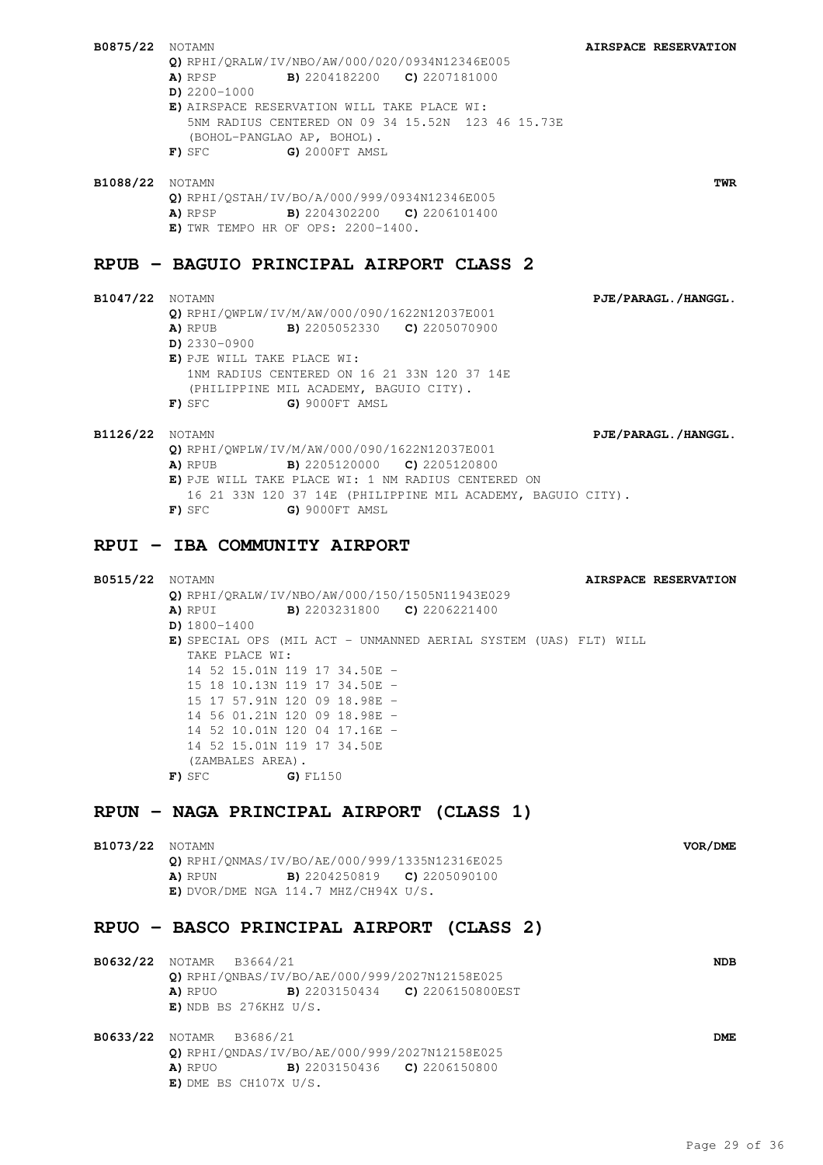**B0875/22** NOTAMN **AIRSPACE RESERVATION Q)** RPHI/QRALW/IV/NBO/AW/000/020/0934N12346E005 **A)** RPSP **B)** 2204182200 **C)** 2207181000 **D)** 2200-1000 **E)** AIRSPACE RESERVATION WILL TAKE PLACE WI: 5NM RADIUS CENTERED ON 09 34 15.52N 123 46 15.73E (BOHOL-PANGLAO AP, BOHOL). **F)** SFC **G)** 2000FT AMSL **B1088/22** NOTAMN **TWR Q)** RPHI/QSTAH/IV/BO/A/000/999/0934N12346E005 **A)** RPSP **B)** 2204302200 **C)** 2206101400 **E)** TWR TEMPO HR OF OPS: 2200-1400. **RPUB - BAGUIO PRINCIPAL AIRPORT CLASS 2 B1047/22** NOTAMN **PJE/PARAGL./HANGGL. Q)** RPHI/QWPLW/IV/M/AW/000/090/1622N12037E001 **A)** RPUB **B)** 2205052330 **C)** 2205070900 **D)** 2330-0900 **E)** PJE WILL TAKE PLACE WI: 1NM RADIUS CENTERED ON 16 21 33N 120 37 14E (PHILIPPINE MIL ACADEMY, BAGUIO CITY). **F)** SFC **G)** 9000FT AMSL **B1126/22** NOTAMN **PJE/PARAGL./HANGGL. Q)** RPHI/QWPLW/IV/M/AW/000/090/1622N12037E001 **A)** RPUB **B)** 2205120000 **C)** 2205120800 **E)** PJE WILL TAKE PLACE WI: 1 NM RADIUS CENTERED ON 16 21 33N 120 37 14E (PHILIPPINE MIL ACADEMY, BAGUIO CITY). **F)** SFC **G)** 9000FT AMSL **RPUI - IBA COMMUNITY AIRPORT B0515/22** NOTAMN **AIRSPACE RESERVATION Q)** RPHI/QRALW/IV/NBO/AW/000/150/1505N11943E029 **A)** RPUI **B)** 2203231800 **C)** 2206221400 **D)** 1800-1400 **E)** SPECIAL OPS (MIL ACT - UNMANNED AERIAL SYSTEM (UAS) FLT) WILL TAKE PLACE WI: 14 52 15.01N 119 17 34.50E - 15 18 10.13N 119 17 34.50E - 15 17 57.91N 120 09 18.98E - 14 56 01.21N 120 09 18.98E - 14 52 10.01N 120 04 17.16E - 14 52 15.01N 119 17 34.50E (ZAMBALES AREA). **F)** SFC **G)** FL150

# **RPUN - NAGA PRINCIPAL AIRPORT (CLASS 1)**

**E)** DME BS CH107X U/S.

| B1073/22               | <b>NOTAMN</b>                                           | VOR/DME |
|------------------------|---------------------------------------------------------|---------|
|                        | O) RPHI/ONMAS/IV/BO/AE/000/999/1335N12316E025           |         |
|                        | <b>B)</b> 2204250819 <b>C)</b> 2205090100<br>A) RPUN    |         |
|                        | $E)$ DVOR/DME NGA 114.7 MHZ/CH94X U/S.                  |         |
|                        | RPUO - BASCO PRINCIPAL AIRPORT (CLASS 2)                |         |
| B0632/22               | B3664/21<br>NOTAMR                                      | NDB.    |
|                        | O) RPHI/ONBAS/IV/BO/AE/000/999/2027N12158E025           |         |
|                        | <b>B)</b> 2203150434 <b>C)</b> 2206150800EST<br>A) RPUO |         |
|                        | $E)$ NDB BS 276KHZ U/S.                                 |         |
| <b>B0633/22</b> NOTAMR | B3686/21                                                | DME     |
|                        | O) RPHI/ONDAS/IV/BO/AE/000/999/2027N12158E025           |         |
|                        | <b>B)</b> 2203150436 <b>C)</b> 2206150800<br>A) RPUO    |         |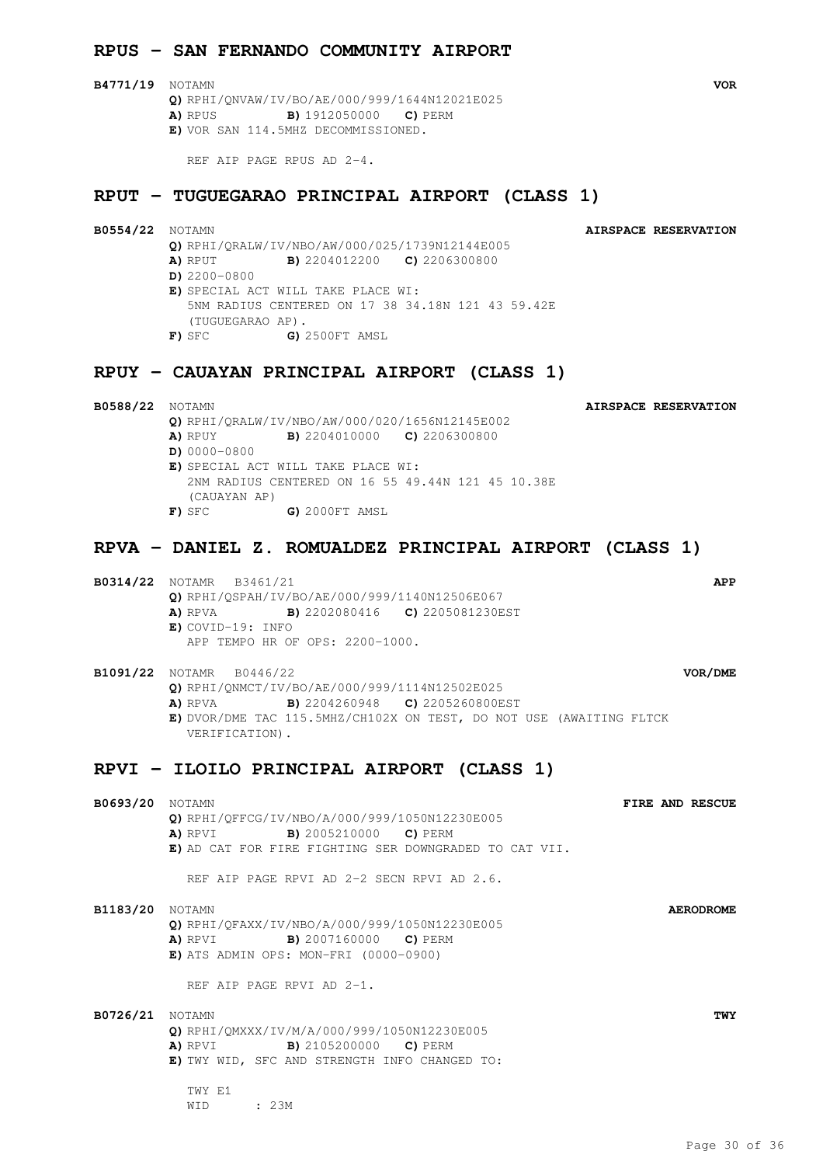### **RPUS - SAN FERNANDO COMMUNITY AIRPORT**

**B4771/19** NOTAMN **VOR Q)** RPHI/QNVAW/IV/BO/AE/000/999/1644N12021E025 **A)** RPUS **B)** 1912050000 **C)** PERM **E)** VOR SAN 114.5MHZ DECOMMISSIONED.

REF AIP PAGE RPUS AD 2-4.

### **RPUT - TUGUEGARAO PRINCIPAL AIRPORT (CLASS 1)**

**B0554/22** NOTAMN **AIRSPACE RESERVATION Q)** RPHI/QRALW/IV/NBO/AW/000/025/1739N12144E005 **A)** RPUT **B)** 2204012200 **C)** 2206300800 **D)** 2200-0800 **E)** SPECIAL ACT WILL TAKE PLACE WI: 5NM RADIUS CENTERED ON 17 38 34.18N 121 43 59.42E (TUGUEGARAO AP). **F)** SFC **G)** 2500FT AMSL

### **RPUY - CAUAYAN PRINCIPAL AIRPORT (CLASS 1)**

**B0588/22** NOTAMN **AIRSPACE RESERVATION Q)** RPHI/QRALW/IV/NBO/AW/000/020/1656N12145E002 **A)** RPUY **B)** 2204010000 **C)** 2206300800 **D)** 0000-0800 **E)** SPECIAL ACT WILL TAKE PLACE WI: 2NM RADIUS CENTERED ON 16 55 49.44N 121 45 10.38E (CAUAYAN AP) **F)** SFC **G)** 2000FT AMSL

### **RPVA - DANIEL Z. ROMUALDEZ PRINCIPAL AIRPORT (CLASS 1)**

**B0314/22** NOTAMR B3461/21 **APP Q)** RPHI/QSPAH/IV/BO/AE/000/999/1140N12506E067 **A)** RPVA **B)** 2202080416 **C)** 2205081230EST **E)** COVID-19: INFO APP TEMPO HR OF OPS: 2200-1000.

**B1091/22** NOTAMR B0446/22 **VOR/DME Q)** RPHI/QNMCT/IV/BO/AE/000/999/1114N12502E025 **A)** RPVA **B)** 2204260948 **C)** 2205260800EST **E)** DVOR/DME TAC 115.5MHZ/CH102X ON TEST, DO NOT USE (AWAITING FLTCK VERIFICATION).

### **RPVI - ILOILO PRINCIPAL AIRPORT (CLASS 1)**

| <b>B0693/20</b> NOTAMN |                                                        | FIRE AND RESCUE  |
|------------------------|--------------------------------------------------------|------------------|
|                        | Q) RPHI/QFFCG/IV/NBO/A/000/999/1050N12230E005          |                  |
|                        | <b>A)</b> RPVI <b>B)</b> 2005210000 <b>C)</b> PERM     |                  |
|                        | E) AD CAT FOR FIRE FIGHTING SER DOWNGRADED TO CAT VII. |                  |
|                        | REF AIP PAGE RPVI AD 2-2 SECN RPVI AD 2.6.             |                  |
| <b>B1183/20</b> NOTAMN |                                                        | <b>AERODROME</b> |
|                        | Q) RPHI/QFAXX/IV/NBO/A/000/999/1050N12230E005          |                  |
|                        | <b>A)</b> RPVI <b>B)</b> 2007160000 <b>C)</b> PERM     |                  |
|                        | $E)$ ATS ADMIN OPS: MON-FRI (0000-0900)                |                  |
|                        | REF AIP PAGE RPVI AD 2-1.                              |                  |
| B0726/21               | NOTAMN                                                 | TWY              |
|                        | Q) RPHI/QMXXX/IV/M/A/000/999/1050N12230E005            |                  |
|                        | <b>A)</b> RPVI <b>B)</b> 2105200000 <b>C)</b> PERM     |                  |
|                        | E) TWY WID, SFC AND STRENGTH INFO CHANGED TO:          |                  |
|                        | TWY F.1                                                |                  |
|                        | : 23M<br>WID                                           |                  |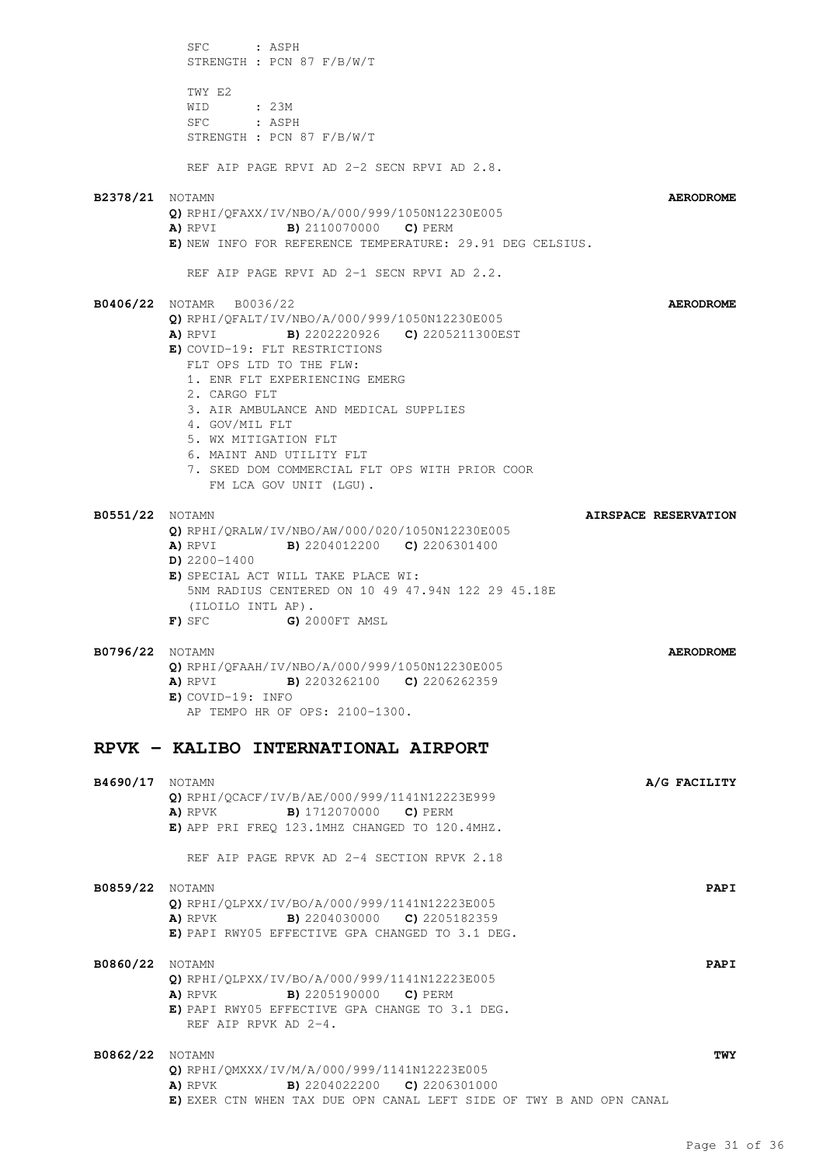SFC : ASPH STRENGTH : PCN 87 F/B/W/T TWY E2 WID : 23M SFC : ASPH STRENGTH : PCN 87 F/B/W/T REF AIP PAGE RPVI AD 2-2 SECN RPVI AD 2.8. **B2378/21** NOTAMN **AERODROME Q)** RPHI/QFAXX/IV/NBO/A/000/999/1050N12230E005 **A)** RPVI **B)** 2110070000 **C)** PERM **E)** NEW INFO FOR REFERENCE TEMPERATURE: 29.91 DEG CELSIUS. REF AIP PAGE RPVI AD 2-1 SECN RPVI AD 2.2. **B0406/22** NOTAMR B0036/22 **AERODROME Q)** RPHI/QFALT/IV/NBO/A/000/999/1050N12230E005 **A)** RPVI **B)** 2202220926 **C)** 2205211300EST **E)** COVID-19: FLT RESTRICTIONS FLT OPS LTD TO THE FLW: 1. ENR FLT EXPERIENCING EMERG 2. CARGO FLT 3. AIR AMBULANCE AND MEDICAL SUPPLIES 4. GOV/MIL FLT 5. WX MITIGATION FLT 6. MAINT AND UTILITY FLT 7. SKED DOM COMMERCIAL FLT OPS WITH PRIOR COOR FM LCA GOV UNIT (LGU). **B0551/22** NOTAMN **AIRSPACE RESERVATION Q)** RPHI/QRALW/IV/NBO/AW/000/020/1050N12230E005 **A)** RPVI **B)** 2204012200 **C)** 2206301400 **D)** 2200-1400 **E)** SPECIAL ACT WILL TAKE PLACE WI: 5NM RADIUS CENTERED ON 10 49 47.94N 122 29 45.18E (ILOILO INTL AP). **F)** SFC **G)** 2000FT AMSL **B0796/22** NOTAMN **AERODROME Q)** RPHI/QFAAH/IV/NBO/A/000/999/1050N12230E005 **A)** RPVI **B)** 2203262100 **C)** 2206262359 **E)** COVID-19: INFO AP TEMPO HR OF OPS: 2100-1300. **RPVK - KALIBO INTERNATIONAL AIRPORT B4690/17** NOTAMN **A/G FACILITY Q)** RPHI/QCACF/IV/B/AE/000/999/1141N12223E999 **A)** RPVK **B)** 1712070000 **C)** PERM **E)** APP PRI FREQ 123.1MHZ CHANGED TO 120.4MHZ. REF AIP PAGE RPVK AD 2-4 SECTION RPVK 2.18 **B0859/22** NOTAMN **PAPI Q)** RPHI/QLPXX/IV/BO/A/000/999/1141N12223E005 **A)** RPVK **B)** 2204030000 **C)** 2205182359 **E)** PAPI RWY05 EFFECTIVE GPA CHANGED TO 3.1 DEG. **B0860/22** NOTAMN **PAPI Q)** RPHI/QLPXX/IV/BO/A/000/999/1141N12223E005 **A)** RPVK **B)** 2205190000 **C)** PERM **E)** PAPI RWY05 EFFECTIVE GPA CHANGE TO 3.1 DEG. REF AIP RPVK AD 2-4. **B0862/22** NOTAMN **TWY Q)** RPHI/QMXXX/IV/M/A/000/999/1141N12223E005 **A)** RPVK **B)** 2204022200 **C)** 2206301000 **E)** EXER CTN WHEN TAX DUE OPN CANAL LEFT SIDE OF TWY B AND OPN CANAL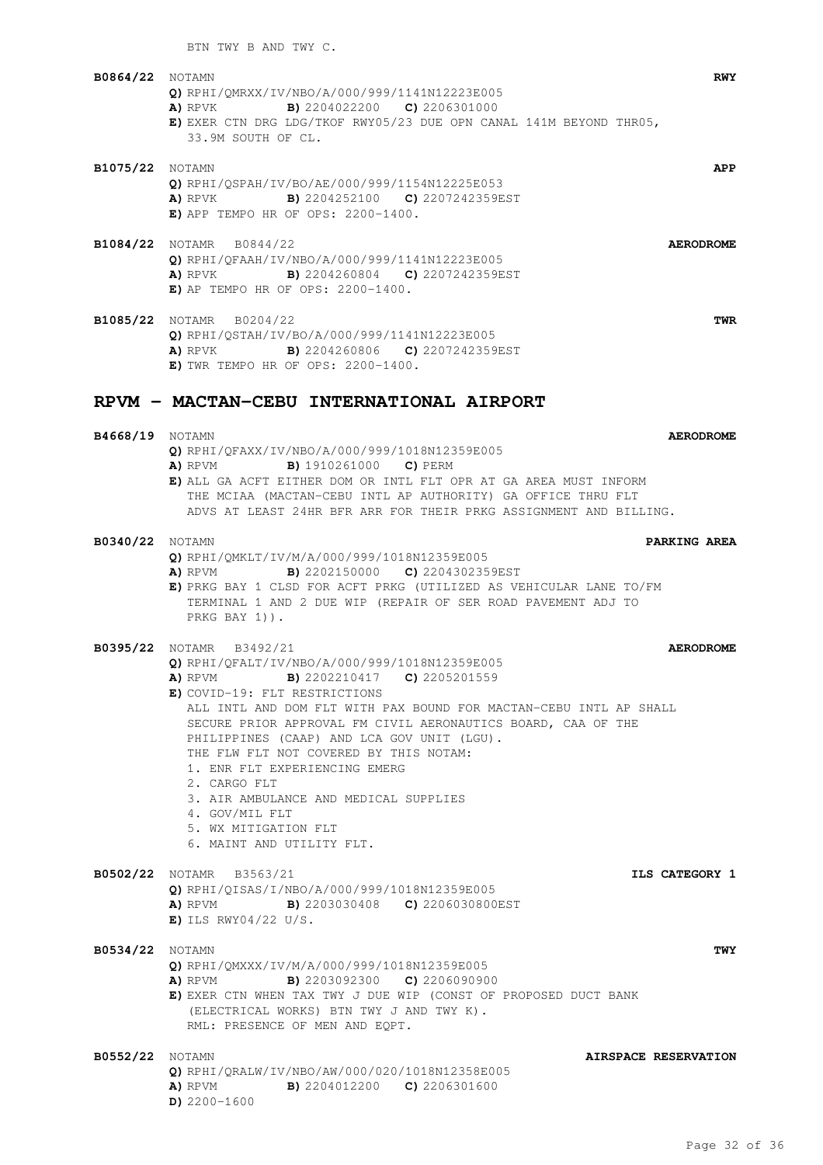BTN TWY B AND TWY C.

| B0864/22 | NOTAMN<br>O) RPHI/OMRXX/IV/NBO/A/000/999/1141N12223E005<br><b>B)</b> 2204022200 <b>C)</b> 2206301000<br>A) RPVK<br>E) EXER CTN DRG LDG/TKOF RWY05/23 DUE OPN CANAL 141M BEYOND THR05,<br>33.9M SOUTH OF CL. | <b>RWY</b>       |
|----------|-------------------------------------------------------------------------------------------------------------------------------------------------------------------------------------------------------------|------------------|
| B1075/22 | <b>NOTAMN</b><br><b>Q)</b> RPHI/OSPAH/IV/BO/AE/000/999/1154N12225E053<br><b>A)</b> RPVK <b>B)</b> 2204252100 <b>C)</b> 2207242359EST<br>$E)$ APP TEMPO HR OF OPS: 2200-1400.                                | APP              |
| B1084/22 | NOTAMR B0844/22<br>O) RPHI/OFAAH/IV/NBO/A/000/999/1141N12223E005<br>B) 2204260804 C) 2207242359EST<br>A) RPVK<br>$E$ ) AP TEMPO HR OF OPS: 2200-1400.                                                       | <b>AERODROME</b> |
|          | <b>B1085/22</b> NOTAMR B0204/22                                                                                                                                                                             | TWR              |

**B4668/19** NOTAMN **AERODROME**

**E)** ALL GA ACFT EITHER DOM OR INTL FLT OPR AT GA AREA MUST INFORM THE MCIAA (MACTAN-CEBU INTL AP AUTHORITY) GA OFFICE THRU FLT ADVS AT LEAST 24HR BFR ARR FOR THEIR PRKG ASSIGNMENT AND BILLING.

**Q)** RPHI/QSTAH/IV/BO/A/000/999/1141N12223E005 **A)** RPVK **B)** 2204260806 **C)** 2207242359EST

**RPVM - MACTAN-CEBU INTERNATIONAL AIRPORT**

**A)** RPVM **B)** 1910261000 **C)** PERM

**Q)** RPHI/QFAXX/IV/NBO/A/000/999/1018N12359E005

**E)** TWR TEMPO HR OF OPS: 2200-1400.

| B0340/22 Notamn | PARKING AREA                                                                                                                                                                                                                                                                                                                                                                                                                                                                                                                                                                             |
|-----------------|------------------------------------------------------------------------------------------------------------------------------------------------------------------------------------------------------------------------------------------------------------------------------------------------------------------------------------------------------------------------------------------------------------------------------------------------------------------------------------------------------------------------------------------------------------------------------------------|
|                 | Q) RPHI/QMKLT/IV/M/A/000/999/1018N12359E005<br>A) RPVM B) 2202150000 C) 2204302359EST<br>E) PRKG BAY 1 CLSD FOR ACFT PRKG (UTILIZED AS VEHICULAR LANE TO/FM<br>TERMINAL 1 AND 2 DUE WIP (REPAIR OF SER ROAD PAVEMENT ADJ TO<br>PRKG BAY 1) ).                                                                                                                                                                                                                                                                                                                                            |
|                 | B0395/22 NOTAMR B3492/21<br><b>AERODROME</b><br>Q) RPHI/OFALT/IV/NBO/A/000/999/1018N12359E005<br><b>A)</b> RPVM <b>B)</b> 2202210417 <b>C)</b> 2205201559<br>E) COVID-19: FLT RESTRICTIONS<br>ALL INTL AND DOM FLT WITH PAX BOUND FOR MACTAN-CEBU INTL AP SHALL<br>SECURE PRIOR APPROVAL FM CIVIL AERONAUTICS BOARD, CAA OF THE<br>PHILIPPINES (CAAP) AND LCA GOV UNIT (LGU).<br>THE FLW FLT NOT COVERED BY THIS NOTAM:<br>1. ENR FLT EXPERIENCING EMERG<br>2. CARGO FLT<br>3. AIR AMBULANCE AND MEDICAL SUPPLIES<br>4. GOV/MIL FLT<br>5. WX MITIGATION FLT<br>6. MAINT AND UTILITY FLT. |
|                 | B0502/22 NOTAMR B3563/21<br>ILS CATEGORY 1<br>Q) RPHI/QISAS/I/NBO/A/000/999/1018N12359E005<br><b>A)</b> RPVM <b>B)</b> 2203030408 <b>C)</b> 2206030800EST<br>$E)$ ILS RWY04/22 U/S.                                                                                                                                                                                                                                                                                                                                                                                                      |
| B0534/22 Notamn | <b>TWY</b><br>Q) RPHI/OMXXX/IV/M/A/000/999/1018N12359E005<br><b>A)</b> RPVM <b>B)</b> 2203092300 <b>C)</b> 2206090900<br>E) EXER CTN WHEN TAX TWY J DUE WIP (CONST OF PROPOSED DUCT BANK<br>(ELECTRICAL WORKS) BTN TWY J AND TWY K).<br>RML: PRESENCE OF MEN AND EQPT.                                                                                                                                                                                                                                                                                                                   |
| B0552/22 Notamn | AIRSPACE RESERVATION<br>O) RPHI/ORALW/IV/NBO/AW/000/020/1018N12358E005<br><b>B)</b> 2204012200 <b>C)</b> 2206301600<br>A) RPVM<br>$D)$ 2200-1600                                                                                                                                                                                                                                                                                                                                                                                                                                         |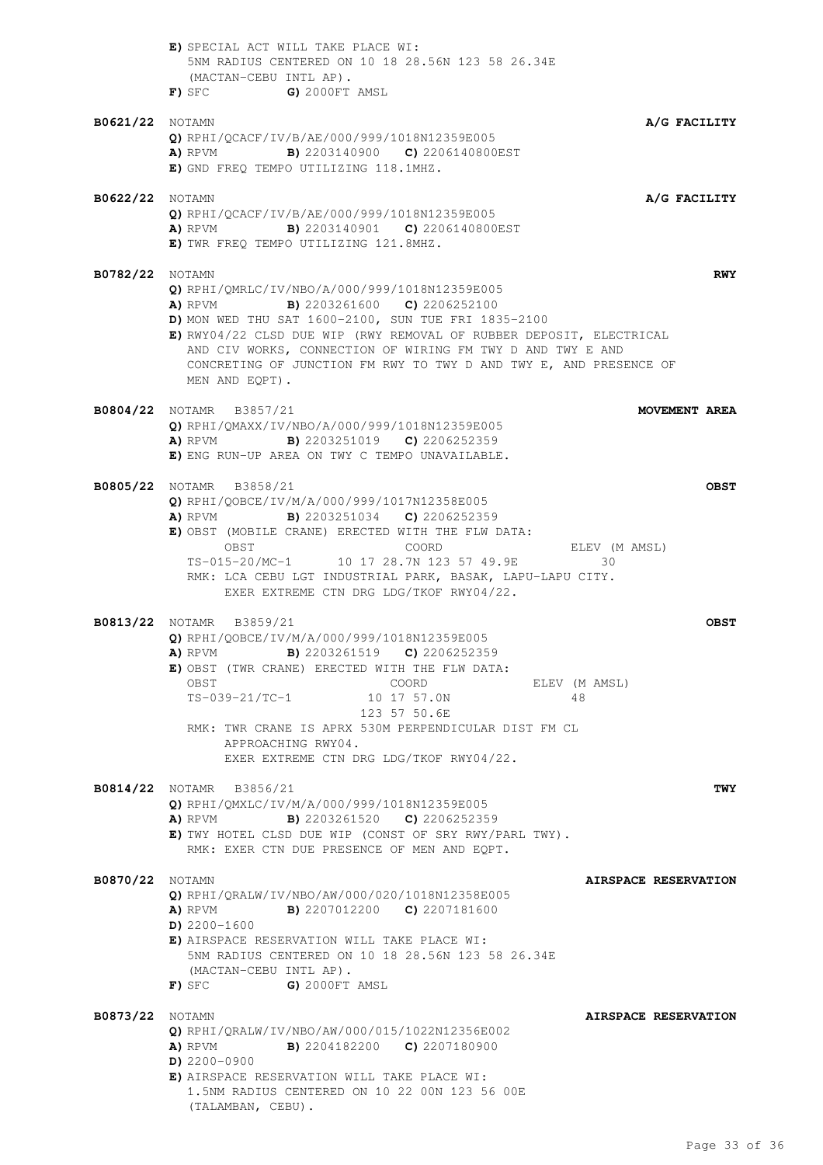|                        | E) SPECIAL ACT WILL TAKE PLACE WI:<br>5NM RADIUS CENTERED ON 10 18 28.56N 123 58 26.34E<br>(MACTAN-CEBU INTL AP).<br>$F)$ SFC $G)$ 2000FT AMSL                                                                                                                                                                                                                                                                                |
|------------------------|-------------------------------------------------------------------------------------------------------------------------------------------------------------------------------------------------------------------------------------------------------------------------------------------------------------------------------------------------------------------------------------------------------------------------------|
| <b>B0621/22</b> NOTAMN | A/G FACILITY<br>$Q$ ) RPHI/QCACF/IV/B/AE/000/999/1018N12359E005<br>A) RPVM B) 2203140900 C) 2206140800EST<br>E) GND FREQ TEMPO UTILIZING 118.1MHZ.                                                                                                                                                                                                                                                                            |
| <b>B0622/22</b> NOTAMN | A/G FACILITY<br>Q) RPHI/QCACF/IV/B/AE/000/999/1018N12359E005<br>A) RPVM B) 2203140901 C) 2206140800EST<br>E) TWR FREQ TEMPO UTILIZING 121.8MHZ.                                                                                                                                                                                                                                                                               |
| <b>B0782/22</b> NOTAMN | <b>RWY</b><br>Q) RPHI/QMRLC/IV/NBO/A/000/999/1018N12359E005<br><b>B)</b> 2203261600 <b>C)</b> 2206252100<br>A) RPVM<br>D) MON WED THU SAT 1600-2100, SUN TUE FRI 1835-2100<br>E) RWY04/22 CLSD DUE WIP (RWY REMOVAL OF RUBBER DEPOSIT, ELECTRICAL<br>AND CIV WORKS, CONNECTION OF WIRING FM TWY D AND TWY E AND<br>CONCRETING OF JUNCTION FM RWY TO TWY D AND TWY E, AND PRESENCE OF<br>MEN AND EOPT).                        |
|                        | <b>B0804/22</b> NOTAMR B3857/21<br>MOVEMENT AREA<br>O) RPHI/OMAXX/IV/NBO/A/000/999/1018N12359E005<br>A) RPVM B) 2203251019 C) 2206252359<br>E) ENG RUN-UP AREA ON TWY C TEMPO UNAVAILABLE.                                                                                                                                                                                                                                    |
|                        | <b>B0805/22</b> NOTAMR B3858/21<br><b>OBST</b><br>Q) RPHI/QOBCE/IV/M/A/000/999/1017N12358E005<br><b>A)</b> RPVM <b>B)</b> 2203251034 <b>C)</b> 2206252359<br>E) OBST (MOBILE CRANE) ERECTED WITH THE FLW DATA:<br>OBST<br>COORD<br>ELEV (M AMSL)<br>TS-015-20/MC-1 10 17 28.7N 123 57 49.9E<br>30<br>RMK: LCA CEBU LGT INDUSTRIAL PARK, BASAK, LAPU-LAPU CITY.<br>EXER EXTREME CTN DRG LDG/TKOF RWY04/22.                     |
|                        | <b>B0813/22</b> NOTAMR B3859/21<br><b>OBST</b><br>Q) RPHI/QOBCE/IV/M/A/000/999/1018N12359E005<br><b>A)</b> RPVM <b>B)</b> 2203261519 <b>C)</b> 2206252359<br>E) OBST (TWR CRANE) ERECTED WITH THE FLW DATA:<br>OBST<br>COORD<br>ELEV (M AMSL)<br>TS-039-21/TC-1<br>10 17 57.0N<br>48<br>123 57 50.6E<br>RMK: TWR CRANE IS APRX 530M PERPENDICULAR DIST FM CL<br>APPROACHING RWY04.<br>EXER EXTREME CTN DRG LDG/TKOF RWY04/22. |
|                        | <b>B0814/22</b> NOTAMR B3856/21<br>TWY<br>Q) RPHI/QMXLC/IV/M/A/000/999/1018N12359E005<br><b>A)</b> RPVM <b>B)</b> 2203261520 <b>C)</b> 2206252359<br>E) TWY HOTEL CLSD DUE WIP (CONST OF SRY RWY/PARL TWY).<br>RMK: EXER CTN DUE PRESENCE OF MEN AND EQPT.                                                                                                                                                                    |
| <b>B0870/22</b> NOTAMN | AIRSPACE RESERVATION<br>Q) RPHI/QRALW/IV/NBO/AW/000/020/1018N12358E005<br><b>A)</b> RPVM <b>B)</b> 2207012200 <b>C)</b> 2207181600<br>$D)$ 2200-1600<br>E) AIRSPACE RESERVATION WILL TAKE PLACE WI:<br>5NM RADIUS CENTERED ON 10 18 28.56N 123 58 26.34E<br>(MACTAN-CEBU INTL AP).<br>G) 2000FT AMSL<br>F) SFC                                                                                                                |
| <b>B0873/22</b> NOTAMN | AIRSPACE RESERVATION<br>Q) RPHI/QRALW/IV/NBO/AW/000/015/1022N12356E002<br><b>B)</b> 2204182200 <b>C)</b> 2207180900<br>A) RPVM<br>$D)$ 2200-0900<br>E) AIRSPACE RESERVATION WILL TAKE PLACE WI:<br>1.5NM RADIUS CENTERED ON 10 22 00N 123 56 00E<br>(TALAMBAN, CEBU).                                                                                                                                                         |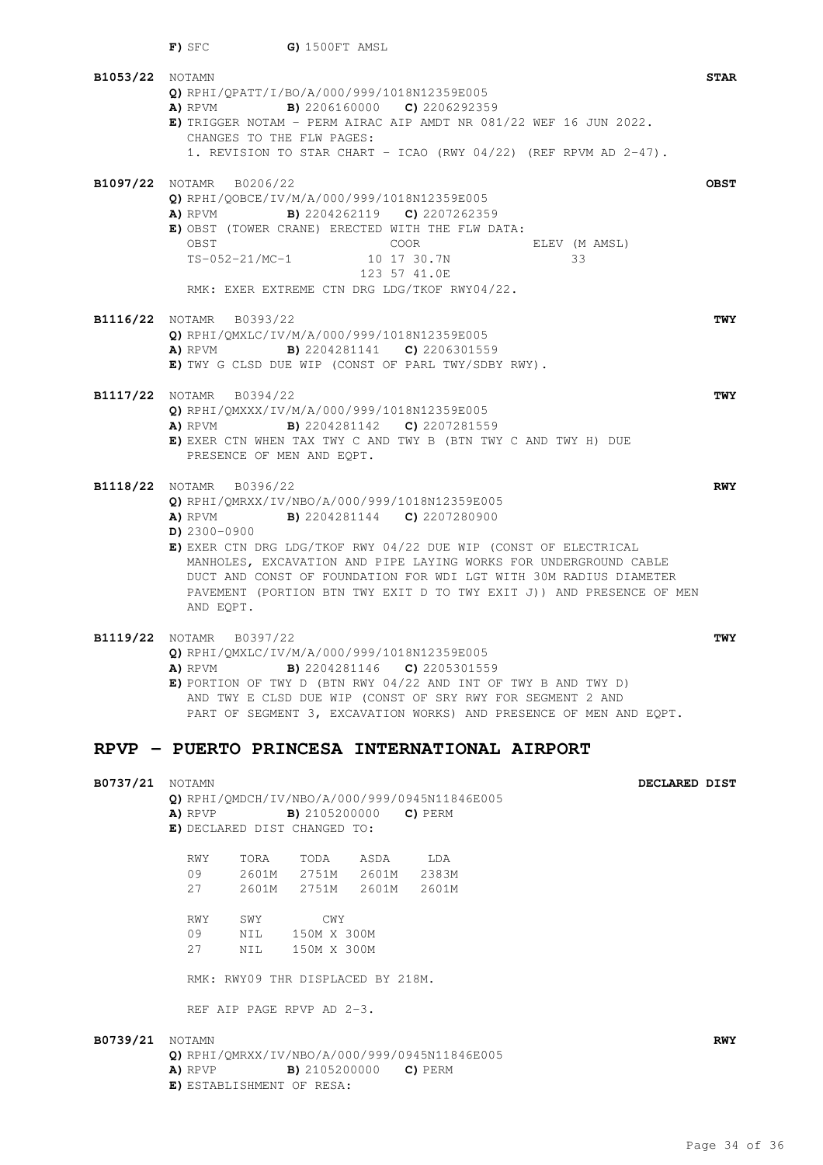| B1053/22 Notamn |                                                                                                                               | <b>STAR</b> |
|-----------------|-------------------------------------------------------------------------------------------------------------------------------|-------------|
|                 | Q) RPHI/OPATT/I/BO/A/000/999/1018N12359E005<br><b>A)</b> RPVM <b>B)</b> 2206160000 <b>C)</b> 2206292359                       |             |
|                 | E) TRIGGER NOTAM - PERM AIRAC AIP AMDT NR 081/22 WEF 16 JUN 2022.                                                             |             |
|                 | CHANGES TO THE FLW PAGES:                                                                                                     |             |
|                 | 1. REVISION TO STAR CHART - ICAO (RWY 04/22) (REF RPVM AD 2-47).                                                              |             |
|                 | B1097/22 NOTAMR B0206/22                                                                                                      | <b>OBST</b> |
|                 | Q) RPHI/QOBCE/IV/M/A/000/999/1018N12359E005                                                                                   |             |
|                 | <b>A)</b> RPVM <b>B)</b> 2204262119 <b>C)</b> 2207262359                                                                      |             |
|                 | E) OBST (TOWER CRANE) ERECTED WITH THE FLW DATA:                                                                              |             |
|                 | OBST<br>COOR<br>ELEV (M AMSL)                                                                                                 |             |
|                 | TS-052-21/MC-1<br>10 17 30.7N<br>33<br>123 57 41.0E                                                                           |             |
|                 | RMK: EXER EXTREME CTN DRG LDG/TKOF RWY04/22.                                                                                  |             |
|                 |                                                                                                                               |             |
|                 | B1116/22 Notamr b0393/22                                                                                                      | <b>TWY</b>  |
|                 | Q) RPHI/QMXLC/IV/M/A/000/999/1018N12359E005<br><b>B)</b> 2204281141 <b>C)</b> 2206301559<br>A) RPVM                           |             |
|                 | E) TWY G CLSD DUE WIP (CONST OF PARL TWY/SDBY RWY).                                                                           |             |
|                 |                                                                                                                               |             |
|                 | B1117/22 NOTAMR B0394/22                                                                                                      | <b>TWY</b>  |
|                 | Q) RPHI/QMXXX/IV/M/A/000/999/1018N12359E005                                                                                   |             |
|                 | <b>A)</b> RPVM <b>B)</b> 2204281142 <b>C)</b> 2207281559<br>E) EXER CTN WHEN TAX TWY C AND TWY B (BTN TWY C AND TWY H) DUE    |             |
|                 | PRESENCE OF MEN AND EQPT.                                                                                                     |             |
|                 |                                                                                                                               |             |
|                 | B1118/22 NOTAMR B0396/22                                                                                                      | <b>RWY</b>  |
|                 | Q) RPHI/QMRXX/IV/NBO/A/000/999/1018N12359E005<br><b>B)</b> 2204281144 <b>C)</b> 2207280900                                    |             |
|                 | A) RPVM<br>$D)$ 2300-0900                                                                                                     |             |
|                 | E) EXER CTN DRG LDG/TKOF RWY 04/22 DUE WIP (CONST OF ELECTRICAL                                                               |             |
|                 | MANHOLES, EXCAVATION AND PIPE LAYING WORKS FOR UNDERGROUND CABLE                                                              |             |
|                 | DUCT AND CONST OF FOUNDATION FOR WDI LGT WITH 30M RADIUS DIAMETER                                                             |             |
|                 | PAVEMENT (PORTION BTN TWY EXIT D TO TWY EXIT J)) AND PRESENCE OF MEN<br>AND EQPT.                                             |             |
|                 |                                                                                                                               |             |
|                 | B1119/22 NOTAMR B0397/22                                                                                                      | <b>TWY</b>  |
|                 | Q) RPHI/OMXLC/IV/M/A/000/999/1018N12359E005                                                                                   |             |
|                 | <b>B)</b> 2204281146 <b>C)</b> 2205301559<br>A) RPVM<br><b>E)</b> PORTION OF TWY D (BTN RWY 04/22 AND INT OF TWY B AND TWY D) |             |
|                 | AND TWY E CLSD DUE WIP (CONST OF SRY RWY FOR SEGMENT 2 AND                                                                    |             |
|                 | PART OF SEGMENT 3, EXCAVATION WORKS) AND PRESENCE OF MEN AND EQPT.                                                            |             |
|                 |                                                                                                                               |             |
|                 | RPVP - PUERTO PRINCESA INTERNATIONAL AIRPORT                                                                                  |             |
|                 |                                                                                                                               |             |
| B0737/21 Notamn | DECLARED DIST                                                                                                                 |             |
|                 | Q) RPHI/QMDCH/IV/NBO/A/000/999/0945N11846E005<br>A) RPVP<br><b>B)</b> 2105200000 <b>C)</b> PERM                               |             |
|                 | E) DECLARED DIST CHANGED TO:                                                                                                  |             |
|                 |                                                                                                                               |             |
|                 | RWY<br>TODA ASDA<br>TORA<br>LDA                                                                                               |             |
|                 | 2601M 2751M 2601M 2383M<br>09<br>2601M 2751M 2601M 2601M<br>27                                                                |             |
|                 |                                                                                                                               |             |
|                 | SWY<br>RWY<br>CWY                                                                                                             |             |
|                 | 09<br>150M X 300M<br>NIL                                                                                                      |             |
|                 | 27<br>NIL 150M X 300M                                                                                                         |             |
|                 | RMK: RWY09 THR DISPLACED BY 218M.                                                                                             |             |
|                 | REF AIP PAGE RPVP AD 2-3.                                                                                                     |             |
|                 |                                                                                                                               |             |
| B0739/21 Notamn | Q) RPHI/QMRXX/IV/NBO/A/000/999/0945N11846E005                                                                                 | <b>RWY</b>  |
|                 | <b>B)</b> 2105200000 <b>C)</b> PERM<br>A) RPVP                                                                                |             |
|                 | E) ESTABLISHMENT OF RESA:                                                                                                     |             |
|                 |                                                                                                                               |             |

**F)** SFC **G)** 1500FT AMSL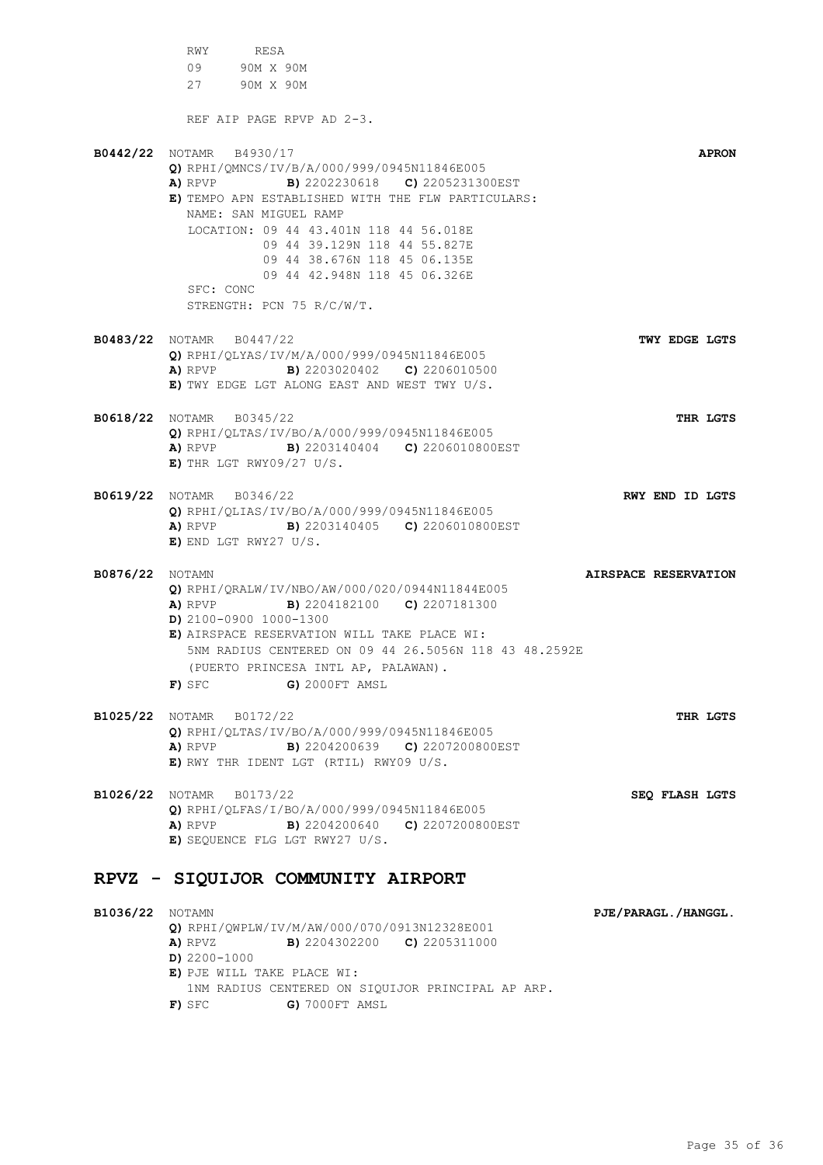RWY RESA 09 90M X 90M 27 90M X 90M REF AIP PAGE RPVP AD 2-3. **B0442/22** NOTAMR B4930/17 **APRON Q)** RPHI/QMNCS/IV/B/A/000/999/0945N11846E005 **A)** RPVP **B)** 2202230618 **C)** 2205231300EST **E)** TEMPO APN ESTABLISHED WITH THE FLW PARTICULARS: NAME: SAN MIGUEL RAMP LOCATION: 09 44 43.401N 118 44 56.018E 09 44 39.129N 118 44 55.827E 09 44 38.676N 118 45 06.135E 09 44 42.948N 118 45 06.326E SFC: CONC STRENGTH: PCN 75 R/C/W/T. **B0483/22** NOTAMR B0447/22 **TWY EDGE LGTS Q)** RPHI/QLYAS/IV/M/A/000/999/0945N11846E005 **A)** RPVP **B)** 2203020402 **C)** 2206010500 **E)** TWY EDGE LGT ALONG EAST AND WEST TWY U/S. **B0618/22** NOTAMR B0345/22 **THR LGTS Q)** RPHI/QLTAS/IV/BO/A/000/999/0945N11846E005 **A)** RPVP **B)** 2203140404 **C)** 2206010800EST **E)** THR LGT RWY09/27 U/S. **B0619/22** NOTAMR B0346/22 **RWY END ID LGTS Q)** RPHI/QLIAS/IV/BO/A/000/999/0945N11846E005 **A)** RPVP **B)** 2203140405 **C)** 2206010800EST **E)** END LGT RWY27 U/S. **B0876/22** NOTAMN **AIRSPACE RESERVATION Q)** RPHI/QRALW/IV/NBO/AW/000/020/0944N11844E005 **A)** RPVP **B)** 2204182100 **C)** 2207181300 **D)** 2100-0900 1000-1300 **E)** AIRSPACE RESERVATION WILL TAKE PLACE WI: 5NM RADIUS CENTERED ON 09 44 26.5056N 118 43 48.2592E (PUERTO PRINCESA INTL AP, PALAWAN). **F)** SFC **G)** 2000FT AMSL **B1025/22** NOTAMR B0172/22 **THR LGTS Q)** RPHI/QLTAS/IV/BO/A/000/999/0945N11846E005 **A)** RPVP **B)** 2204200639 **C)** 2207200800EST **E)** RWY THR IDENT LGT (RTIL) RWY09 U/S. **B1026/22** NOTAMR B0173/22 **SEQ FLASH LGTS Q)** RPHI/QLFAS/I/BO/A/000/999/0945N11846E005 **A)** RPVP **B)** 2204200640 **C)** 2207200800EST **E)** SEQUENCE FLG LGT RWY27 U/S. **RPVZ - SIQUIJOR COMMUNITY AIRPORT B1036/22** NOTAMN **PJE/PARAGL./HANGGL. Q)** RPHI/QWPLW/IV/M/AW/000/070/0913N12328E001 **A)** RPVZ **B)** 2204302200 **C)** 2205311000 **D)** 2200-1000 **E)** PJE WILL TAKE PLACE WI: 1NM RADIUS CENTERED ON SIQUIJOR PRINCIPAL AP ARP.

**F)** SFC **G)** 7000FT AMSL